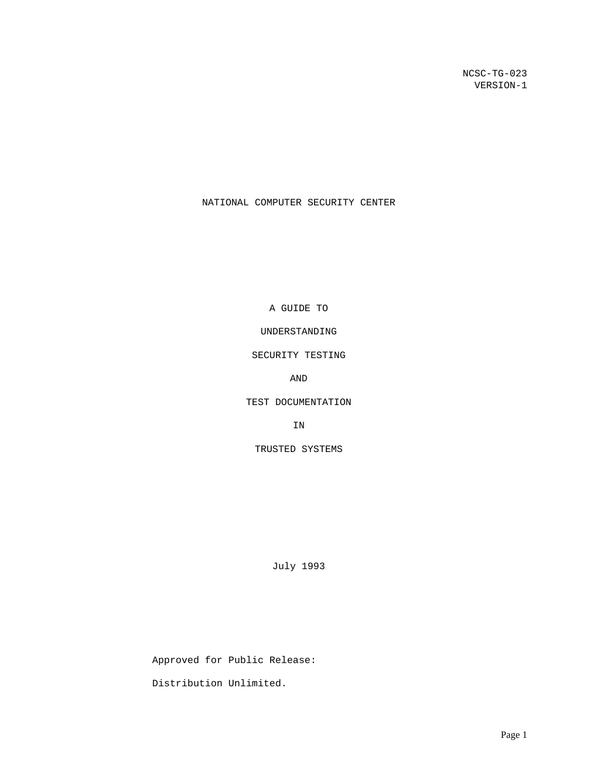NCSC-TG-023 VERSION-1

# NATIONAL COMPUTER SECURITY CENTER

A GUIDE TO

UNDERSTANDING

SECURITY TESTING

AND

TEST DOCUMENTATION

IN

TRUSTED SYSTEMS

July 1993

 Approved for Public Release: Distribution Unlimited.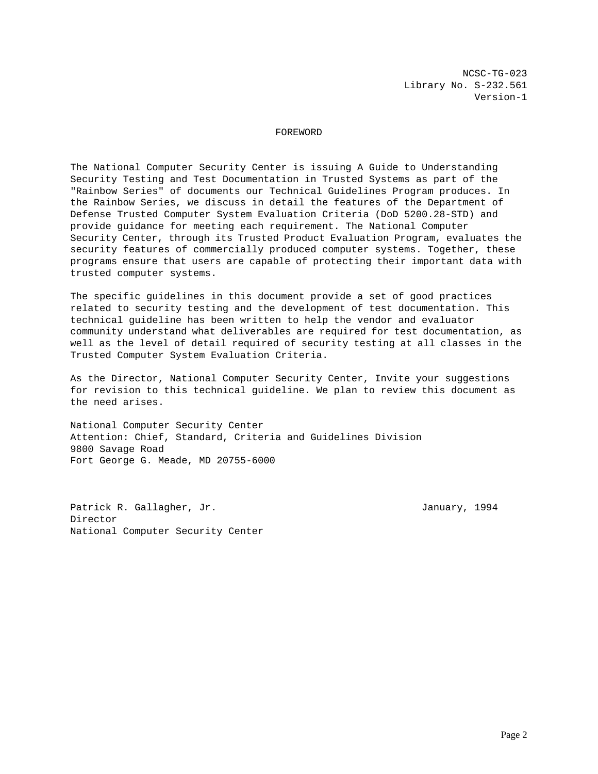NCSC-TG-023 Library No. S-232.561 Version-1

# FOREWORD

The National Computer Security Center is issuing A Guide to Understanding Security Testing and Test Documentation in Trusted Systems as part of the "Rainbow Series" of documents our Technical Guidelines Program produces. In the Rainbow Series, we discuss in detail the features of the Department of Defense Trusted Computer System Evaluation Criteria (DoD 5200.28-STD) and provide guidance for meeting each requirement. The National Computer Security Center, through its Trusted Product Evaluation Program, evaluates the security features of commercially produced computer systems. Together, these programs ensure that users are capable of protecting their important data with trusted computer systems.

The specific guidelines in this document provide a set of good practices related to security testing and the development of test documentation. This technical guideline has been written to help the vendor and evaluator community understand what deliverables are required for test documentation, as well as the level of detail required of security testing at all classes in the Trusted Computer System Evaluation Criteria.

As the Director, National Computer Security Center, Invite your suggestions for revision to this technical guideline. We plan to review this document as the need arises.

National Computer Security Center Attention: Chief, Standard, Criteria and Guidelines Division 9800 Savage Road Fort George G. Meade, MD 20755-6000

Patrick R. Gallagher, Jr. January, 1994 Director National Computer Security Center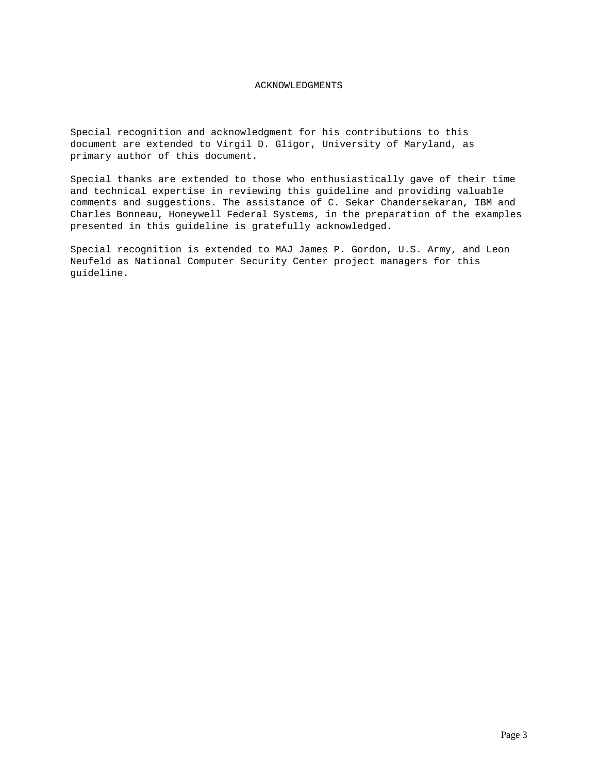# ACKNOWLEDGMENTS

Special recognition and acknowledgment for his contributions to this document are extended to Virgil D. Gligor, University of Maryland, as primary author of this document.

Special thanks are extended to those who enthusiastically gave of their time and technical expertise in reviewing this guideline and providing valuable comments and suggestions. The assistance of C. Sekar Chandersekaran, IBM and Charles Bonneau, Honeywell Federal Systems, in the preparation of the examples presented in this guideline is gratefully acknowledged.

Special recognition is extended to MAJ James P. Gordon, U.S. Army, and Leon Neufeld as National Computer Security Center project managers for this guideline.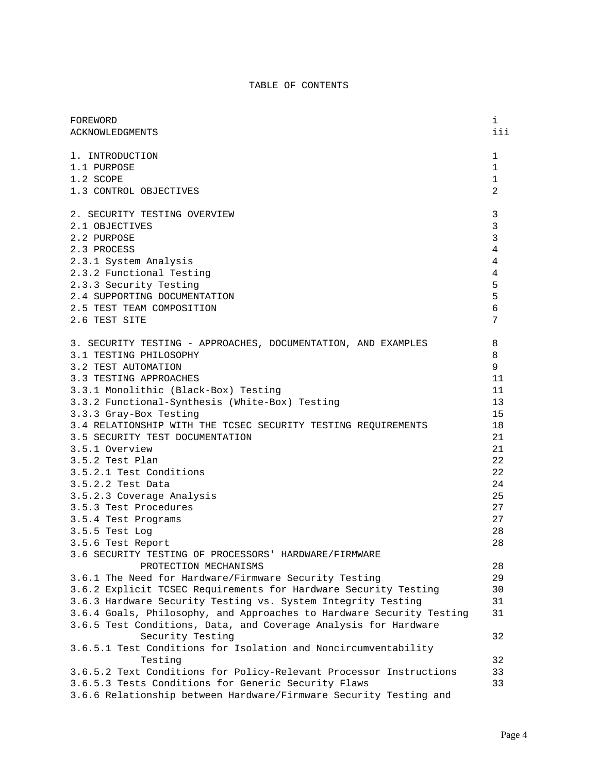# TABLE OF CONTENTS

| FOREWORD                                                                                                                                                                                                                                                                                                                                                                                                                                                                                                                                                                                                                           | i                                                                                                     |
|------------------------------------------------------------------------------------------------------------------------------------------------------------------------------------------------------------------------------------------------------------------------------------------------------------------------------------------------------------------------------------------------------------------------------------------------------------------------------------------------------------------------------------------------------------------------------------------------------------------------------------|-------------------------------------------------------------------------------------------------------|
| <b>ACKNOWLEDGMENTS</b>                                                                                                                                                                                                                                                                                                                                                                                                                                                                                                                                                                                                             | iii                                                                                                   |
| 1. INTRODUCTION                                                                                                                                                                                                                                                                                                                                                                                                                                                                                                                                                                                                                    | 1                                                                                                     |
| 1.1 PURPOSE                                                                                                                                                                                                                                                                                                                                                                                                                                                                                                                                                                                                                        | 1                                                                                                     |
| 1.2 SCOPE                                                                                                                                                                                                                                                                                                                                                                                                                                                                                                                                                                                                                          | $\mathbf 1$                                                                                           |
| 1.3 CONTROL OBJECTIVES                                                                                                                                                                                                                                                                                                                                                                                                                                                                                                                                                                                                             | $\overline{a}$                                                                                        |
| 2. SECURITY TESTING OVERVIEW                                                                                                                                                                                                                                                                                                                                                                                                                                                                                                                                                                                                       | $\mathbf{3}$                                                                                          |
| 2.1 OBJECTIVES                                                                                                                                                                                                                                                                                                                                                                                                                                                                                                                                                                                                                     | $\mathbf{3}$                                                                                          |
| 2.2 PURPOSE                                                                                                                                                                                                                                                                                                                                                                                                                                                                                                                                                                                                                        | $\mathbf{3}$                                                                                          |
| 2.3 PROCESS                                                                                                                                                                                                                                                                                                                                                                                                                                                                                                                                                                                                                        | $\overline{4}$                                                                                        |
| 2.3.1 System Analysis                                                                                                                                                                                                                                                                                                                                                                                                                                                                                                                                                                                                              | $\overline{4}$                                                                                        |
| 2.3.2 Functional Testing                                                                                                                                                                                                                                                                                                                                                                                                                                                                                                                                                                                                           | $\overline{4}$                                                                                        |
| 2.3.3 Security Testing                                                                                                                                                                                                                                                                                                                                                                                                                                                                                                                                                                                                             | 5                                                                                                     |
| 2.4 SUPPORTING DOCUMENTATION                                                                                                                                                                                                                                                                                                                                                                                                                                                                                                                                                                                                       | 5                                                                                                     |
| 2.5 TEST TEAM COMPOSITION                                                                                                                                                                                                                                                                                                                                                                                                                                                                                                                                                                                                          | 6                                                                                                     |
| 2.6 TEST SITE                                                                                                                                                                                                                                                                                                                                                                                                                                                                                                                                                                                                                      | 7                                                                                                     |
| 3. SECURITY TESTING - APPROACHES, DOCUMENTATION, AND EXAMPLES<br>3.1 TESTING PHILOSOPHY<br>3.2 TEST AUTOMATION<br>3.3 TESTING APPROACHES<br>3.3.1 Monolithic (Black-Box) Testing<br>3.3.2 Functional-Synthesis (White-Box) Testing<br>3.3.3 Gray-Box Testing<br>3.4 RELATIONSHIP WITH THE TCSEC SECURITY TESTING REQUIREMENTS<br>3.5 SECURITY TEST DOCUMENTATION<br>3.5.1 Overview<br>3.5.2 Test Plan<br>3.5.2.1 Test Conditions<br>3.5.2.2 Test Data<br>3.5.2.3 Coverage Analysis<br>3.5.3 Test Procedures<br>3.5.4 Test Programs<br>3.5.5 Test Log<br>3.5.6 Test Report<br>3.6 SECURITY TESTING OF PROCESSORS' HARDWARE/FIRMWARE | 8<br>8<br>9<br>11<br>11<br>13<br>15<br>18<br>21<br>21<br>22<br>22<br>24<br>25<br>27<br>27<br>28<br>28 |
| PROTECTION MECHANISMS<br>3.6.1 The Need for Hardware/Firmware Security Testing<br>3.6.2 Explicit TCSEC Requirements for Hardware Security Testing<br>3.6.3 Hardware Security Testing vs. System Integrity Testing<br>3.6.4 Goals, Philosophy, and Approaches to Hardware Security Testing<br>3.6.5 Test Conditions, Data, and Coverage Analysis for Hardware                                                                                                                                                                                                                                                                       | 28<br>29<br>30<br>31<br>31                                                                            |
| Security Testing<br>3.6.5.1 Test Conditions for Isolation and Noncircumventability<br>Testing<br>3.6.5.2 Text Conditions for Policy-Relevant Processor Instructions<br>3.6.5.3 Tests Conditions for Generic Security Flaws<br>3.6.6 Relationship between Hardware/Firmware Security Testing and                                                                                                                                                                                                                                                                                                                                    | 32<br>32<br>33<br>33                                                                                  |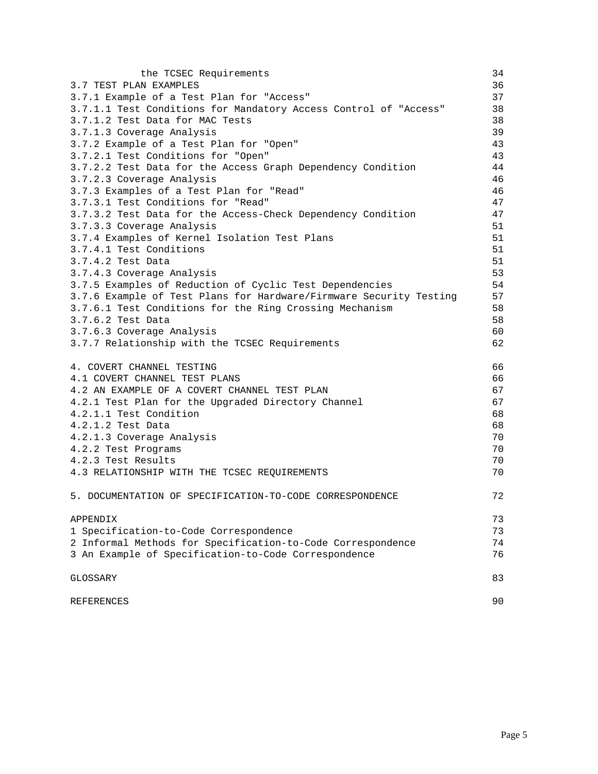| the TCSEC Requirements                                             | 34 |
|--------------------------------------------------------------------|----|
| 3.7 TEST PLAN EXAMPLES                                             | 36 |
| 3.7.1 Example of a Test Plan for "Access"                          | 37 |
| 3.7.1.1 Test Conditions for Mandatory Access Control of "Access"   | 38 |
| 3.7.1.2 Test Data for MAC Tests                                    | 38 |
| 3.7.1.3 Coverage Analysis                                          | 39 |
| 3.7.2 Example of a Test Plan for "Open"                            | 43 |
| 3.7.2.1 Test Conditions for "Open"                                 | 43 |
| 3.7.2.2 Test Data for the Access Graph Dependency Condition        | 44 |
| 3.7.2.3 Coverage Analysis                                          | 46 |
| 3.7.3 Examples of a Test Plan for "Read"                           | 46 |
| 3.7.3.1 Test Conditions for "Read"                                 | 47 |
| 3.7.3.2 Test Data for the Access-Check Dependency Condition        | 47 |
| 3.7.3.3 Coverage Analysis                                          | 51 |
| 3.7.4 Examples of Kernel Isolation Test Plans                      | 51 |
| 3.7.4.1 Test Conditions                                            | 51 |
| 3.7.4.2 Test Data                                                  | 51 |
| 3.7.4.3 Coverage Analysis                                          | 53 |
| 3.7.5 Examples of Reduction of Cyclic Test Dependencies            | 54 |
| 3.7.6 Example of Test Plans for Hardware/Firmware Security Testing | 57 |
| 3.7.6.1 Test Conditions for the Ring Crossing Mechanism            | 58 |
| 3.7.6.2 Test Data                                                  | 58 |
| 3.7.6.3 Coverage Analysis                                          | 60 |
| 3.7.7 Relationship with the TCSEC Requirements                     | 62 |
| 4. COVERT CHANNEL TESTING                                          | 66 |
| 4.1 COVERT CHANNEL TEST PLANS                                      | 66 |
| 4.2 AN EXAMPLE OF A COVERT CHANNEL TEST PLAN                       | 67 |
| 4.2.1 Test Plan for the Upgraded Directory Channel                 | 67 |
| 4.2.1.1 Test Condition                                             | 68 |
| 4.2.1.2 Test Data                                                  | 68 |
| 4.2.1.3 Coverage Analysis                                          | 70 |
| 4.2.2 Test Programs                                                | 70 |
| 4.2.3 Test Results                                                 | 70 |
| 4.3 RELATIONSHIP WITH THE TCSEC REQUIREMENTS                       | 70 |
| 5. DOCUMENTATION OF SPECIFICATION-TO-CODE CORRESPONDENCE           | 72 |
|                                                                    |    |
| APPENDIX                                                           | 73 |
| 1 Specification-to-Code Correspondence                             | 73 |
| 2 Informal Methods for Specification-to-Code Correspondence        | 74 |
| 3 An Example of Specification-to-Code Correspondence               | 76 |
| GLOSSARY                                                           | 83 |
| REFERENCES                                                         | 90 |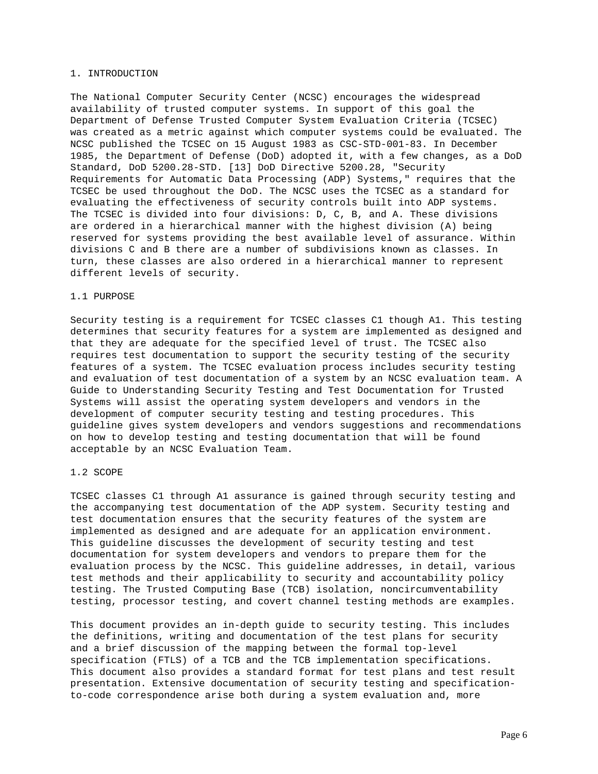#### 1. INTRODUCTION

The National Computer Security Center (NCSC) encourages the widespread availability of trusted computer systems. In support of this goal the Department of Defense Trusted Computer System Evaluation Criteria (TCSEC) was created as a metric against which computer systems could be evaluated. The NCSC published the TCSEC on 15 August 1983 as CSC-STD-001-83. In December 1985, the Department of Defense (DoD) adopted it, with a few changes, as a DoD Standard, DoD 5200.28-STD. [13] DoD Directive 5200.28, "Security Requirements for Automatic Data Processing (ADP) Systems," requires that the TCSEC be used throughout the DoD. The NCSC uses the TCSEC as a standard for evaluating the effectiveness of security controls built into ADP systems. The TCSEC is divided into four divisions: D, C, B, and A. These divisions are ordered in a hierarchical manner with the highest division (A) being reserved for systems providing the best available level of assurance. Within divisions C and B there are a number of subdivisions known as classes. In turn, these classes are also ordered in a hierarchical manner to represent different levels of security.

### 1.1 PURPOSE

Security testing is a requirement for TCSEC classes C1 though A1. This testing determines that security features for a system are implemented as designed and that they are adequate for the specified level of trust. The TCSEC also requires test documentation to support the security testing of the security features of a system. The TCSEC evaluation process includes security testing and evaluation of test documentation of a system by an NCSC evaluation team. A Guide to Understanding Security Testing and Test Documentation for Trusted Systems will assist the operating system developers and vendors in the development of computer security testing and testing procedures. This guideline gives system developers and vendors suggestions and recommendations on how to develop testing and testing documentation that will be found acceptable by an NCSC Evaluation Team.

# 1.2 SCOPE

TCSEC classes C1 through A1 assurance is gained through security testing and the accompanying test documentation of the ADP system. Security testing and test documentation ensures that the security features of the system are implemented as designed and are adequate for an application environment. This guideline discusses the development of security testing and test documentation for system developers and vendors to prepare them for the evaluation process by the NCSC. This guideline addresses, in detail, various test methods and their applicability to security and accountability policy testing. The Trusted Computing Base (TCB) isolation, noncircumventability testing, processor testing, and covert channel testing methods are examples.

This document provides an in-depth guide to security testing. This includes the definitions, writing and documentation of the test plans for security and a brief discussion of the mapping between the formal top-level specification (FTLS) of a TCB and the TCB implementation specifications. This document also provides a standard format for test plans and test result presentation. Extensive documentation of security testing and specificationto-code correspondence arise both during a system evaluation and, more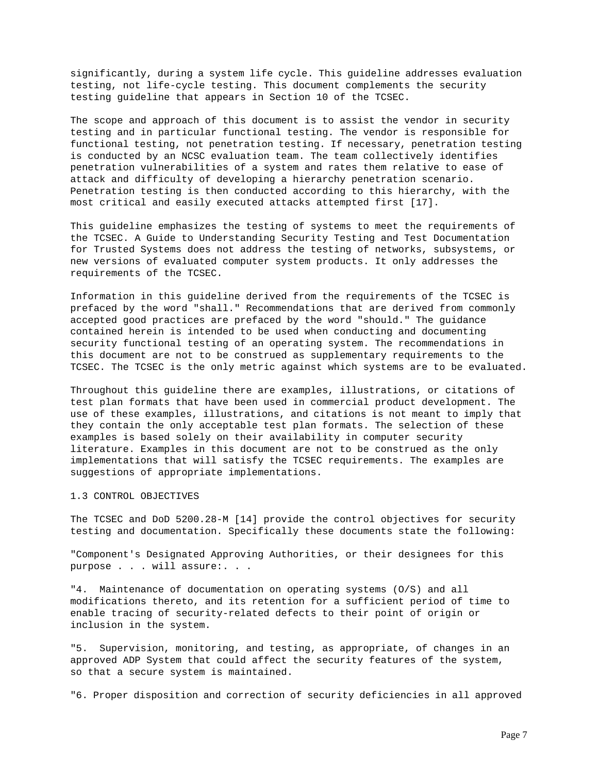significantly, during a system life cycle. This guideline addresses evaluation testing, not life-cycle testing. This document complements the security testing guideline that appears in Section 10 of the TCSEC.

The scope and approach of this document is to assist the vendor in security testing and in particular functional testing. The vendor is responsible for functional testing, not penetration testing. If necessary, penetration testing is conducted by an NCSC evaluation team. The team collectively identifies penetration vulnerabilities of a system and rates them relative to ease of attack and difficulty of developing a hierarchy penetration scenario. Penetration testing is then conducted according to this hierarchy, with the most critical and easily executed attacks attempted first [17].

This guideline emphasizes the testing of systems to meet the requirements of the TCSEC. A Guide to Understanding Security Testing and Test Documentation for Trusted Systems does not address the testing of networks, subsystems, or new versions of evaluated computer system products. It only addresses the requirements of the TCSEC.

Information in this guideline derived from the requirements of the TCSEC is prefaced by the word "shall." Recommendations that are derived from commonly accepted good practices are prefaced by the word "should." The guidance contained herein is intended to be used when conducting and documenting security functional testing of an operating system. The recommendations in this document are not to be construed as supplementary requirements to the TCSEC. The TCSEC is the only metric against which systems are to be evaluated.

Throughout this guideline there are examples, illustrations, or citations of test plan formats that have been used in commercial product development. The use of these examples, illustrations, and citations is not meant to imply that they contain the only acceptable test plan formats. The selection of these examples is based solely on their availability in computer security literature. Examples in this document are not to be construed as the only implementations that will satisfy the TCSEC requirements. The examples are suggestions of appropriate implementations.

### 1.3 CONTROL OBJECTIVES

The TCSEC and DoD 5200.28-M [14] provide the control objectives for security testing and documentation. Specifically these documents state the following:

"Component's Designated Approving Authorities, or their designees for this purpose . . . will assure:. . .

"4. Maintenance of documentation on operating systems (O/S) and all modifications thereto, and its retention for a sufficient period of time to enable tracing of security-related defects to their point of origin or inclusion in the system.

"5. Supervision, monitoring, and testing, as appropriate, of changes in an approved ADP System that could affect the security features of the system, so that a secure system is maintained.

"6. Proper disposition and correction of security deficiencies in all approved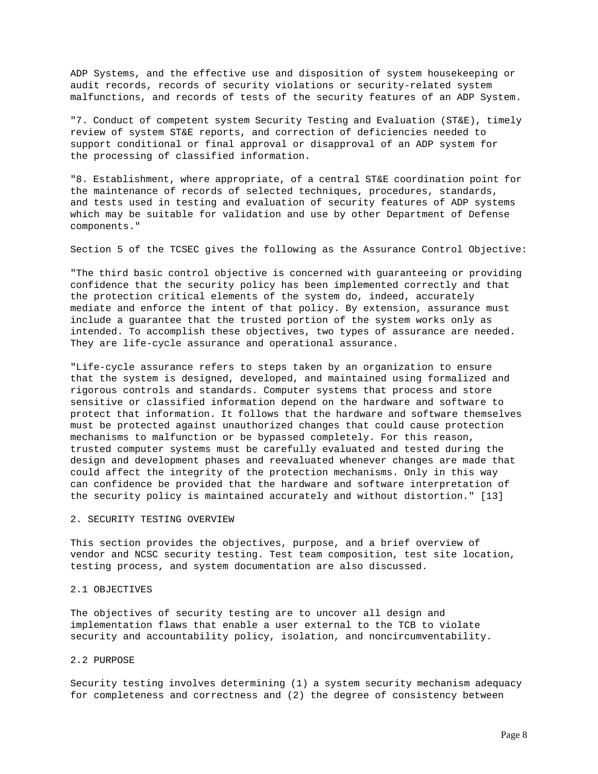ADP Systems, and the effective use and disposition of system housekeeping or audit records, records of security violations or security-related system malfunctions, and records of tests of the security features of an ADP System.

"7. Conduct of competent system Security Testing and Evaluation (ST&E), timely review of system ST&E reports, and correction of deficiencies needed to support conditional or final approval or disapproval of an ADP system for the processing of classified information.

"8. Establishment, where appropriate, of a central ST&E coordination point for the maintenance of records of selected techniques, procedures, standards, and tests used in testing and evaluation of security features of ADP systems which may be suitable for validation and use by other Department of Defense components."

Section 5 of the TCSEC gives the following as the Assurance Control Objective:

"The third basic control objective is concerned with guaranteeing or providing confidence that the security policy has been implemented correctly and that the protection critical elements of the system do, indeed, accurately mediate and enforce the intent of that policy. By extension, assurance must include a guarantee that the trusted portion of the system works only as intended. To accomplish these objectives, two types of assurance are needed. They are life-cycle assurance and operational assurance.

"Life-cycle assurance refers to steps taken by an organization to ensure that the system is designed, developed, and maintained using formalized and rigorous controls and standards. Computer systems that process and store sensitive or classified information depend on the hardware and software to protect that information. It follows that the hardware and software themselves must be protected against unauthorized changes that could cause protection mechanisms to malfunction or be bypassed completely. For this reason, trusted computer systems must be carefully evaluated and tested during the design and development phases and reevaluated whenever changes are made that could affect the integrity of the protection mechanisms. Only in this way can confidence be provided that the hardware and software interpretation of the security policy is maintained accurately and without distortion." [13]

# 2. SECURITY TESTING OVERVIEW

This section provides the objectives, purpose, and a brief overview of vendor and NCSC security testing. Test team composition, test site location, testing process, and system documentation are also discussed.

# 2.1 OBJECTIVES

The objectives of security testing are to uncover all design and implementation flaws that enable a user external to the TCB to violate security and accountability policy, isolation, and noncircumventability.

### 2.2 PURPOSE

Security testing involves determining (1) a system security mechanism adequacy for completeness and correctness and (2) the degree of consistency between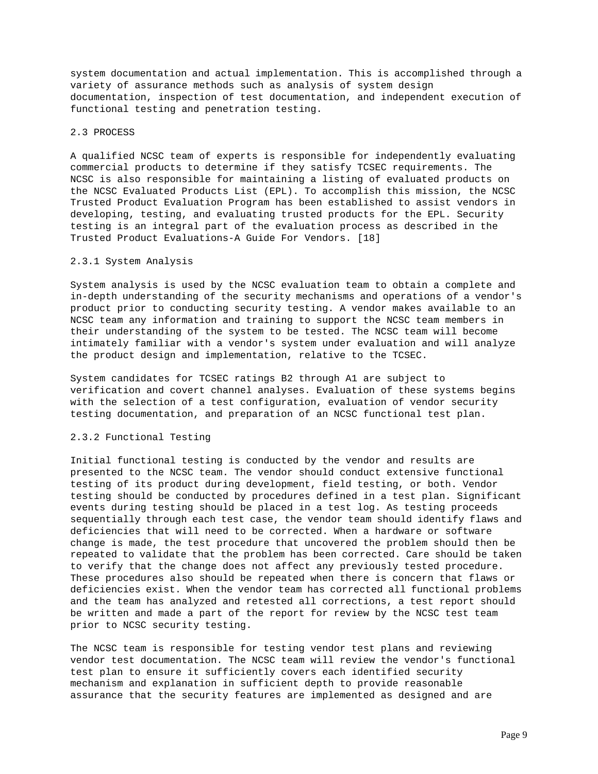system documentation and actual implementation. This is accomplished through a variety of assurance methods such as analysis of system design documentation, inspection of test documentation, and independent execution of functional testing and penetration testing.

# 2.3 PROCESS

A qualified NCSC team of experts is responsible for independently evaluating commercial products to determine if they satisfy TCSEC requirements. The NCSC is also responsible for maintaining a listing of evaluated products on the NCSC Evaluated Products List (EPL). To accomplish this mission, the NCSC Trusted Product Evaluation Program has been established to assist vendors in developing, testing, and evaluating trusted products for the EPL. Security testing is an integral part of the evaluation process as described in the Trusted Product Evaluations-A Guide For Vendors. [18]

### 2.3.1 System Analysis

System analysis is used by the NCSC evaluation team to obtain a complete and in-depth understanding of the security mechanisms and operations of a vendor's product prior to conducting security testing. A vendor makes available to an NCSC team any information and training to support the NCSC team members in their understanding of the system to be tested. The NCSC team will become intimately familiar with a vendor's system under evaluation and will analyze the product design and implementation, relative to the TCSEC.

System candidates for TCSEC ratings B2 through A1 are subject to verification and covert channel analyses. Evaluation of these systems begins with the selection of a test configuration, evaluation of vendor security testing documentation, and preparation of an NCSC functional test plan.

### 2.3.2 Functional Testing

Initial functional testing is conducted by the vendor and results are presented to the NCSC team. The vendor should conduct extensive functional testing of its product during development, field testing, or both. Vendor testing should be conducted by procedures defined in a test plan. Significant events during testing should be placed in a test log. As testing proceeds sequentially through each test case, the vendor team should identify flaws and deficiencies that will need to be corrected. When a hardware or software change is made, the test procedure that uncovered the problem should then be repeated to validate that the problem has been corrected. Care should be taken to verify that the change does not affect any previously tested procedure. These procedures also should be repeated when there is concern that flaws or deficiencies exist. When the vendor team has corrected all functional problems and the team has analyzed and retested all corrections, a test report should be written and made a part of the report for review by the NCSC test team prior to NCSC security testing.

The NCSC team is responsible for testing vendor test plans and reviewing vendor test documentation. The NCSC team will review the vendor's functional test plan to ensure it sufficiently covers each identified security mechanism and explanation in sufficient depth to provide reasonable assurance that the security features are implemented as designed and are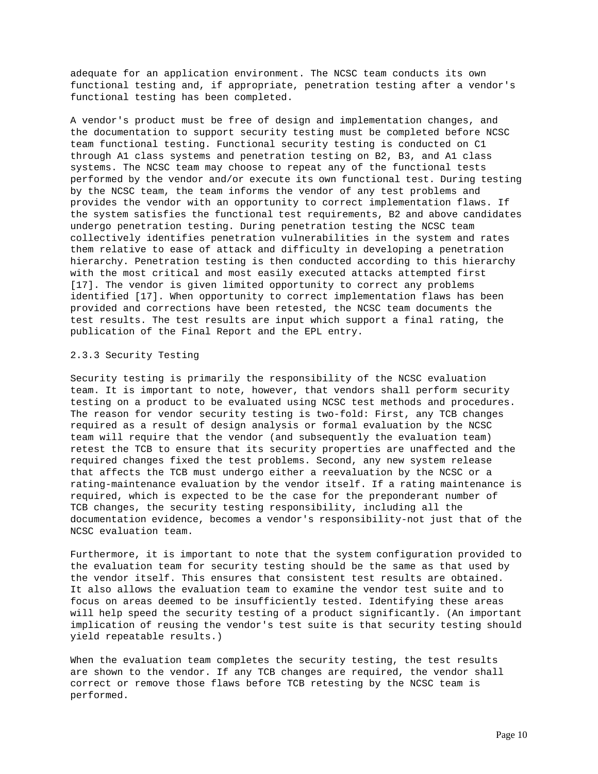adequate for an application environment. The NCSC team conducts its own functional testing and, if appropriate, penetration testing after a vendor's functional testing has been completed.

A vendor's product must be free of design and implementation changes, and the documentation to support security testing must be completed before NCSC team functional testing. Functional security testing is conducted on C1 through A1 class systems and penetration testing on B2, B3, and A1 class systems. The NCSC team may choose to repeat any of the functional tests performed by the vendor and/or execute its own functional test. During testing by the NCSC team, the team informs the vendor of any test problems and provides the vendor with an opportunity to correct implementation flaws. If the system satisfies the functional test requirements, B2 and above candidates undergo penetration testing. During penetration testing the NCSC team collectively identifies penetration vulnerabilities in the system and rates them relative to ease of attack and difficulty in developing a penetration hierarchy. Penetration testing is then conducted according to this hierarchy with the most critical and most easily executed attacks attempted first [17]. The vendor is given limited opportunity to correct any problems identified [17]. When opportunity to correct implementation flaws has been provided and corrections have been retested, the NCSC team documents the test results. The test results are input which support a final rating, the publication of the Final Report and the EPL entry.

#### 2.3.3 Security Testing

Security testing is primarily the responsibility of the NCSC evaluation team. It is important to note, however, that vendors shall perform security testing on a product to be evaluated using NCSC test methods and procedures. The reason for vendor security testing is two-fold: First, any TCB changes required as a result of design analysis or formal evaluation by the NCSC team will require that the vendor (and subsequently the evaluation team) retest the TCB to ensure that its security properties are unaffected and the required changes fixed the test problems. Second, any new system release that affects the TCB must undergo either a reevaluation by the NCSC or a rating-maintenance evaluation by the vendor itself. If a rating maintenance is required, which is expected to be the case for the preponderant number of TCB changes, the security testing responsibility, including all the documentation evidence, becomes a vendor's responsibility-not just that of the NCSC evaluation team.

Furthermore, it is important to note that the system configuration provided to the evaluation team for security testing should be the same as that used by the vendor itself. This ensures that consistent test results are obtained. It also allows the evaluation team to examine the vendor test suite and to focus on areas deemed to be insufficiently tested. Identifying these areas will help speed the security testing of a product significantly. (An important implication of reusing the vendor's test suite is that security testing should yield repeatable results.)

When the evaluation team completes the security testing, the test results are shown to the vendor. If any TCB changes are required, the vendor shall correct or remove those flaws before TCB retesting by the NCSC team is performed.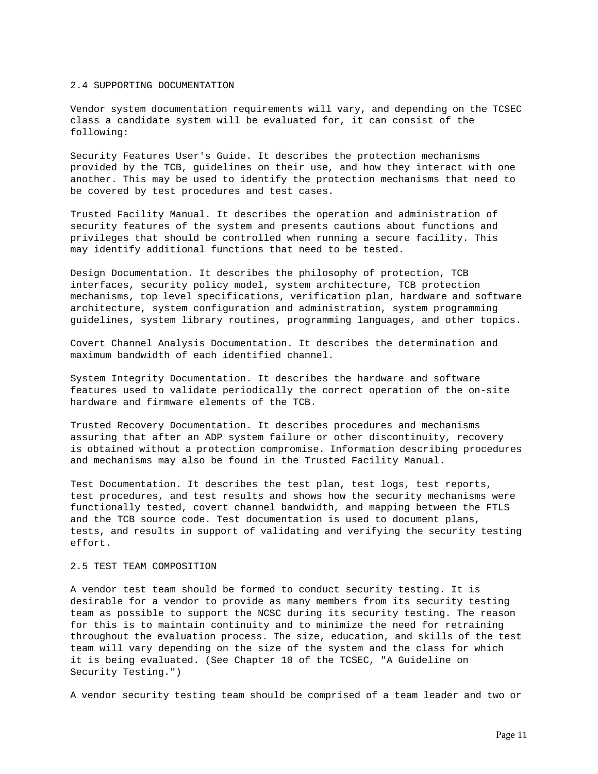#### 2.4 SUPPORTING DOCUMENTATION

Vendor system documentation requirements will vary, and depending on the TCSEC class a candidate system will be evaluated for, it can consist of the following:

Security Features User's Guide. It describes the protection mechanisms provided by the TCB, guidelines on their use, and how they interact with one another. This may be used to identify the protection mechanisms that need to be covered by test procedures and test cases.

Trusted Facility Manual. It describes the operation and administration of security features of the system and presents cautions about functions and privileges that should be controlled when running a secure facility. This may identify additional functions that need to be tested.

Design Documentation. It describes the philosophy of protection, TCB interfaces, security policy model, system architecture, TCB protection mechanisms, top level specifications, verification plan, hardware and software architecture, system configuration and administration, system programming guidelines, system library routines, programming languages, and other topics.

Covert Channel Analysis Documentation. It describes the determination and maximum bandwidth of each identified channel.

System Integrity Documentation. It describes the hardware and software features used to validate periodically the correct operation of the on-site hardware and firmware elements of the TCB.

Trusted Recovery Documentation. It describes procedures and mechanisms assuring that after an ADP system failure or other discontinuity, recovery is obtained without a protection compromise. Information describing procedures and mechanisms may also be found in the Trusted Facility Manual.

Test Documentation. It describes the test plan, test logs, test reports, test procedures, and test results and shows how the security mechanisms were functionally tested, covert channel bandwidth, and mapping between the FTLS and the TCB source code. Test documentation is used to document plans, tests, and results in support of validating and verifying the security testing effort.

### 2.5 TEST TEAM COMPOSITION

A vendor test team should be formed to conduct security testing. It is desirable for a vendor to provide as many members from its security testing team as possible to support the NCSC during its security testing. The reason for this is to maintain continuity and to minimize the need for retraining throughout the evaluation process. The size, education, and skills of the test team will vary depending on the size of the system and the class for which it is being evaluated. (See Chapter 10 of the TCSEC, "A Guideline on Security Testing.")

A vendor security testing team should be comprised of a team leader and two or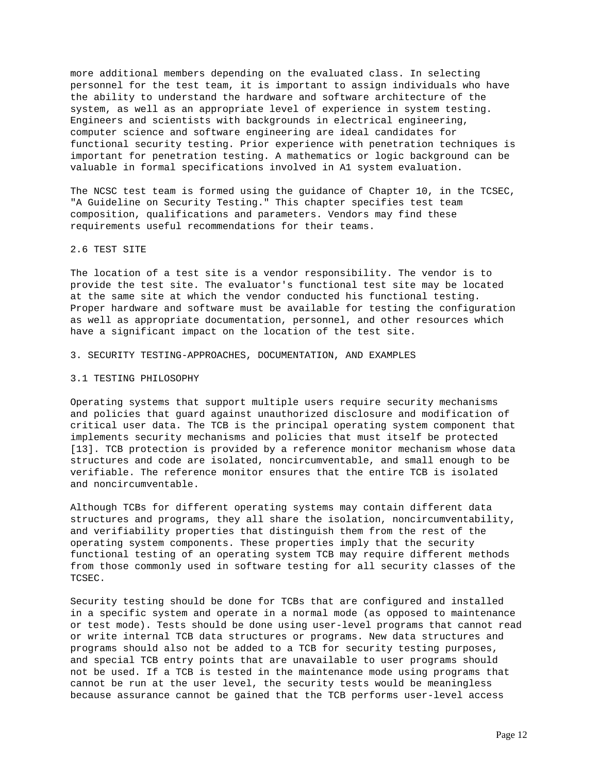more additional members depending on the evaluated class. In selecting personnel for the test team, it is important to assign individuals who have the ability to understand the hardware and software architecture of the system, as well as an appropriate level of experience in system testing. Engineers and scientists with backgrounds in electrical engineering, computer science and software engineering are ideal candidates for functional security testing. Prior experience with penetration techniques is important for penetration testing. A mathematics or logic background can be valuable in formal specifications involved in A1 system evaluation.

The NCSC test team is formed using the guidance of Chapter 10, in the TCSEC, "A Guideline on Security Testing." This chapter specifies test team composition, qualifications and parameters. Vendors may find these requirements useful recommendations for their teams.

#### 2.6 TEST SITE

The location of a test site is a vendor responsibility. The vendor is to provide the test site. The evaluator's functional test site may be located at the same site at which the vendor conducted his functional testing. Proper hardware and software must be available for testing the configuration as well as appropriate documentation, personnel, and other resources which have a significant impact on the location of the test site.

### 3. SECURITY TESTING-APPROACHES, DOCUMENTATION, AND EXAMPLES

#### 3.1 TESTING PHILOSOPHY

Operating systems that support multiple users require security mechanisms and policies that guard against unauthorized disclosure and modification of critical user data. The TCB is the principal operating system component that implements security mechanisms and policies that must itself be protected [13]. TCB protection is provided by a reference monitor mechanism whose data structures and code are isolated, noncircumventable, and small enough to be verifiable. The reference monitor ensures that the entire TCB is isolated and noncircumventable.

Although TCBs for different operating systems may contain different data structures and programs, they all share the isolation, noncircumventability, and verifiability properties that distinguish them from the rest of the operating system components. These properties imply that the security functional testing of an operating system TCB may require different methods from those commonly used in software testing for all security classes of the TCSEC.

Security testing should be done for TCBs that are configured and installed in a specific system and operate in a normal mode (as opposed to maintenance or test mode). Tests should be done using user-level programs that cannot read or write internal TCB data structures or programs. New data structures and programs should also not be added to a TCB for security testing purposes, and special TCB entry points that are unavailable to user programs should not be used. If a TCB is tested in the maintenance mode using programs that cannot be run at the user level, the security tests would be meaningless because assurance cannot be gained that the TCB performs user-level access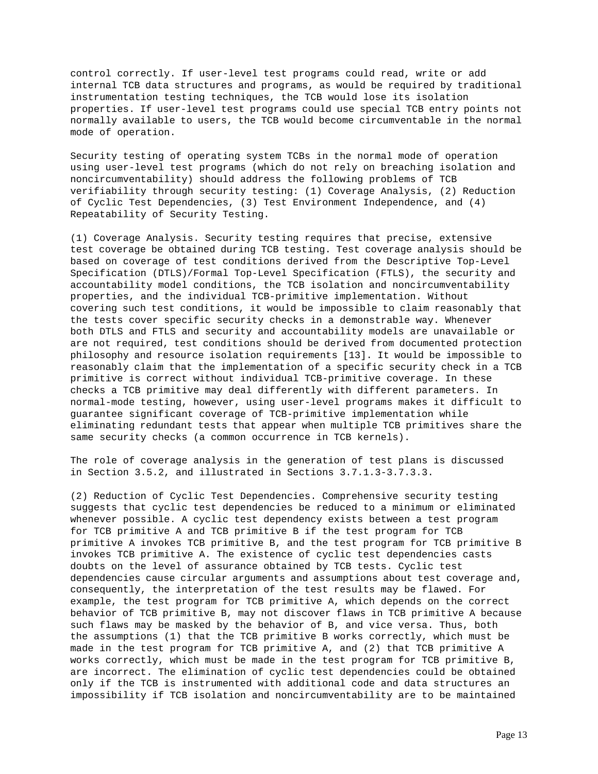control correctly. If user-level test programs could read, write or add internal TCB data structures and programs, as would be required by traditional instrumentation testing techniques, the TCB would lose its isolation properties. If user-level test programs could use special TCB entry points not normally available to users, the TCB would become circumventable in the normal mode of operation.

Security testing of operating system TCBs in the normal mode of operation using user-level test programs (which do not rely on breaching isolation and noncircumventability) should address the following problems of TCB verifiability through security testing: (1) Coverage Analysis, (2) Reduction of Cyclic Test Dependencies, (3) Test Environment Independence, and (4) Repeatability of Security Testing.

(1) Coverage Analysis. Security testing requires that precise, extensive test coverage be obtained during TCB testing. Test coverage analysis should be based on coverage of test conditions derived from the Descriptive Top-Level Specification (DTLS)/Formal Top-Level Specification (FTLS), the security and accountability model conditions, the TCB isolation and noncircumventability properties, and the individual TCB-primitive implementation. Without covering such test conditions, it would be impossible to claim reasonably that the tests cover specific security checks in a demonstrable way. Whenever both DTLS and FTLS and security and accountability models are unavailable or are not required, test conditions should be derived from documented protection philosophy and resource isolation requirements [13]. It would be impossible to reasonably claim that the implementation of a specific security check in a TCB primitive is correct without individual TCB-primitive coverage. In these checks a TCB primitive may deal differently with different parameters. In normal-mode testing, however, using user-level programs makes it difficult to guarantee significant coverage of TCB-primitive implementation while eliminating redundant tests that appear when multiple TCB primitives share the same security checks (a common occurrence in TCB kernels).

The role of coverage analysis in the generation of test plans is discussed in Section 3.5.2, and illustrated in Sections 3.7.1.3-3.7.3.3.

(2) Reduction of Cyclic Test Dependencies. Comprehensive security testing suggests that cyclic test dependencies be reduced to a minimum or eliminated whenever possible. A cyclic test dependency exists between a test program for TCB primitive A and TCB primitive B if the test program for TCB primitive A invokes TCB primitive B, and the test program for TCB primitive B invokes TCB primitive A. The existence of cyclic test dependencies casts doubts on the level of assurance obtained by TCB tests. Cyclic test dependencies cause circular arguments and assumptions about test coverage and, consequently, the interpretation of the test results may be flawed. For example, the test program for TCB primitive A, which depends on the correct behavior of TCB primitive B, may not discover flaws in TCB primitive A because such flaws may be masked by the behavior of B, and vice versa. Thus, both the assumptions (1) that the TCB primitive B works correctly, which must be made in the test program for TCB primitive A, and (2) that TCB primitive A works correctly, which must be made in the test program for TCB primitive B, are incorrect. The elimination of cyclic test dependencies could be obtained only if the TCB is instrumented with additional code and data structures an impossibility if TCB isolation and noncircumventability are to be maintained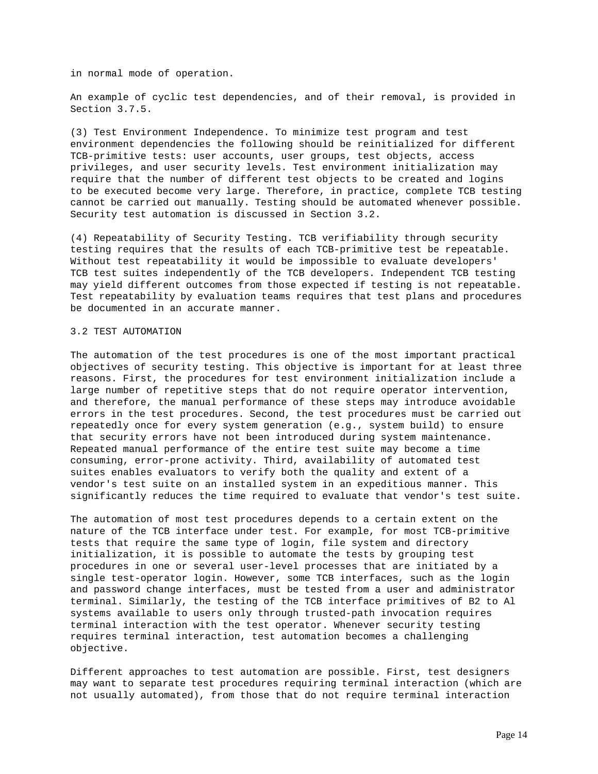in normal mode of operation.

An example of cyclic test dependencies, and of their removal, is provided in Section 3.7.5.

(3) Test Environment Independence. To minimize test program and test environment dependencies the following should be reinitialized for different TCB-primitive tests: user accounts, user groups, test objects, access privileges, and user security levels. Test environment initialization may require that the number of different test objects to be created and logins to be executed become very large. Therefore, in practice, complete TCB testing cannot be carried out manually. Testing should be automated whenever possible. Security test automation is discussed in Section 3.2.

(4) Repeatability of Security Testing. TCB verifiability through security testing requires that the results of each TCB-primitive test be repeatable. Without test repeatability it would be impossible to evaluate developers' TCB test suites independently of the TCB developers. Independent TCB testing may yield different outcomes from those expected if testing is not repeatable. Test repeatability by evaluation teams requires that test plans and procedures be documented in an accurate manner.

### 3.2 TEST AUTOMATION

The automation of the test procedures is one of the most important practical objectives of security testing. This objective is important for at least three reasons. First, the procedures for test environment initialization include a large number of repetitive steps that do not require operator intervention, and therefore, the manual performance of these steps may introduce avoidable errors in the test procedures. Second, the test procedures must be carried out repeatedly once for every system generation (e.g., system build) to ensure that security errors have not been introduced during system maintenance. Repeated manual performance of the entire test suite may become a time consuming, error-prone activity. Third, availability of automated test suites enables evaluators to verify both the quality and extent of a vendor's test suite on an installed system in an expeditious manner. This significantly reduces the time required to evaluate that vendor's test suite.

The automation of most test procedures depends to a certain extent on the nature of the TCB interface under test. For example, for most TCB-primitive tests that require the same type of login, file system and directory initialization, it is possible to automate the tests by grouping test procedures in one or several user-level processes that are initiated by a single test-operator login. However, some TCB interfaces, such as the login and password change interfaces, must be tested from a user and administrator terminal. Similarly, the testing of the TCB interface primitives of B2 to Al systems available to users only through trusted-path invocation requires terminal interaction with the test operator. Whenever security testing requires terminal interaction, test automation becomes a challenging objective.

Different approaches to test automation are possible. First, test designers may want to separate test procedures requiring terminal interaction (which are not usually automated), from those that do not require terminal interaction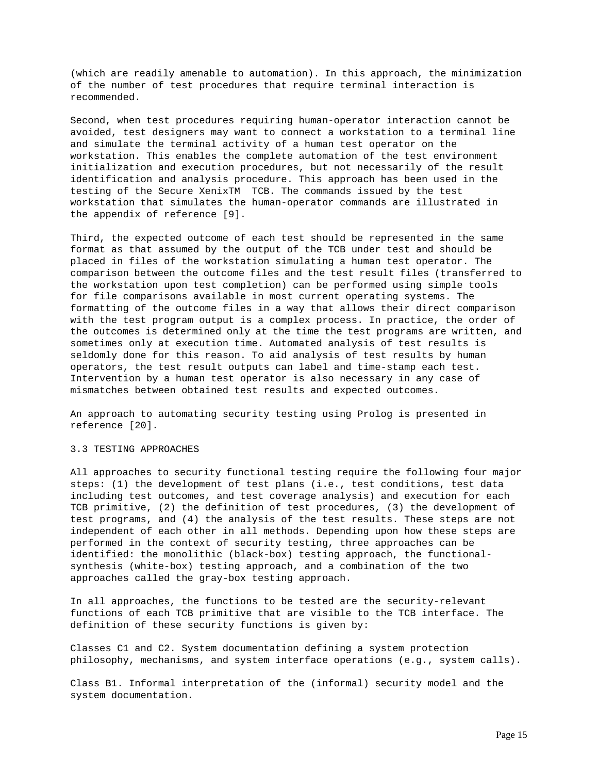(which are readily amenable to automation). In this approach, the minimization of the number of test procedures that require terminal interaction is recommended.

Second, when test procedures requiring human-operator interaction cannot be avoided, test designers may want to connect a workstation to a terminal line and simulate the terminal activity of a human test operator on the workstation. This enables the complete automation of the test environment initialization and execution procedures, but not necessarily of the result identification and analysis procedure. This approach has been used in the testing of the Secure XenixTM TCB. The commands issued by the test workstation that simulates the human-operator commands are illustrated in the appendix of reference [9].

Third, the expected outcome of each test should be represented in the same format as that assumed by the output of the TCB under test and should be placed in files of the workstation simulating a human test operator. The comparison between the outcome files and the test result files (transferred to the workstation upon test completion) can be performed using simple tools for file comparisons available in most current operating systems. The formatting of the outcome files in a way that allows their direct comparison with the test program output is a complex process. In practice, the order of the outcomes is determined only at the time the test programs are written, and sometimes only at execution time. Automated analysis of test results is seldomly done for this reason. To aid analysis of test results by human operators, the test result outputs can label and time-stamp each test. Intervention by a human test operator is also necessary in any case of mismatches between obtained test results and expected outcomes.

An approach to automating security testing using Prolog is presented in reference [20].

# 3.3 TESTING APPROACHES

All approaches to security functional testing require the following four major steps: (1) the development of test plans (i.e., test conditions, test data including test outcomes, and test coverage analysis) and execution for each TCB primitive, (2) the definition of test procedures, (3) the development of test programs, and (4) the analysis of the test results. These steps are not independent of each other in all methods. Depending upon how these steps are performed in the context of security testing, three approaches can be identified: the monolithic (black-box) testing approach, the functionalsynthesis (white-box) testing approach, and a combination of the two approaches called the gray-box testing approach.

In all approaches, the functions to be tested are the security-relevant functions of each TCB primitive that are visible to the TCB interface. The definition of these security functions is given by:

Classes C1 and C2. System documentation defining a system protection philosophy, mechanisms, and system interface operations (e.g., system calls).

Class B1. Informal interpretation of the (informal) security model and the system documentation.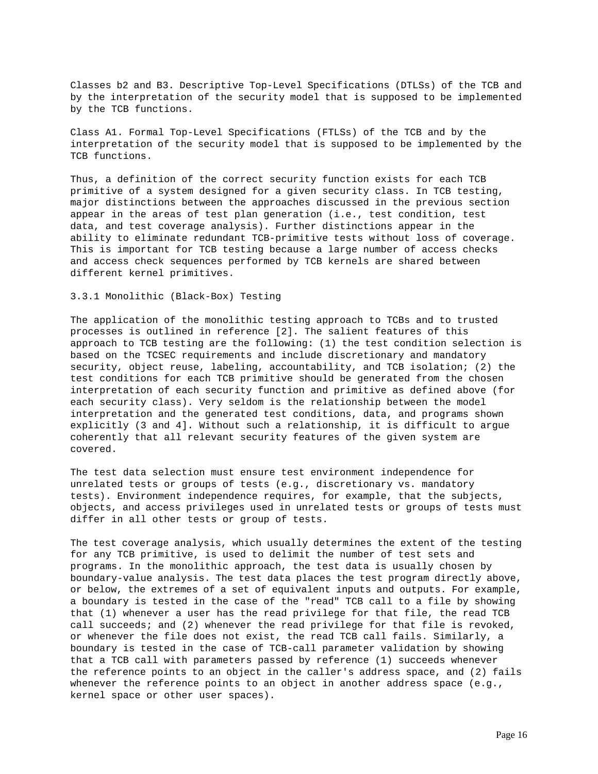Classes b2 and B3. Descriptive Top-Level Specifications (DTLSs) of the TCB and by the interpretation of the security model that is supposed to be implemented by the TCB functions.

Class A1. Formal Top-Level Specifications (FTLSs) of the TCB and by the interpretation of the security model that is supposed to be implemented by the TCB functions.

Thus, a definition of the correct security function exists for each TCB primitive of a system designed for a given security class. In TCB testing, major distinctions between the approaches discussed in the previous section appear in the areas of test plan generation (i.e., test condition, test data, and test coverage analysis). Further distinctions appear in the ability to eliminate redundant TCB-primitive tests without loss of coverage. This is important for TCB testing because a large number of access checks and access check sequences performed by TCB kernels are shared between different kernel primitives.

# 3.3.1 Monolithic (Black-Box) Testing

The application of the monolithic testing approach to TCBs and to trusted processes is outlined in reference [2]. The salient features of this approach to TCB testing are the following: (1) the test condition selection is based on the TCSEC requirements and include discretionary and mandatory security, object reuse, labeling, accountability, and TCB isolation; (2) the test conditions for each TCB primitive should be generated from the chosen interpretation of each security function and primitive as defined above (for each security class). Very seldom is the relationship between the model interpretation and the generated test conditions, data, and programs shown explicitly (3 and 4]. Without such a relationship, it is difficult to argue coherently that all relevant security features of the given system are covered.

The test data selection must ensure test environment independence for unrelated tests or groups of tests (e.g., discretionary vs. mandatory tests). Environment independence requires, for example, that the subjects, objects, and access privileges used in unrelated tests or groups of tests must differ in all other tests or group of tests.

The test coverage analysis, which usually determines the extent of the testing for any TCB primitive, is used to delimit the number of test sets and programs. In the monolithic approach, the test data is usually chosen by boundary-value analysis. The test data places the test program directly above, or below, the extremes of a set of equivalent inputs and outputs. For example, a boundary is tested in the case of the "read" TCB call to a file by showing that (1) whenever a user has the read privilege for that file, the read TCB call succeeds; and (2) whenever the read privilege for that file is revoked, or whenever the file does not exist, the read TCB call fails. Similarly, a boundary is tested in the case of TCB-call parameter validation by showing that a TCB call with parameters passed by reference (1) succeeds whenever the reference points to an object in the caller's address space, and (2) fails whenever the reference points to an object in another address space  $(e,q, g)$ kernel space or other user spaces).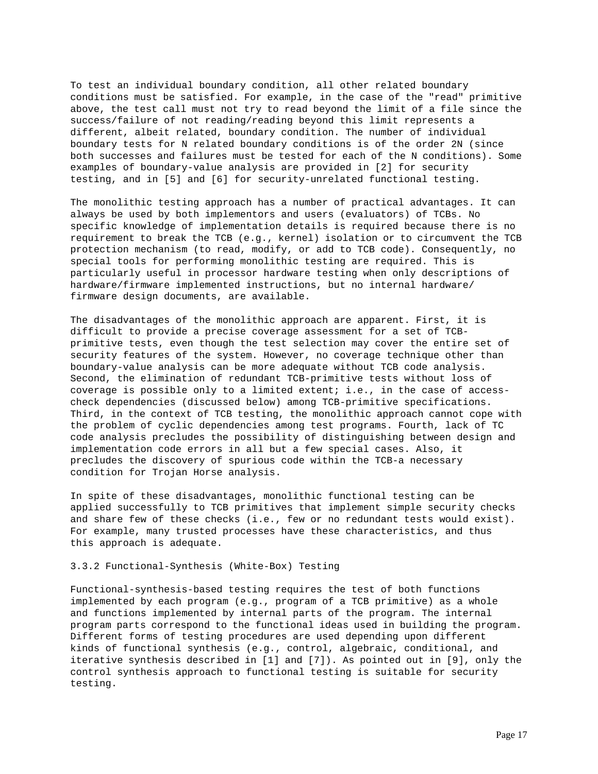To test an individual boundary condition, all other related boundary conditions must be satisfied. For example, in the case of the "read" primitive above, the test call must not try to read beyond the limit of a file since the success/failure of not reading/reading beyond this limit represents a different, albeit related, boundary condition. The number of individual boundary tests for N related boundary conditions is of the order 2N (since both successes and failures must be tested for each of the N conditions). Some examples of boundary-value analysis are provided in [2] for security testing, and in [5] and [6] for security-unrelated functional testing.

The monolithic testing approach has a number of practical advantages. It can always be used by both implementors and users (evaluators) of TCBs. No specific knowledge of implementation details is required because there is no requirement to break the TCB (e.g., kernel) isolation or to circumvent the TCB protection mechanism (to read, modify, or add to TCB code). Consequently, no special tools for performing monolithic testing are required. This is particularly useful in processor hardware testing when only descriptions of hardware/firmware implemented instructions, but no internal hardware/ firmware design documents, are available.

The disadvantages of the monolithic approach are apparent. First, it is difficult to provide a precise coverage assessment for a set of TCBprimitive tests, even though the test selection may cover the entire set of security features of the system. However, no coverage technique other than boundary-value analysis can be more adequate without TCB code analysis. Second, the elimination of redundant TCB-primitive tests without loss of coverage is possible only to a limited extent; i.e., in the case of accesscheck dependencies (discussed below) among TCB-primitive specifications. Third, in the context of TCB testing, the monolithic approach cannot cope with the problem of cyclic dependencies among test programs. Fourth, lack of TC code analysis precludes the possibility of distinguishing between design and implementation code errors in all but a few special cases. Also, it precludes the discovery of spurious code within the TCB-a necessary condition for Trojan Horse analysis.

In spite of these disadvantages, monolithic functional testing can be applied successfully to TCB primitives that implement simple security checks and share few of these checks (i.e., few or no redundant tests would exist). For example, many trusted processes have these characteristics, and thus this approach is adequate.

#### 3.3.2 Functional-Synthesis (White-Box) Testing

Functional-synthesis-based testing requires the test of both functions implemented by each program (e.g., program of a TCB primitive) as a whole and functions implemented by internal parts of the program. The internal program parts correspond to the functional ideas used in building the program. Different forms of testing procedures are used depending upon different kinds of functional synthesis (e.g., control, algebraic, conditional, and iterative synthesis described in [1] and [7]). As pointed out in [9], only the control synthesis approach to functional testing is suitable for security testing.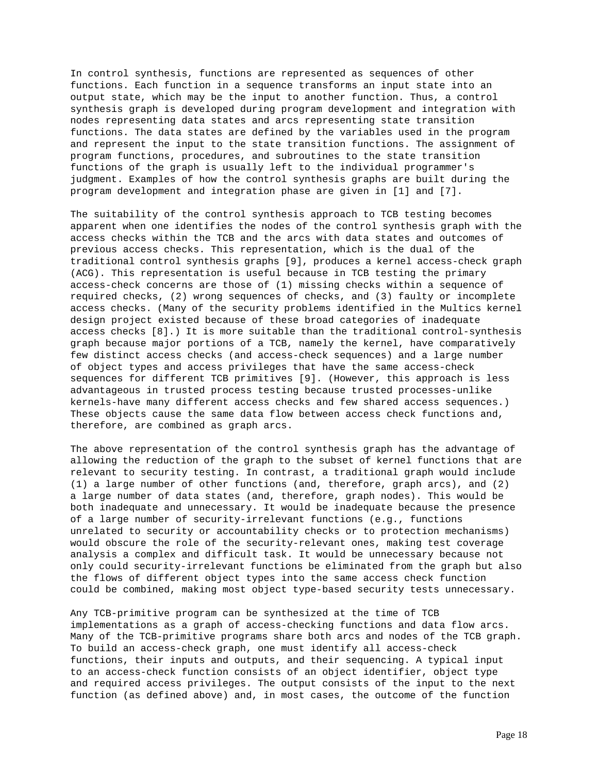In control synthesis, functions are represented as sequences of other functions. Each function in a sequence transforms an input state into an output state, which may be the input to another function. Thus, a control synthesis graph is developed during program development and integration with nodes representing data states and arcs representing state transition functions. The data states are defined by the variables used in the program and represent the input to the state transition functions. The assignment of program functions, procedures, and subroutines to the state transition functions of the graph is usually left to the individual programmer's judgment. Examples of how the control synthesis graphs are built during the program development and integration phase are given in [1] and [7].

The suitability of the control synthesis approach to TCB testing becomes apparent when one identifies the nodes of the control synthesis graph with the access checks within the TCB and the arcs with data states and outcomes of previous access checks. This representation, which is the dual of the traditional control synthesis graphs [9], produces a kernel access-check graph (ACG). This representation is useful because in TCB testing the primary access-check concerns are those of (1) missing checks within a sequence of required checks, (2) wrong sequences of checks, and (3) faulty or incomplete access checks. (Many of the security problems identified in the Multics kernel design project existed because of these broad categories of inadequate access checks [8].) It is more suitable than the traditional control-synthesis graph because major portions of a TCB, namely the kernel, have comparatively few distinct access checks (and access-check sequences) and a large number of object types and access privileges that have the same access-check sequences for different TCB primitives [9]. (However, this approach is less advantageous in trusted process testing because trusted processes-unlike kernels-have many different access checks and few shared access sequences.) These objects cause the same data flow between access check functions and, therefore, are combined as graph arcs.

The above representation of the control synthesis graph has the advantage of allowing the reduction of the graph to the subset of kernel functions that are relevant to security testing. In contrast, a traditional graph would include (1) a large number of other functions (and, therefore, graph arcs), and (2) a large number of data states (and, therefore, graph nodes). This would be both inadequate and unnecessary. It would be inadequate because the presence of a large number of security-irrelevant functions (e.g., functions unrelated to security or accountability checks or to protection mechanisms) would obscure the role of the security-relevant ones, making test coverage analysis a complex and difficult task. It would be unnecessary because not only could security-irrelevant functions be eliminated from the graph but also the flows of different object types into the same access check function could be combined, making most object type-based security tests unnecessary.

Any TCB-primitive program can be synthesized at the time of TCB implementations as a graph of access-checking functions and data flow arcs. Many of the TCB-primitive programs share both arcs and nodes of the TCB graph. To build an access-check graph, one must identify all access-check functions, their inputs and outputs, and their sequencing. A typical input to an access-check function consists of an object identifier, object type and required access privileges. The output consists of the input to the next function (as defined above) and, in most cases, the outcome of the function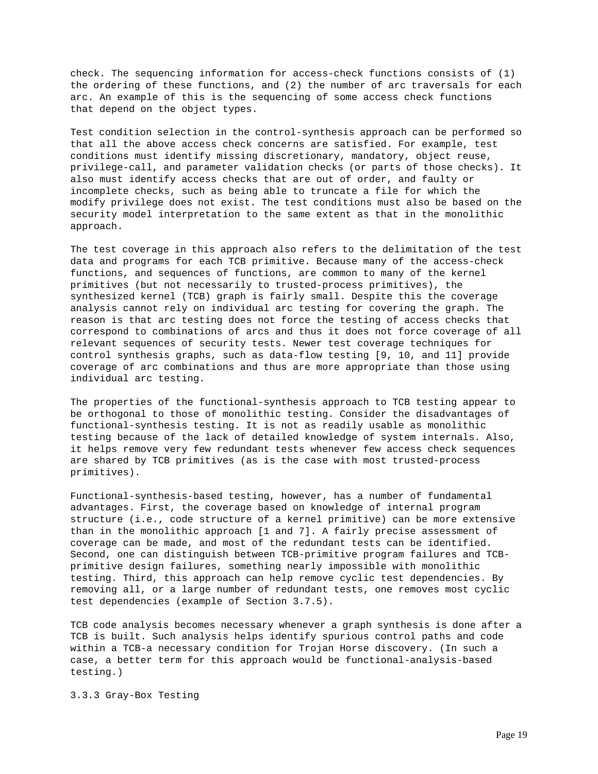check. The sequencing information for access-check functions consists of (1) the ordering of these functions, and (2) the number of arc traversals for each arc. An example of this is the sequencing of some access check functions that depend on the object types.

Test condition selection in the control-synthesis approach can be performed so that all the above access check concerns are satisfied. For example, test conditions must identify missing discretionary, mandatory, object reuse, privilege-call, and parameter validation checks (or parts of those checks). It also must identify access checks that are out of order, and faulty or incomplete checks, such as being able to truncate a file for which the modify privilege does not exist. The test conditions must also be based on the security model interpretation to the same extent as that in the monolithic approach.

The test coverage in this approach also refers to the delimitation of the test data and programs for each TCB primitive. Because many of the access-check functions, and sequences of functions, are common to many of the kernel primitives (but not necessarily to trusted-process primitives), the synthesized kernel (TCB) graph is fairly small. Despite this the coverage analysis cannot rely on individual arc testing for covering the graph. The reason is that arc testing does not force the testing of access checks that correspond to combinations of arcs and thus it does not force coverage of all relevant sequences of security tests. Newer test coverage techniques for control synthesis graphs, such as data-flow testing [9, 10, and 11] provide coverage of arc combinations and thus are more appropriate than those using individual arc testing.

The properties of the functional-synthesis approach to TCB testing appear to be orthogonal to those of monolithic testing. Consider the disadvantages of functional-synthesis testing. It is not as readily usable as monolithic testing because of the lack of detailed knowledge of system internals. Also, it helps remove very few redundant tests whenever few access check sequences are shared by TCB primitives (as is the case with most trusted-process primitives).

Functional-synthesis-based testing, however, has a number of fundamental advantages. First, the coverage based on knowledge of internal program structure (i.e., code structure of a kernel primitive) can be more extensive than in the monolithic approach [1 and 7]. A fairly precise assessment of coverage can be made, and most of the redundant tests can be identified. Second, one can distinguish between TCB-primitive program failures and TCBprimitive design failures, something nearly impossible with monolithic testing. Third, this approach can help remove cyclic test dependencies. By removing all, or a large number of redundant tests, one removes most cyclic test dependencies (example of Section 3.7.5).

TCB code analysis becomes necessary whenever a graph synthesis is done after a TCB is built. Such analysis helps identify spurious control paths and code within a TCB-a necessary condition for Trojan Horse discovery. (In such a case, a better term for this approach would be functional-analysis-based testing.)

3.3.3 Gray-Box Testing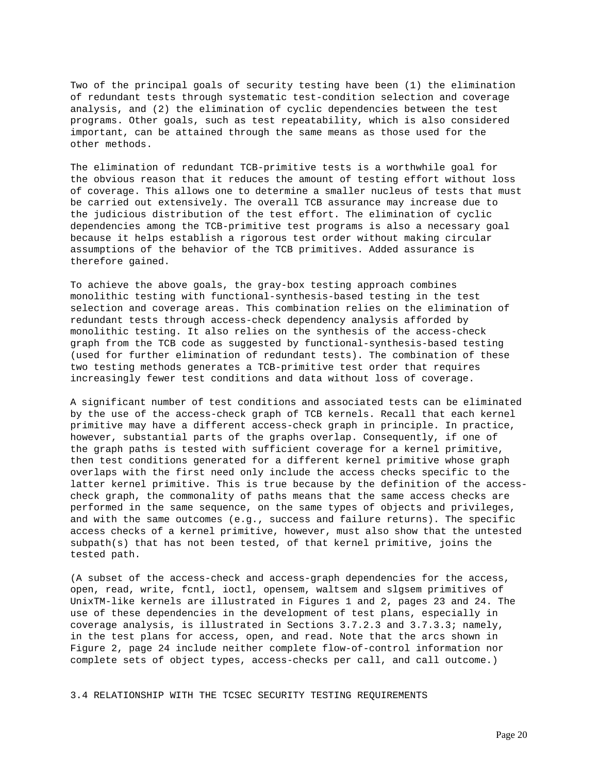Two of the principal goals of security testing have been (1) the elimination of redundant tests through systematic test-condition selection and coverage analysis, and (2) the elimination of cyclic dependencies between the test programs. Other goals, such as test repeatability, which is also considered important, can be attained through the same means as those used for the other methods.

The elimination of redundant TCB-primitive tests is a worthwhile goal for the obvious reason that it reduces the amount of testing effort without loss of coverage. This allows one to determine a smaller nucleus of tests that must be carried out extensively. The overall TCB assurance may increase due to the judicious distribution of the test effort. The elimination of cyclic dependencies among the TCB-primitive test programs is also a necessary goal because it helps establish a rigorous test order without making circular assumptions of the behavior of the TCB primitives. Added assurance is therefore gained.

To achieve the above goals, the gray-box testing approach combines monolithic testing with functional-synthesis-based testing in the test selection and coverage areas. This combination relies on the elimination of redundant tests through access-check dependency analysis afforded by monolithic testing. It also relies on the synthesis of the access-check graph from the TCB code as suggested by functional-synthesis-based testing (used for further elimination of redundant tests). The combination of these two testing methods generates a TCB-primitive test order that requires increasingly fewer test conditions and data without loss of coverage.

A significant number of test conditions and associated tests can be eliminated by the use of the access-check graph of TCB kernels. Recall that each kernel primitive may have a different access-check graph in principle. In practice, however, substantial parts of the graphs overlap. Consequently, if one of the graph paths is tested with sufficient coverage for a kernel primitive, then test conditions generated for a different kernel primitive whose graph overlaps with the first need only include the access checks specific to the latter kernel primitive. This is true because by the definition of the accesscheck graph, the commonality of paths means that the same access checks are performed in the same sequence, on the same types of objects and privileges, and with the same outcomes (e.g., success and failure returns). The specific access checks of a kernel primitive, however, must also show that the untested subpath(s) that has not been tested, of that kernel primitive, joins the tested path.

(A subset of the access-check and access-graph dependencies for the access, open, read, write, fcntl, ioctl, opensem, waltsem and slgsem primitives of UnixTM-like kernels are illustrated in Figures 1 and 2, pages 23 and 24. The use of these dependencies in the development of test plans, especially in coverage analysis, is illustrated in Sections 3.7.2.3 and 3.7.3.3; namely, in the test plans for access, open, and read. Note that the arcs shown in Figure 2, page 24 include neither complete flow-of-control information nor complete sets of object types, access-checks per call, and call outcome.)

3.4 RELATIONSHIP WITH THE TCSEC SECURITY TESTING REQUIREMENTS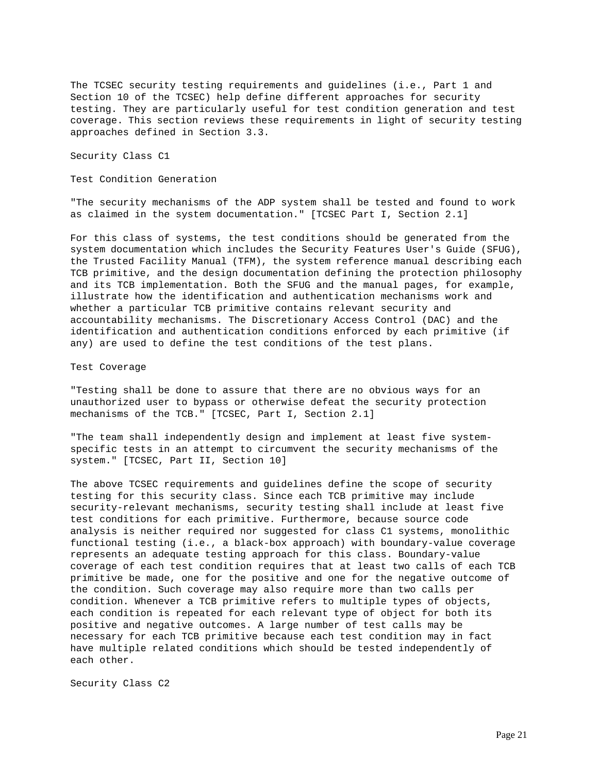The TCSEC security testing requirements and guidelines (i.e., Part 1 and Section 10 of the TCSEC) help define different approaches for security testing. They are particularly useful for test condition generation and test coverage. This section reviews these requirements in light of security testing approaches defined in Section 3.3.

Security Class C1

Test Condition Generation

"The security mechanisms of the ADP system shall be tested and found to work as claimed in the system documentation." [TCSEC Part I, Section 2.1]

For this class of systems, the test conditions should be generated from the system documentation which includes the Security Features User's Guide (SFUG), the Trusted Facility Manual (TFM), the system reference manual describing each TCB primitive, and the design documentation defining the protection philosophy and its TCB implementation. Both the SFUG and the manual pages, for example, illustrate how the identification and authentication mechanisms work and whether a particular TCB primitive contains relevant security and accountability mechanisms. The Discretionary Access Control (DAC) and the identification and authentication conditions enforced by each primitive (if any) are used to define the test conditions of the test plans.

Test Coverage

"Testing shall be done to assure that there are no obvious ways for an unauthorized user to bypass or otherwise defeat the security protection mechanisms of the TCB." [TCSEC, Part I, Section 2.1]

"The team shall independently design and implement at least five systemspecific tests in an attempt to circumvent the security mechanisms of the system." [TCSEC, Part II, Section 10]

The above TCSEC requirements and guidelines define the scope of security testing for this security class. Since each TCB primitive may include security-relevant mechanisms, security testing shall include at least five test conditions for each primitive. Furthermore, because source code analysis is neither required nor suggested for class C1 systems, monolithic functional testing (i.e., a black-box approach) with boundary-value coverage represents an adequate testing approach for this class. Boundary-value coverage of each test condition requires that at least two calls of each TCB primitive be made, one for the positive and one for the negative outcome of the condition. Such coverage may also require more than two calls per condition. Whenever a TCB primitive refers to multiple types of objects, each condition is repeated for each relevant type of object for both its positive and negative outcomes. A large number of test calls may be necessary for each TCB primitive because each test condition may in fact have multiple related conditions which should be tested independently of each other.

Security Class C2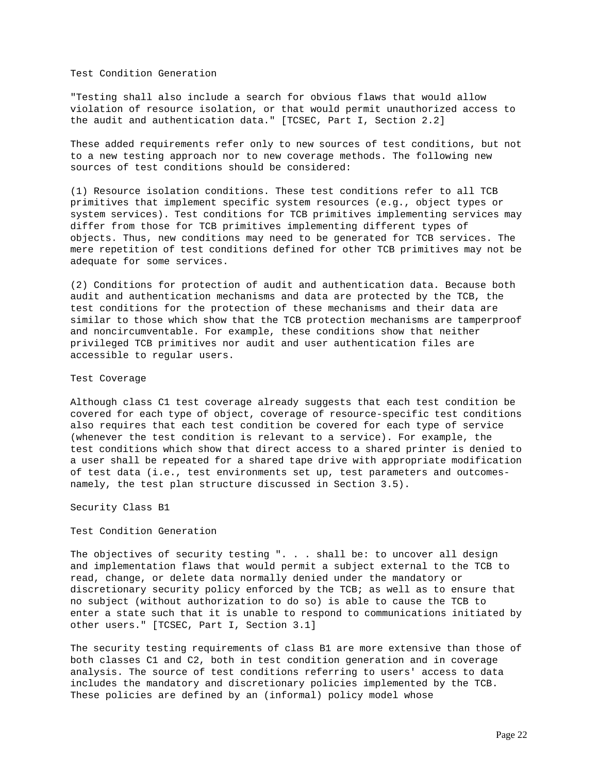Test Condition Generation

"Testing shall also include a search for obvious flaws that would allow violation of resource isolation, or that would permit unauthorized access to the audit and authentication data." [TCSEC, Part I, Section 2.2]

These added requirements refer only to new sources of test conditions, but not to a new testing approach nor to new coverage methods. The following new sources of test conditions should be considered:

(1) Resource isolation conditions. These test conditions refer to all TCB primitives that implement specific system resources (e.g., object types or system services). Test conditions for TCB primitives implementing services may differ from those for TCB primitives implementing different types of objects. Thus, new conditions may need to be generated for TCB services. The mere repetition of test conditions defined for other TCB primitives may not be adequate for some services.

(2) Conditions for protection of audit and authentication data. Because both audit and authentication mechanisms and data are protected by the TCB, the test conditions for the protection of these mechanisms and their data are similar to those which show that the TCB protection mechanisms are tamperproof and noncircumventable. For example, these conditions show that neither privileged TCB primitives nor audit and user authentication files are accessible to regular users.

#### Test Coverage

Although class C1 test coverage already suggests that each test condition be covered for each type of object, coverage of resource-specific test conditions also requires that each test condition be covered for each type of service (whenever the test condition is relevant to a service). For example, the test conditions which show that direct access to a shared printer is denied to a user shall be repeated for a shared tape drive with appropriate modification of test data (i.e., test environments set up, test parameters and outcomesnamely, the test plan structure discussed in Section 3.5).

Security Class B1

Test Condition Generation

The objectives of security testing ". . . shall be: to uncover all design and implementation flaws that would permit a subject external to the TCB to read, change, or delete data normally denied under the mandatory or discretionary security policy enforced by the TCB; as well as to ensure that no subject (without authorization to do so) is able to cause the TCB to enter a state such that it is unable to respond to communications initiated by other users." [TCSEC, Part I, Section 3.1]

The security testing requirements of class B1 are more extensive than those of both classes C1 and C2, both in test condition generation and in coverage analysis. The source of test conditions referring to users' access to data includes the mandatory and discretionary policies implemented by the TCB. These policies are defined by an (informal) policy model whose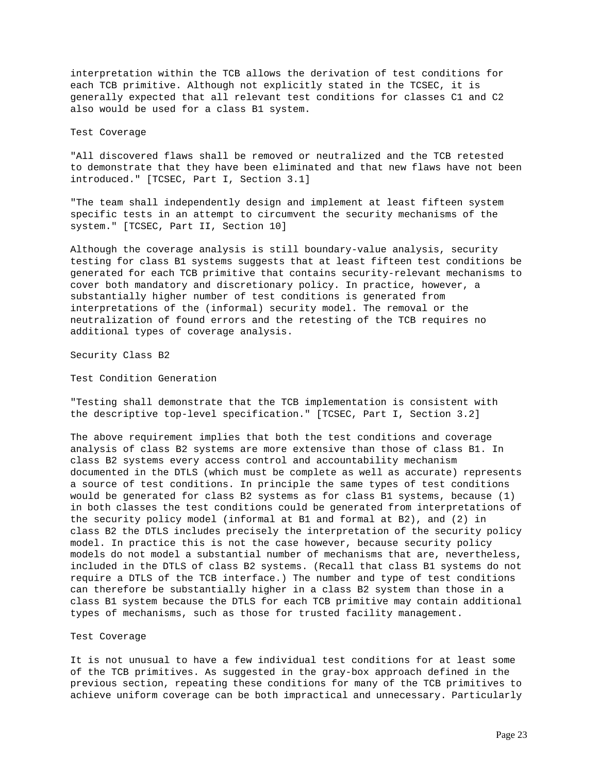interpretation within the TCB allows the derivation of test conditions for each TCB primitive. Although not explicitly stated in the TCSEC, it is generally expected that all relevant test conditions for classes C1 and C2 also would be used for a class B1 system.

Test Coverage

"All discovered flaws shall be removed or neutralized and the TCB retested to demonstrate that they have been eliminated and that new flaws have not been introduced." [TCSEC, Part I, Section 3.1]

"The team shall independently design and implement at least fifteen system specific tests in an attempt to circumvent the security mechanisms of the system." [TCSEC, Part II, Section 10]

Although the coverage analysis is still boundary-value analysis, security testing for class B1 systems suggests that at least fifteen test conditions be generated for each TCB primitive that contains security-relevant mechanisms to cover both mandatory and discretionary policy. In practice, however, a substantially higher number of test conditions is generated from interpretations of the (informal) security model. The removal or the neutralization of found errors and the retesting of the TCB requires no additional types of coverage analysis.

Security Class B2

Test Condition Generation

"Testing shall demonstrate that the TCB implementation is consistent with the descriptive top-level specification." [TCSEC, Part I, Section 3.2]

The above requirement implies that both the test conditions and coverage analysis of class B2 systems are more extensive than those of class B1. In class B2 systems every access control and accountability mechanism documented in the DTLS (which must be complete as well as accurate) represents a source of test conditions. In principle the same types of test conditions would be generated for class B2 systems as for class B1 systems, because (1) in both classes the test conditions could be generated from interpretations of the security policy model (informal at B1 and formal at B2), and (2) in class B2 the DTLS includes precisely the interpretation of the security policy model. In practice this is not the case however, because security policy models do not model a substantial number of mechanisms that are, nevertheless, included in the DTLS of class B2 systems. (Recall that class B1 systems do not require a DTLS of the TCB interface.) The number and type of test conditions can therefore be substantially higher in a class B2 system than those in a class B1 system because the DTLS for each TCB primitive may contain additional types of mechanisms, such as those for trusted facility management.

Test Coverage

It is not unusual to have a few individual test conditions for at least some of the TCB primitives. As suggested in the gray-box approach defined in the previous section, repeating these conditions for many of the TCB primitives to achieve uniform coverage can be both impractical and unnecessary. Particularly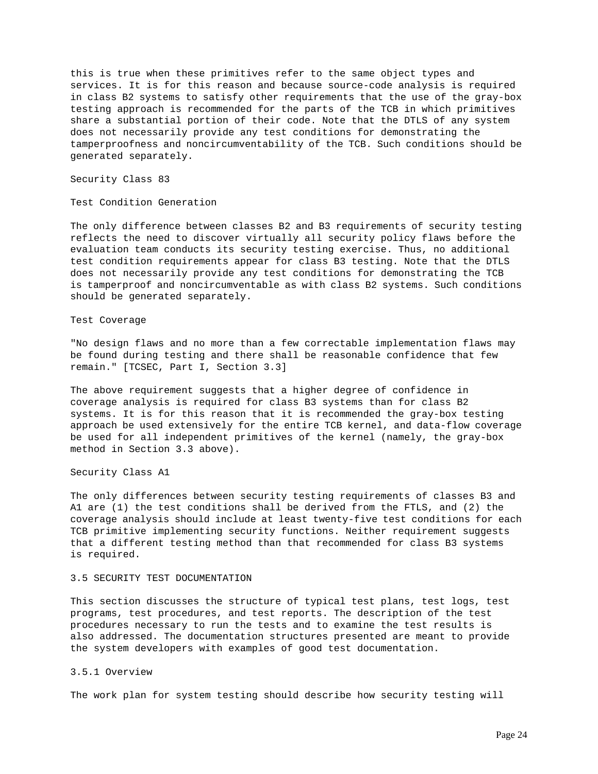this is true when these primitives refer to the same object types and services. It is for this reason and because source-code analysis is required in class B2 systems to satisfy other requirements that the use of the gray-box testing approach is recommended for the parts of the TCB in which primitives share a substantial portion of their code. Note that the DTLS of any system does not necessarily provide any test conditions for demonstrating the tamperproofness and noncircumventability of the TCB. Such conditions should be generated separately.

Security Class 83

Test Condition Generation

The only difference between classes B2 and B3 requirements of security testing reflects the need to discover virtually all security policy flaws before the evaluation team conducts its security testing exercise. Thus, no additional test condition requirements appear for class B3 testing. Note that the DTLS does not necessarily provide any test conditions for demonstrating the TCB is tamperproof and noncircumventable as with class B2 systems. Such conditions should be generated separately.

Test Coverage

"No design flaws and no more than a few correctable implementation flaws may be found during testing and there shall be reasonable confidence that few remain." [TCSEC, Part I, Section 3.3]

The above requirement suggests that a higher degree of confidence in coverage analysis is required for class B3 systems than for class B2 systems. It is for this reason that it is recommended the gray-box testing approach be used extensively for the entire TCB kernel, and data-flow coverage be used for all independent primitives of the kernel (namely, the gray-box method in Section 3.3 above).

Security Class A1

The only differences between security testing requirements of classes B3 and A1 are (1) the test conditions shall be derived from the FTLS, and (2) the coverage analysis should include at least twenty-five test conditions for each TCB primitive implementing security functions. Neither requirement suggests that a different testing method than that recommended for class B3 systems is required.

# 3.5 SECURITY TEST DOCUMENTATION

This section discusses the structure of typical test plans, test logs, test programs, test procedures, and test reports. The description of the test procedures necessary to run the tests and to examine the test results is also addressed. The documentation structures presented are meant to provide the system developers with examples of good test documentation.

### 3.5.1 Overview

The work plan for system testing should describe how security testing will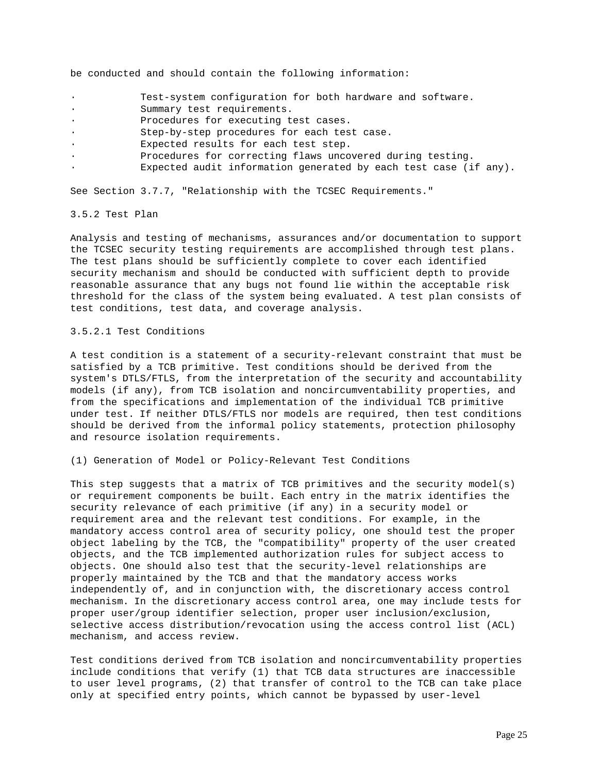be conducted and should contain the following information:

- Test-system configuration for both hardware and software.
- Summary test requirements.
- Procedures for executing test cases.
- · Step-by-step procedures for each test case.
- Expected results for each test step.
	- Procedures for correcting flaws uncovered during testing.
- Expected audit information generated by each test case (if any).

See Section 3.7.7, "Relationship with the TCSEC Requirements."

### 3.5.2 Test Plan

Analysis and testing of mechanisms, assurances and/or documentation to support the TCSEC security testing requirements are accomplished through test plans. The test plans should be sufficiently complete to cover each identified security mechanism and should be conducted with sufficient depth to provide reasonable assurance that any bugs not found lie within the acceptable risk threshold for the class of the system being evaluated. A test plan consists of test conditions, test data, and coverage analysis.

3.5.2.1 Test Conditions

A test condition is a statement of a security-relevant constraint that must be satisfied by a TCB primitive. Test conditions should be derived from the system's DTLS/FTLS, from the interpretation of the security and accountability models (if any), from TCB isolation and noncircumventability properties, and from the specifications and implementation of the individual TCB primitive under test. If neither DTLS/FTLS nor models are required, then test conditions should be derived from the informal policy statements, protection philosophy and resource isolation requirements.

(1) Generation of Model or Policy-Relevant Test Conditions

This step suggests that a matrix of TCB primitives and the security model(s) or requirement components be built. Each entry in the matrix identifies the security relevance of each primitive (if any) in a security model or requirement area and the relevant test conditions. For example, in the mandatory access control area of security policy, one should test the proper object labeling by the TCB, the "compatibility" property of the user created objects, and the TCB implemented authorization rules for subject access to objects. One should also test that the security-level relationships are properly maintained by the TCB and that the mandatory access works independently of, and in conjunction with, the discretionary access control mechanism. In the discretionary access control area, one may include tests for proper user/group identifier selection, proper user inclusion/exclusion, selective access distribution/revocation using the access control list (ACL) mechanism, and access review.

Test conditions derived from TCB isolation and noncircumventability properties include conditions that verify (1) that TCB data structures are inaccessible to user level programs, (2) that transfer of control to the TCB can take place only at specified entry points, which cannot be bypassed by user-level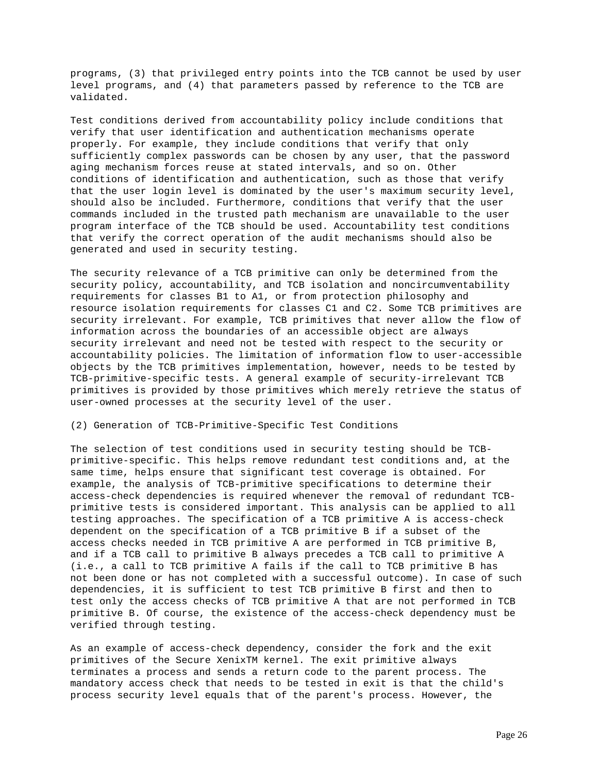programs, (3) that privileged entry points into the TCB cannot be used by user level programs, and (4) that parameters passed by reference to the TCB are validated.

Test conditions derived from accountability policy include conditions that verify that user identification and authentication mechanisms operate properly. For example, they include conditions that verify that only sufficiently complex passwords can be chosen by any user, that the password aging mechanism forces reuse at stated intervals, and so on. Other conditions of identification and authentication, such as those that verify that the user login level is dominated by the user's maximum security level, should also be included. Furthermore, conditions that verify that the user commands included in the trusted path mechanism are unavailable to the user program interface of the TCB should be used. Accountability test conditions that verify the correct operation of the audit mechanisms should also be generated and used in security testing.

The security relevance of a TCB primitive can only be determined from the security policy, accountability, and TCB isolation and noncircumventability requirements for classes B1 to A1, or from protection philosophy and resource isolation requirements for classes C1 and C2. Some TCB primitives are security irrelevant. For example, TCB primitives that never allow the flow of information across the boundaries of an accessible object are always security irrelevant and need not be tested with respect to the security or accountability policies. The limitation of information flow to user-accessible objects by the TCB primitives implementation, however, needs to be tested by TCB-primitive-specific tests. A general example of security-irrelevant TCB primitives is provided by those primitives which merely retrieve the status of user-owned processes at the security level of the user.

# (2) Generation of TCB-Primitive-Specific Test Conditions

The selection of test conditions used in security testing should be TCBprimitive-specific. This helps remove redundant test conditions and, at the same time, helps ensure that significant test coverage is obtained. For example, the analysis of TCB-primitive specifications to determine their access-check dependencies is required whenever the removal of redundant TCBprimitive tests is considered important. This analysis can be applied to all testing approaches. The specification of a TCB primitive A is access-check dependent on the specification of a TCB primitive B if a subset of the access checks needed in TCB primitive A are performed in TCB primitive B, and if a TCB call to primitive B always precedes a TCB call to primitive A (i.e., a call to TCB primitive A fails if the call to TCB primitive B has not been done or has not completed with a successful outcome). In case of such dependencies, it is sufficient to test TCB primitive B first and then to test only the access checks of TCB primitive A that are not performed in TCB primitive B. Of course, the existence of the access-check dependency must be verified through testing.

As an example of access-check dependency, consider the fork and the exit primitives of the Secure XenixTM kernel. The exit primitive always terminates a process and sends a return code to the parent process. The mandatory access check that needs to be tested in exit is that the child's process security level equals that of the parent's process. However, the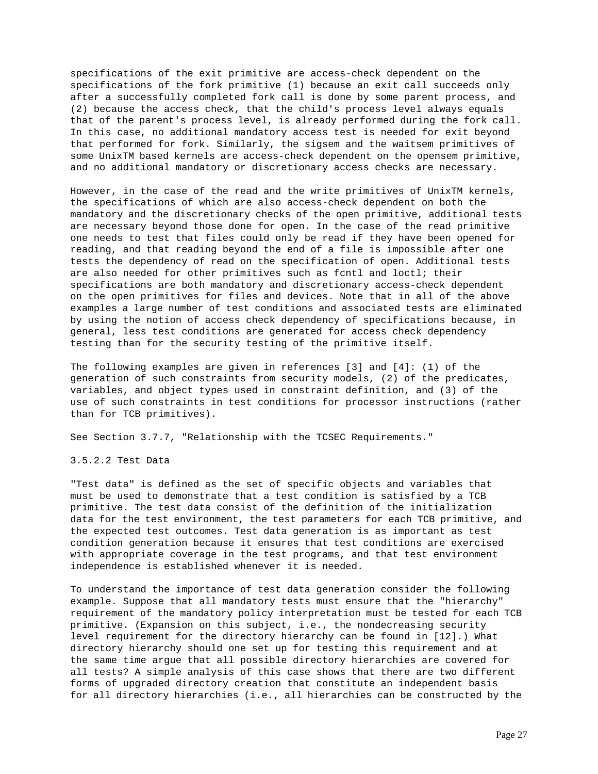specifications of the exit primitive are access-check dependent on the specifications of the fork primitive (1) because an exit call succeeds only after a successfully completed fork call is done by some parent process, and (2) because the access check, that the child's process level always equals that of the parent's process level, is already performed during the fork call. In this case, no additional mandatory access test is needed for exit beyond that performed for fork. Similarly, the sigsem and the waitsem primitives of some UnixTM based kernels are access-check dependent on the opensem primitive, and no additional mandatory or discretionary access checks are necessary.

However, in the case of the read and the write primitives of UnixTM kernels, the specifications of which are also access-check dependent on both the mandatory and the discretionary checks of the open primitive, additional tests are necessary beyond those done for open. In the case of the read primitive one needs to test that files could only be read if they have been opened for reading, and that reading beyond the end of a file is impossible after one tests the dependency of read on the specification of open. Additional tests are also needed for other primitives such as fcntl and loctl; their specifications are both mandatory and discretionary access-check dependent on the open primitives for files and devices. Note that in all of the above examples a large number of test conditions and associated tests are eliminated by using the notion of access check dependency of specifications because, in general, less test conditions are generated for access check dependency testing than for the security testing of the primitive itself.

The following examples are given in references [3] and [4]: (1) of the generation of such constraints from security models, (2) of the predicates, variables, and object types used in constraint definition, and (3) of the use of such constraints in test conditions for processor instructions (rather than for TCB primitives).

See Section 3.7.7, "Relationship with the TCSEC Requirements."

3.5.2.2 Test Data

"Test data" is defined as the set of specific objects and variables that must be used to demonstrate that a test condition is satisfied by a TCB primitive. The test data consist of the definition of the initialization data for the test environment, the test parameters for each TCB primitive, and the expected test outcomes. Test data generation is as important as test condition generation because it ensures that test conditions are exercised with appropriate coverage in the test programs, and that test environment independence is established whenever it is needed.

To understand the importance of test data generation consider the following example. Suppose that all mandatory tests must ensure that the "hierarchy" requirement of the mandatory policy interpretation must be tested for each TCB primitive. (Expansion on this subject, i.e., the nondecreasing security level requirement for the directory hierarchy can be found in [12].) What directory hierarchy should one set up for testing this requirement and at the same time argue that all possible directory hierarchies are covered for all tests? A simple analysis of this case shows that there are two different forms of upgraded directory creation that constitute an independent basis for all directory hierarchies (i.e., all hierarchies can be constructed by the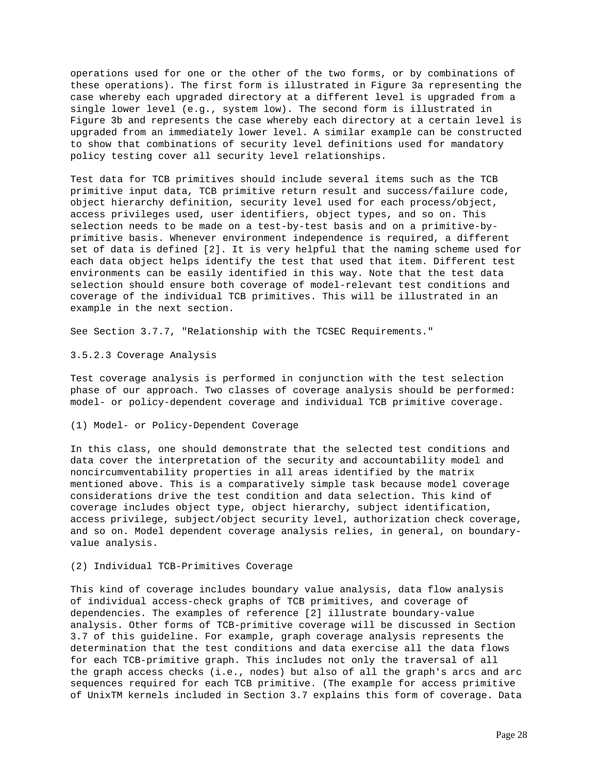operations used for one or the other of the two forms, or by combinations of these operations). The first form is illustrated in Figure 3a representing the case whereby each upgraded directory at a different level is upgraded from a single lower level (e.g., system low). The second form is illustrated in Figure 3b and represents the case whereby each directory at a certain level is upgraded from an immediately lower level. A similar example can be constructed to show that combinations of security level definitions used for mandatory policy testing cover all security level relationships.

Test data for TCB primitives should include several items such as the TCB primitive input data, TCB primitive return result and success/failure code, object hierarchy definition, security level used for each process/object, access privileges used, user identifiers, object types, and so on. This selection needs to be made on a test-by-test basis and on a primitive-byprimitive basis. Whenever environment independence is required, a different set of data is defined [2]. It is very helpful that the naming scheme used for each data object helps identify the test that used that item. Different test environments can be easily identified in this way. Note that the test data selection should ensure both coverage of model-relevant test conditions and coverage of the individual TCB primitives. This will be illustrated in an example in the next section.

See Section 3.7.7, "Relationship with the TCSEC Requirements."

### 3.5.2.3 Coverage Analysis

Test coverage analysis is performed in conjunction with the test selection phase of our approach. Two classes of coverage analysis should be performed: model- or policy-dependent coverage and individual TCB primitive coverage.

#### (1) Model- or Policy-Dependent Coverage

In this class, one should demonstrate that the selected test conditions and data cover the interpretation of the security and accountability model and noncircumventability properties in all areas identified by the matrix mentioned above. This is a comparatively simple task because model coverage considerations drive the test condition and data selection. This kind of coverage includes object type, object hierarchy, subject identification, access privilege, subject/object security level, authorization check coverage, and so on. Model dependent coverage analysis relies, in general, on boundaryvalue analysis.

#### (2) Individual TCB-Primitives Coverage

This kind of coverage includes boundary value analysis, data flow analysis of individual access-check graphs of TCB primitives, and coverage of dependencies. The examples of reference [2] illustrate boundary-value analysis. Other forms of TCB-primitive coverage will be discussed in Section 3.7 of this guideline. For example, graph coverage analysis represents the determination that the test conditions and data exercise all the data flows for each TCB-primitive graph. This includes not only the traversal of all the graph access checks (i.e., nodes) but also of all the graph's arcs and arc sequences required for each TCB primitive. (The example for access primitive of UnixTM kernels included in Section 3.7 explains this form of coverage. Data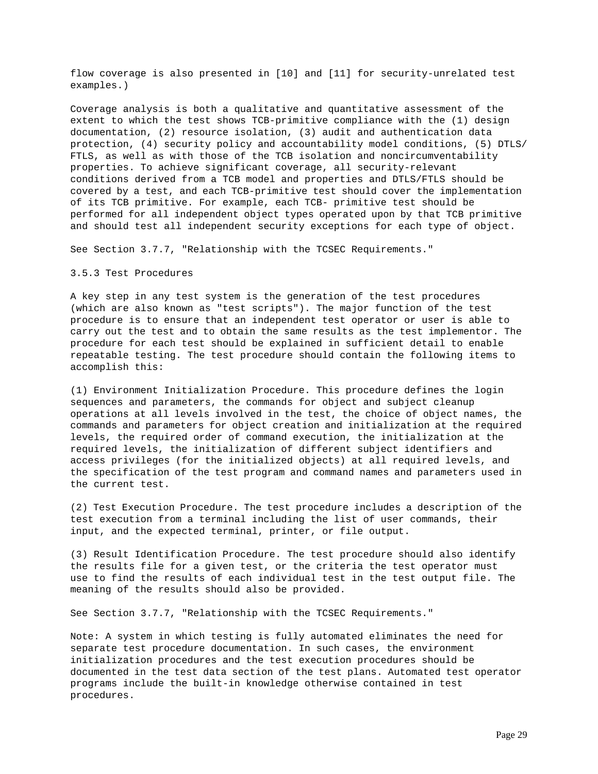flow coverage is also presented in [10] and [11] for security-unrelated test examples.)

Coverage analysis is both a qualitative and quantitative assessment of the extent to which the test shows TCB-primitive compliance with the (1) design documentation, (2) resource isolation, (3) audit and authentication data protection, (4) security policy and accountability model conditions, (5) DTLS/ FTLS, as well as with those of the TCB isolation and noncircumventability properties. To achieve significant coverage, all security-relevant conditions derived from a TCB model and properties and DTLS/FTLS should be covered by a test, and each TCB-primitive test should cover the implementation of its TCB primitive. For example, each TCB- primitive test should be performed for all independent object types operated upon by that TCB primitive and should test all independent security exceptions for each type of object.

See Section 3.7.7, "Relationship with the TCSEC Requirements."

# 3.5.3 Test Procedures

A key step in any test system is the generation of the test procedures (which are also known as "test scripts"). The major function of the test procedure is to ensure that an independent test operator or user is able to carry out the test and to obtain the same results as the test implementor. The procedure for each test should be explained in sufficient detail to enable repeatable testing. The test procedure should contain the following items to accomplish this:

(1) Environment Initialization Procedure. This procedure defines the login sequences and parameters, the commands for object and subject cleanup operations at all levels involved in the test, the choice of object names, the commands and parameters for object creation and initialization at the required levels, the required order of command execution, the initialization at the required levels, the initialization of different subject identifiers and access privileges (for the initialized objects) at all required levels, and the specification of the test program and command names and parameters used in the current test.

(2) Test Execution Procedure. The test procedure includes a description of the test execution from a terminal including the list of user commands, their input, and the expected terminal, printer, or file output.

(3) Result Identification Procedure. The test procedure should also identify the results file for a given test, or the criteria the test operator must use to find the results of each individual test in the test output file. The meaning of the results should also be provided.

See Section 3.7.7, "Relationship with the TCSEC Requirements."

Note: A system in which testing is fully automated eliminates the need for separate test procedure documentation. In such cases, the environment initialization procedures and the test execution procedures should be documented in the test data section of the test plans. Automated test operator programs include the built-in knowledge otherwise contained in test procedures.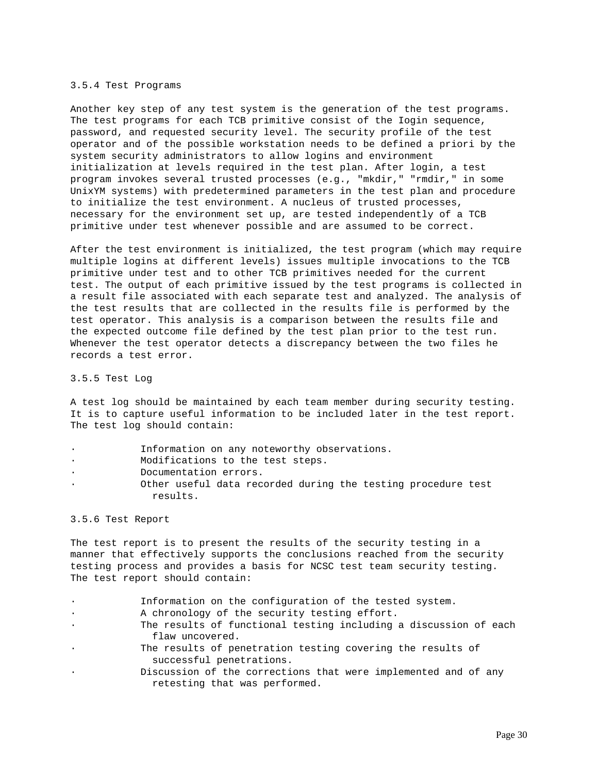### 3.5.4 Test Programs

Another key step of any test system is the generation of the test programs. The test programs for each TCB primitive consist of the Iogin sequence, password, and requested security level. The security profile of the test operator and of the possible workstation needs to be defined a priori by the system security administrators to allow logins and environment initialization at levels required in the test plan. After login, a test program invokes several trusted processes (e.g., "mkdir," "rmdir," in some UnixYM systems) with predetermined parameters in the test plan and procedure to initialize the test environment. A nucleus of trusted processes, necessary for the environment set up, are tested independently of a TCB primitive under test whenever possible and are assumed to be correct.

After the test environment is initialized, the test program (which may require multiple logins at different levels) issues multiple invocations to the TCB primitive under test and to other TCB primitives needed for the current test. The output of each primitive issued by the test programs is collected in a result file associated with each separate test and analyzed. The analysis of the test results that are collected in the results file is performed by the test operator. This analysis is a comparison between the results file and the expected outcome file defined by the test plan prior to the test run. Whenever the test operator detects a discrepancy between the two files he records a test error.

#### 3.5.5 Test Log

A test log should be maintained by each team member during security testing. It is to capture useful information to be included later in the test report. The test log should contain:

- Information on any noteworthy observations.
- Modifications to the test steps.
- Documentation errors.
- Other useful data recorded during the testing procedure test results.

### 3.5.6 Test Report

The test report is to present the results of the security testing in a manner that effectively supports the conclusions reached from the security testing process and provides a basis for NCSC test team security testing. The test report should contain:

- Information on the configuration of the tested system.
- A chronology of the security testing effort.
- The results of functional testing including a discussion of each flaw uncovered.
- The results of penetration testing covering the results of successful penetrations.
- Discussion of the corrections that were implemented and of any retesting that was performed.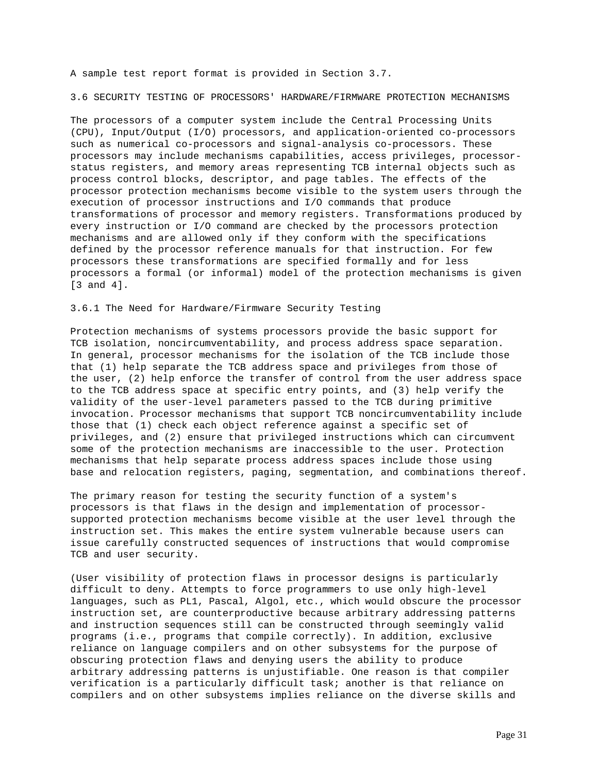A sample test report format is provided in Section 3.7.

3.6 SECURITY TESTING OF PROCESSORS' HARDWARE/FIRMWARE PROTECTION MECHANISMS

The processors of a computer system include the Central Processing Units (CPU), Input/Output (I/O) processors, and application-oriented co-processors such as numerical co-processors and signal-analysis co-processors. These processors may include mechanisms capabilities, access privileges, processorstatus registers, and memory areas representing TCB internal objects such as process control blocks, descriptor, and page tables. The effects of the processor protection mechanisms become visible to the system users through the execution of processor instructions and I/O commands that produce transformations of processor and memory registers. Transformations produced by every instruction or I/O command are checked by the processors protection mechanisms and are allowed only if they conform with the specifications defined by the processor reference manuals for that instruction. For few processors these transformations are specified formally and for less processors a formal (or informal) model of the protection mechanisms is given [3 and 4].

3.6.1 The Need for Hardware/Firmware Security Testing

Protection mechanisms of systems processors provide the basic support for TCB isolation, noncircumventability, and process address space separation. In general, processor mechanisms for the isolation of the TCB include those that (1) help separate the TCB address space and privileges from those of the user, (2) help enforce the transfer of control from the user address space to the TCB address space at specific entry points, and (3) help verify the validity of the user-level parameters passed to the TCB during primitive invocation. Processor mechanisms that support TCB noncircumventability include those that (1) check each object reference against a specific set of privileges, and (2) ensure that privileged instructions which can circumvent some of the protection mechanisms are inaccessible to the user. Protection mechanisms that help separate process address spaces include those using base and relocation registers, paging, segmentation, and combinations thereof.

The primary reason for testing the security function of a system's processors is that flaws in the design and implementation of processorsupported protection mechanisms become visible at the user level through the instruction set. This makes the entire system vulnerable because users can issue carefully constructed sequences of instructions that would compromise TCB and user security.

(User visibility of protection flaws in processor designs is particularly difficult to deny. Attempts to force programmers to use only high-level languages, such as PL1, Pascal, Algol, etc., which would obscure the processor instruction set, are counterproductive because arbitrary addressing patterns and instruction sequences still can be constructed through seemingly valid programs (i.e., programs that compile correctly). In addition, exclusive reliance on language compilers and on other subsystems for the purpose of obscuring protection flaws and denying users the ability to produce arbitrary addressing patterns is unjustifiable. One reason is that compiler verification is a particularly difficult task; another is that reliance on compilers and on other subsystems implies reliance on the diverse skills and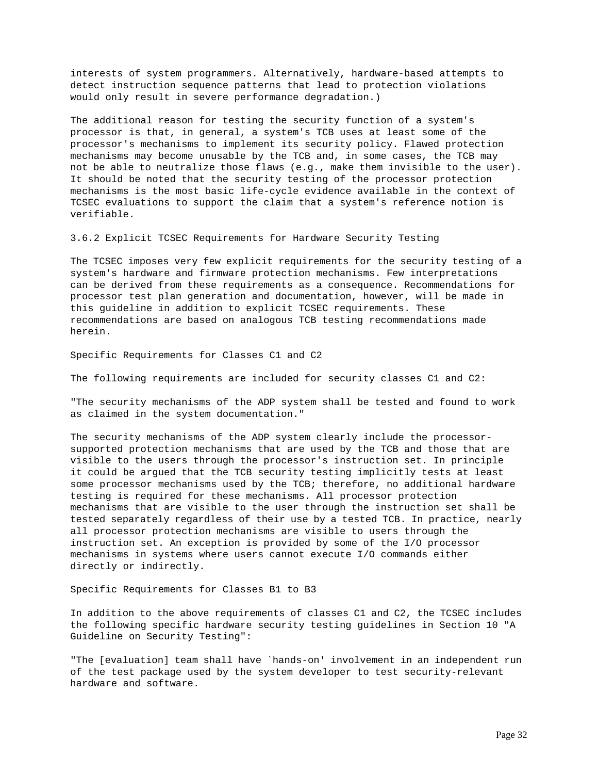interests of system programmers. Alternatively, hardware-based attempts to detect instruction sequence patterns that lead to protection violations would only result in severe performance degradation.)

The additional reason for testing the security function of a system's processor is that, in general, a system's TCB uses at least some of the processor's mechanisms to implement its security policy. Flawed protection mechanisms may become unusable by the TCB and, in some cases, the TCB may not be able to neutralize those flaws (e.g., make them invisible to the user). It should be noted that the security testing of the processor protection mechanisms is the most basic life-cycle evidence available in the context of TCSEC evaluations to support the claim that a system's reference notion is verifiable.

3.6.2 Explicit TCSEC Requirements for Hardware Security Testing

The TCSEC imposes very few explicit requirements for the security testing of a system's hardware and firmware protection mechanisms. Few interpretations can be derived from these requirements as a consequence. Recommendations for processor test plan generation and documentation, however, will be made in this guideline in addition to explicit TCSEC requirements. These recommendations are based on analogous TCB testing recommendations made herein.

Specific Requirements for Classes C1 and C2

The following requirements are included for security classes C1 and C2:

"The security mechanisms of the ADP system shall be tested and found to work as claimed in the system documentation."

The security mechanisms of the ADP system clearly include the processorsupported protection mechanisms that are used by the TCB and those that are visible to the users through the processor's instruction set. In principle it could be argued that the TCB security testing implicitly tests at least some processor mechanisms used by the TCB; therefore, no additional hardware testing is required for these mechanisms. All processor protection mechanisms that are visible to the user through the instruction set shall be tested separately regardless of their use by a tested TCB. In practice, nearly all processor protection mechanisms are visible to users through the instruction set. An exception is provided by some of the I/O processor mechanisms in systems where users cannot execute I/O commands either directly or indirectly.

Specific Requirements for Classes B1 to B3

In addition to the above requirements of classes C1 and C2, the TCSEC includes the following specific hardware security testing guidelines in Section 10 "A Guideline on Security Testing":

"The [evaluation] team shall have `hands-on' involvement in an independent run of the test package used by the system developer to test security-relevant hardware and software.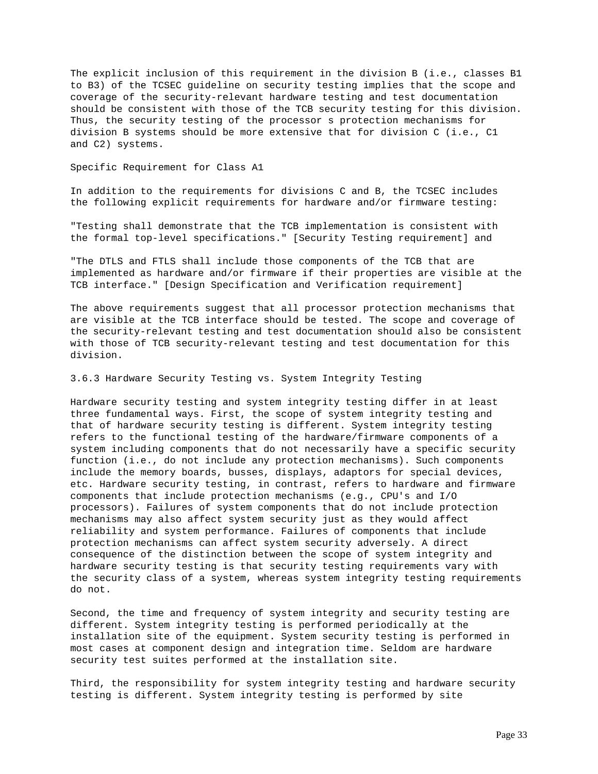The explicit inclusion of this requirement in the division B (i.e., classes B1 to B3) of the TCSEC guideline on security testing implies that the scope and coverage of the security-relevant hardware testing and test documentation should be consistent with those of the TCB security testing for this division. Thus, the security testing of the processor s protection mechanisms for division B systems should be more extensive that for division C (i.e., C1 and C2) systems.

Specific Requirement for Class A1

In addition to the requirements for divisions C and B, the TCSEC includes the following explicit requirements for hardware and/or firmware testing:

"Testing shall demonstrate that the TCB implementation is consistent with the formal top-level specifications." [Security Testing requirement] and

"The DTLS and FTLS shall include those components of the TCB that are implemented as hardware and/or firmware if their properties are visible at the TCB interface." [Design Specification and Verification requirement]

The above requirements suggest that all processor protection mechanisms that are visible at the TCB interface should be tested. The scope and coverage of the security-relevant testing and test documentation should also be consistent with those of TCB security-relevant testing and test documentation for this division.

3.6.3 Hardware Security Testing vs. System Integrity Testing

Hardware security testing and system integrity testing differ in at least three fundamental ways. First, the scope of system integrity testing and that of hardware security testing is different. System integrity testing refers to the functional testing of the hardware/firmware components of a system including components that do not necessarily have a specific security function (i.e., do not include any protection mechanisms). Such components include the memory boards, busses, displays, adaptors for special devices, etc. Hardware security testing, in contrast, refers to hardware and firmware components that include protection mechanisms (e.g., CPU's and I/O processors). Failures of system components that do not include protection mechanisms may also affect system security just as they would affect reliability and system performance. Failures of components that include protection mechanisms can affect system security adversely. A direct consequence of the distinction between the scope of system integrity and hardware security testing is that security testing requirements vary with the security class of a system, whereas system integrity testing requirements do not.

Second, the time and frequency of system integrity and security testing are different. System integrity testing is performed periodically at the installation site of the equipment. System security testing is performed in most cases at component design and integration time. Seldom are hardware security test suites performed at the installation site.

Third, the responsibility for system integrity testing and hardware security testing is different. System integrity testing is performed by site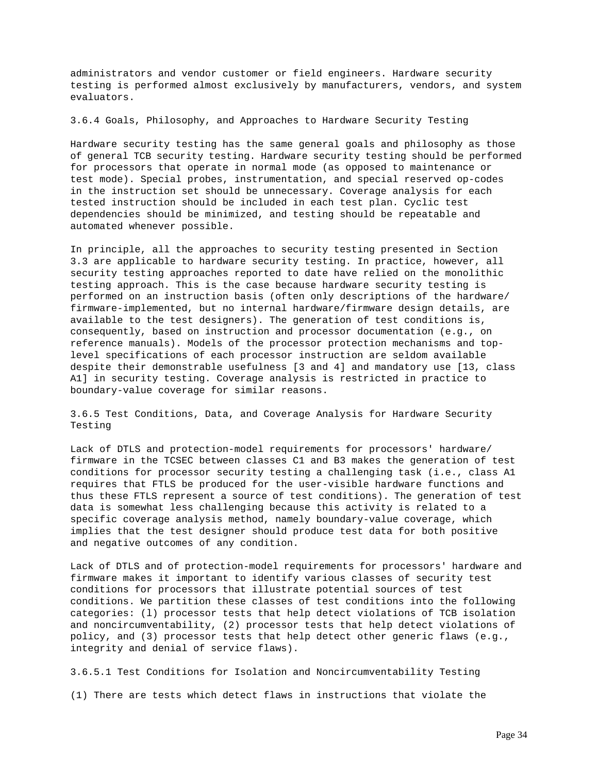administrators and vendor customer or field engineers. Hardware security testing is performed almost exclusively by manufacturers, vendors, and system evaluators.

3.6.4 Goals, Philosophy, and Approaches to Hardware Security Testing

Hardware security testing has the same general goals and philosophy as those of general TCB security testing. Hardware security testing should be performed for processors that operate in normal mode (as opposed to maintenance or test mode). Special probes, instrumentation, and special reserved op-codes in the instruction set should be unnecessary. Coverage analysis for each tested instruction should be included in each test plan. Cyclic test dependencies should be minimized, and testing should be repeatable and automated whenever possible.

In principle, all the approaches to security testing presented in Section 3.3 are applicable to hardware security testing. In practice, however, all security testing approaches reported to date have relied on the monolithic testing approach. This is the case because hardware security testing is performed on an instruction basis (often only descriptions of the hardware/ firmware-implemented, but no internal hardware/firmware design details, are available to the test designers). The generation of test conditions is, consequently, based on instruction and processor documentation (e.g., on reference manuals). Models of the processor protection mechanisms and toplevel specifications of each processor instruction are seldom available despite their demonstrable usefulness [3 and 4] and mandatory use [13, class A1] in security testing. Coverage analysis is restricted in practice to boundary-value coverage for similar reasons.

3.6.5 Test Conditions, Data, and Coverage Analysis for Hardware Security Testing

Lack of DTLS and protection-model requirements for processors' hardware/ firmware in the TCSEC between classes C1 and B3 makes the generation of test conditions for processor security testing a challenging task (i.e., class A1 requires that FTLS be produced for the user-visible hardware functions and thus these FTLS represent a source of test conditions). The generation of test data is somewhat less challenging because this activity is related to a specific coverage analysis method, namely boundary-value coverage, which implies that the test designer should produce test data for both positive and negative outcomes of any condition.

Lack of DTLS and of protection-model requirements for processors' hardware and firmware makes it important to identify various classes of security test conditions for processors that illustrate potential sources of test conditions. We partition these classes of test conditions into the following categories: (l) processor tests that help detect violations of TCB isolation and noncircumventability, (2) processor tests that help detect violations of policy, and (3) processor tests that help detect other generic flaws (e.g., integrity and denial of service flaws).

3.6.5.1 Test Conditions for Isolation and Noncircumventability Testing (1) There are tests which detect flaws in instructions that violate the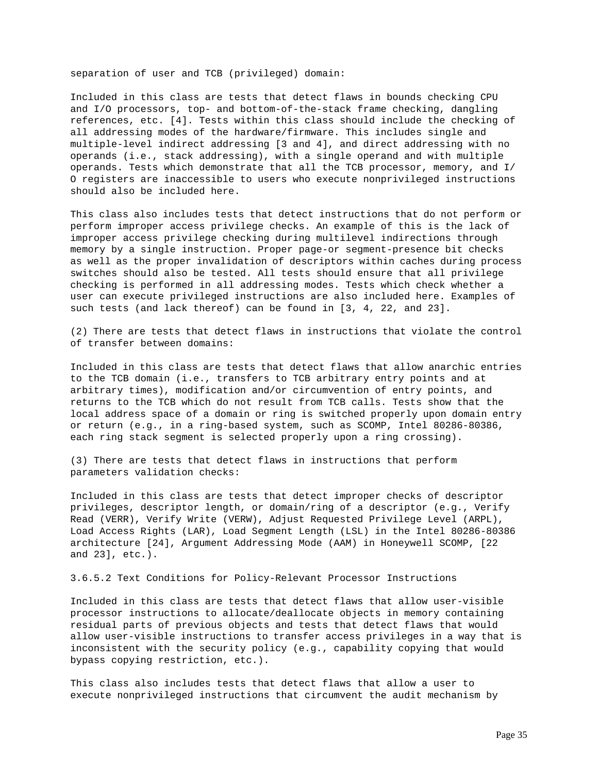separation of user and TCB (privileged) domain:

Included in this class are tests that detect flaws in bounds checking CPU and I/O processors, top- and bottom-of-the-stack frame checking, dangling references, etc. [4]. Tests within this class should include the checking of all addressing modes of the hardware/firmware. This includes single and multiple-level indirect addressing [3 and 4], and direct addressing with no operands (i.e., stack addressing), with a single operand and with multiple operands. Tests which demonstrate that all the TCB processor, memory, and I/ O registers are inaccessible to users who execute nonprivileged instructions should also be included here.

This class also includes tests that detect instructions that do not perform or perform improper access privilege checks. An example of this is the lack of improper access privilege checking during multilevel indirections through memory by a single instruction. Proper page-or segment-presence bit checks as well as the proper invalidation of descriptors within caches during process switches should also be tested. All tests should ensure that all privilege checking is performed in all addressing modes. Tests which check whether a user can execute privileged instructions are also included here. Examples of such tests (and lack thereof) can be found in [3, 4, 22, and 23].

(2) There are tests that detect flaws in instructions that violate the control of transfer between domains:

Included in this class are tests that detect flaws that allow anarchic entries to the TCB domain (i.e., transfers to TCB arbitrary entry points and at arbitrary times), modification and/or circumvention of entry points, and returns to the TCB which do not result from TCB calls. Tests show that the local address space of a domain or ring is switched properly upon domain entry or return (e.g., in a ring-based system, such as SCOMP, Intel 80286-80386, each ring stack segment is selected properly upon a ring crossing).

(3) There are tests that detect flaws in instructions that perform parameters validation checks:

Included in this class are tests that detect improper checks of descriptor privileges, descriptor length, or domain/ring of a descriptor (e.g., Verify Read (VERR), Verify Write (VERW), Adjust Requested Privilege Level (ARPL), Load Access Rights (LAR), Load Segment Length (LSL) in the Intel 80286-80386 architecture [24], Argument Addressing Mode (AAM) in Honeywell SCOMP, [22 and 23], etc.).

3.6.5.2 Text Conditions for Policy-Relevant Processor Instructions

Included in this class are tests that detect flaws that allow user-visible processor instructions to allocate/deallocate objects in memory containing residual parts of previous objects and tests that detect flaws that would allow user-visible instructions to transfer access privileges in a way that is inconsistent with the security policy (e.g., capability copying that would bypass copying restriction, etc.).

This class also includes tests that detect flaws that allow a user to execute nonprivileged instructions that circumvent the audit mechanism by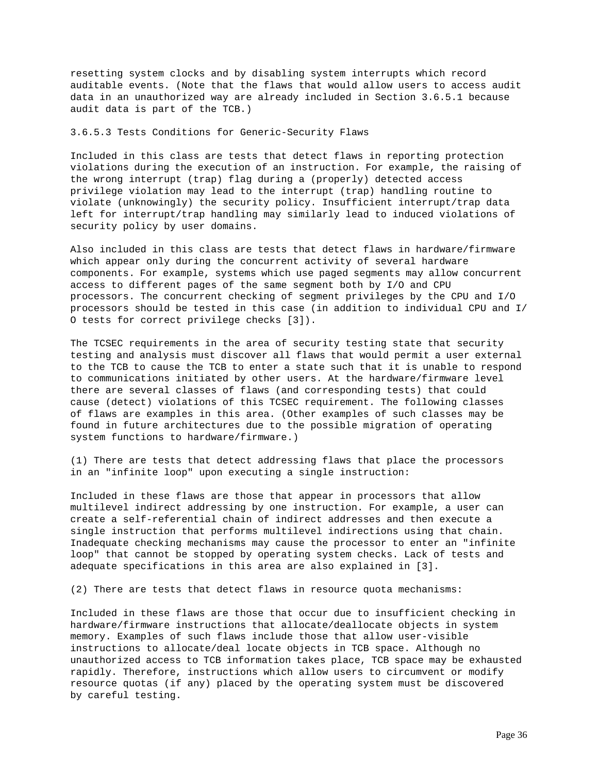resetting system clocks and by disabling system interrupts which record auditable events. (Note that the flaws that would allow users to access audit data in an unauthorized way are already included in Section 3.6.5.1 because audit data is part of the TCB.)

# 3.6.5.3 Tests Conditions for Generic-Security Flaws

Included in this class are tests that detect flaws in reporting protection violations during the execution of an instruction. For example, the raising of the wrong interrupt (trap) flag during a (properly) detected access privilege violation may lead to the interrupt (trap) handling routine to violate (unknowingly) the security policy. Insufficient interrupt/trap data left for interrupt/trap handling may similarly lead to induced violations of security policy by user domains.

Also included in this class are tests that detect flaws in hardware/firmware which appear only during the concurrent activity of several hardware components. For example, systems which use paged segments may allow concurrent access to different pages of the same segment both by I/O and CPU processors. The concurrent checking of segment privileges by the CPU and I/O processors should be tested in this case (in addition to individual CPU and I/ O tests for correct privilege checks [3]).

The TCSEC requirements in the area of security testing state that security testing and analysis must discover all flaws that would permit a user external to the TCB to cause the TCB to enter a state such that it is unable to respond to communications initiated by other users. At the hardware/firmware level there are several classes of flaws (and corresponding tests) that could cause (detect) violations of this TCSEC requirement. The following classes of flaws are examples in this area. (Other examples of such classes may be found in future architectures due to the possible migration of operating system functions to hardware/firmware.)

(1) There are tests that detect addressing flaws that place the processors in an "infinite loop" upon executing a single instruction:

Included in these flaws are those that appear in processors that allow multilevel indirect addressing by one instruction. For example, a user can create a self-referential chain of indirect addresses and then execute a single instruction that performs multilevel indirections using that chain. Inadequate checking mechanisms may cause the processor to enter an "infinite loop" that cannot be stopped by operating system checks. Lack of tests and adequate specifications in this area are also explained in [3].

(2) There are tests that detect flaws in resource quota mechanisms:

Included in these flaws are those that occur due to insufficient checking in hardware/firmware instructions that allocate/deallocate objects in system memory. Examples of such flaws include those that allow user-visible instructions to allocate/deal locate objects in TCB space. Although no unauthorized access to TCB information takes place, TCB space may be exhausted rapidly. Therefore, instructions which allow users to circumvent or modify resource quotas (if any) placed by the operating system must be discovered by careful testing.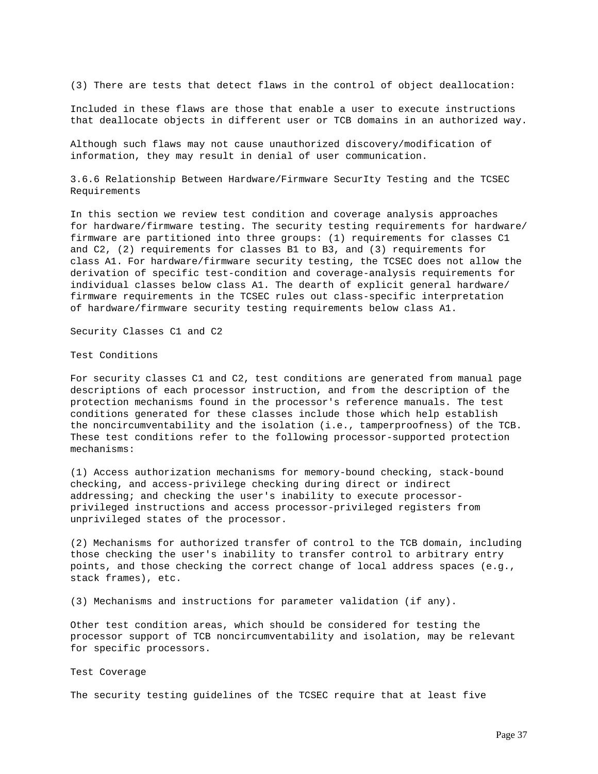(3) There are tests that detect flaws in the control of object deallocation:

Included in these flaws are those that enable a user to execute instructions that deallocate objects in different user or TCB domains in an authorized way.

Although such flaws may not cause unauthorized discovery/modification of information, they may result in denial of user communication.

3.6.6 Relationship Between Hardware/Firmware SecurIty Testing and the TCSEC Requirements

In this section we review test condition and coverage analysis approaches for hardware/firmware testing. The security testing requirements for hardware/ firmware are partitioned into three groups: (1) requirements for classes C1 and C2, (2) requirements for classes B1 to B3, and (3) requirements for class A1. For hardware/firmware security testing, the TCSEC does not allow the derivation of specific test-condition and coverage-analysis requirements for individual classes below class A1. The dearth of explicit general hardware/ firmware requirements in the TCSEC rules out class-specific interpretation of hardware/firmware security testing requirements below class A1.

Security Classes C1 and C2

Test Conditions

For security classes C1 and C2, test conditions are generated from manual page descriptions of each processor instruction, and from the description of the protection mechanisms found in the processor's reference manuals. The test conditions generated for these classes include those which help establish the noncircumventability and the isolation (i.e., tamperproofness) of the TCB. These test conditions refer to the following processor-supported protection mechanisms:

(1) Access authorization mechanisms for memory-bound checking, stack-bound checking, and access-privilege checking during direct or indirect addressing; and checking the user's inability to execute processorprivileged instructions and access processor-privileged registers from unprivileged states of the processor.

(2) Mechanisms for authorized transfer of control to the TCB domain, including those checking the user's inability to transfer control to arbitrary entry points, and those checking the correct change of local address spaces (e.g., stack frames), etc.

(3) Mechanisms and instructions for parameter validation (if any).

Other test condition areas, which should be considered for testing the processor support of TCB noncircumventability and isolation, may be relevant for specific processors.

Test Coverage

The security testing guidelines of the TCSEC require that at least five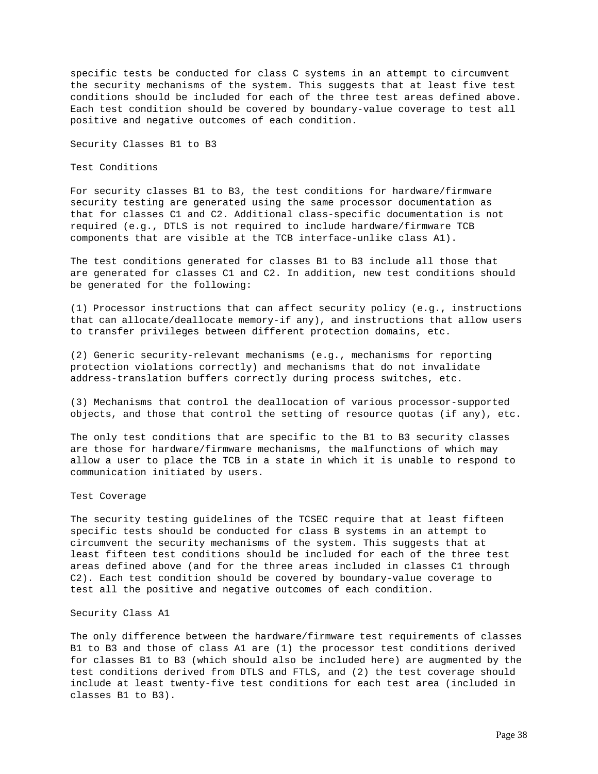specific tests be conducted for class C systems in an attempt to circumvent the security mechanisms of the system. This suggests that at least five test conditions should be included for each of the three test areas defined above. Each test condition should be covered by boundary-value coverage to test all positive and negative outcomes of each condition.

Security Classes B1 to B3

Test Conditions

For security classes B1 to B3, the test conditions for hardware/firmware security testing are generated using the same processor documentation as that for classes C1 and C2. Additional class-specific documentation is not required (e.g., DTLS is not required to include hardware/firmware TCB components that are visible at the TCB interface-unlike class A1).

The test conditions generated for classes B1 to B3 include all those that are generated for classes C1 and C2. In addition, new test conditions should be generated for the following:

(1) Processor instructions that can affect security policy (e.g., instructions that can allocate/deallocate memory-if any), and instructions that allow users to transfer privileges between different protection domains, etc.

(2) Generic security-relevant mechanisms (e.g., mechanisms for reporting protection violations correctly) and mechanisms that do not invalidate address-translation buffers correctly during process switches, etc.

(3) Mechanisms that control the deallocation of various processor-supported objects, and those that control the setting of resource quotas (if any), etc.

The only test conditions that are specific to the B1 to B3 security classes are those for hardware/firmware mechanisms, the malfunctions of which may allow a user to place the TCB in a state in which it is unable to respond to communication initiated by users.

Test Coverage

The security testing guidelines of the TCSEC require that at least fifteen specific tests should be conducted for class B systems in an attempt to circumvent the security mechanisms of the system. This suggests that at least fifteen test conditions should be included for each of the three test areas defined above (and for the three areas included in classes C1 through C2). Each test condition should be covered by boundary-value coverage to test all the positive and negative outcomes of each condition.

# Security Class A1

The only difference between the hardware/firmware test requirements of classes B1 to B3 and those of class A1 are (1) the processor test conditions derived for classes B1 to B3 (which should also be included here) are augmented by the test conditions derived from DTLS and FTLS, and (2) the test coverage should include at least twenty-five test conditions for each test area (included in classes B1 to B3).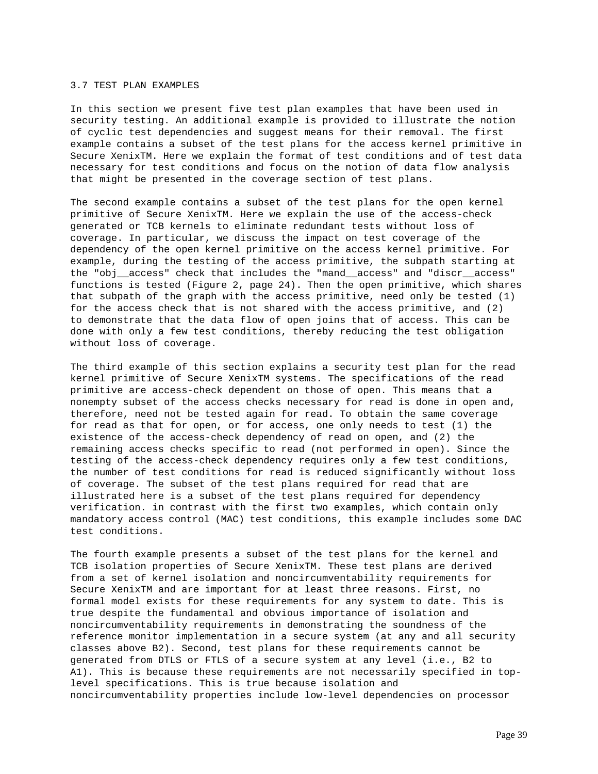### 3.7 TEST PLAN EXAMPLES

In this section we present five test plan examples that have been used in security testing. An additional example is provided to illustrate the notion of cyclic test dependencies and suggest means for their removal. The first example contains a subset of the test plans for the access kernel primitive in Secure XenixTM. Here we explain the format of test conditions and of test data necessary for test conditions and focus on the notion of data flow analysis that might be presented in the coverage section of test plans.

The second example contains a subset of the test plans for the open kernel primitive of Secure XenixTM. Here we explain the use of the access-check generated or TCB kernels to eliminate redundant tests without loss of coverage. In particular, we discuss the impact on test coverage of the dependency of the open kernel primitive on the access kernel primitive. For example, during the testing of the access primitive, the subpath starting at the "obj\_\_access" check that includes the "mand\_\_access" and "discr\_\_access" functions is tested (Figure 2, page 24). Then the open primitive, which shares that subpath of the graph with the access primitive, need only be tested (1) for the access check that is not shared with the access primitive, and (2) to demonstrate that the data flow of open joins that of access. This can be done with only a few test conditions, thereby reducing the test obligation without loss of coverage.

The third example of this section explains a security test plan for the read kernel primitive of Secure XenixTM systems. The specifications of the read primitive are access-check dependent on those of open. This means that a nonempty subset of the access checks necessary for read is done in open and, therefore, need not be tested again for read. To obtain the same coverage for read as that for open, or for access, one only needs to test (1) the existence of the access-check dependency of read on open, and (2) the remaining access checks specific to read (not performed in open). Since the testing of the access-check dependency requires only a few test conditions, the number of test conditions for read is reduced significantly without loss of coverage. The subset of the test plans required for read that are illustrated here is a subset of the test plans required for dependency verification. in contrast with the first two examples, which contain only mandatory access control (MAC) test conditions, this example includes some DAC test conditions.

The fourth example presents a subset of the test plans for the kernel and TCB isolation properties of Secure XenixTM. These test plans are derived from a set of kernel isolation and noncircumventability requirements for Secure XenixTM and are important for at least three reasons. First, no formal model exists for these requirements for any system to date. This is true despite the fundamental and obvious importance of isolation and noncircumventability requirements in demonstrating the soundness of the reference monitor implementation in a secure system (at any and all security classes above B2). Second, test plans for these requirements cannot be generated from DTLS or FTLS of a secure system at any level (i.e., B2 to A1). This is because these requirements are not necessarily specified in toplevel specifications. This is true because isolation and noncircumventability properties include low-level dependencies on processor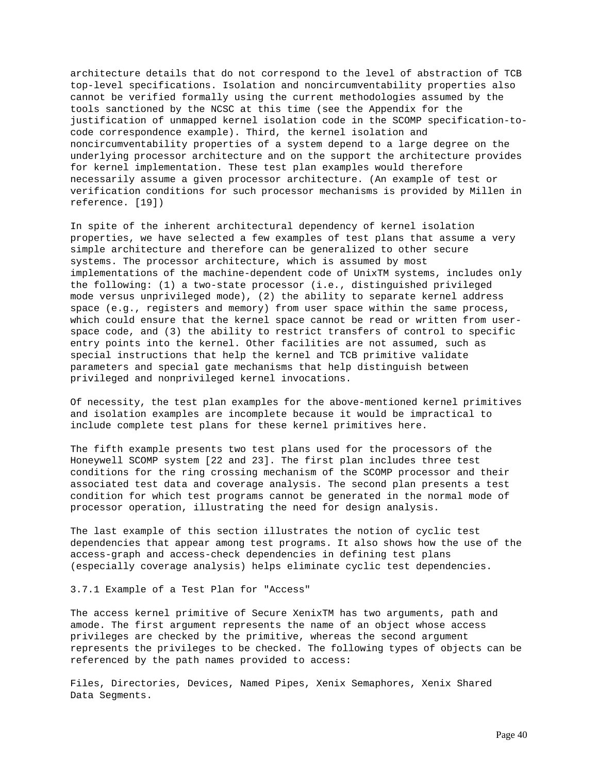architecture details that do not correspond to the level of abstraction of TCB top-level specifications. Isolation and noncircumventability properties also cannot be verified formally using the current methodologies assumed by the tools sanctioned by the NCSC at this time (see the Appendix for the justification of unmapped kernel isolation code in the SCOMP specification-tocode correspondence example). Third, the kernel isolation and noncircumventability properties of a system depend to a large degree on the underlying processor architecture and on the support the architecture provides for kernel implementation. These test plan examples would therefore necessarily assume a given processor architecture. (An example of test or verification conditions for such processor mechanisms is provided by Millen in reference. [19])

In spite of the inherent architectural dependency of kernel isolation properties, we have selected a few examples of test plans that assume a very simple architecture and therefore can be generalized to other secure systems. The processor architecture, which is assumed by most implementations of the machine-dependent code of UnixTM systems, includes only the following: (1) a two-state processor (i.e., distinguished privileged mode versus unprivileged mode), (2) the ability to separate kernel address space (e.g., registers and memory) from user space within the same process, which could ensure that the kernel space cannot be read or written from userspace code, and (3) the ability to restrict transfers of control to specific entry points into the kernel. Other facilities are not assumed, such as special instructions that help the kernel and TCB primitive validate parameters and special gate mechanisms that help distinguish between privileged and nonprivileged kernel invocations.

Of necessity, the test plan examples for the above-mentioned kernel primitives and isolation examples are incomplete because it would be impractical to include complete test plans for these kernel primitives here.

The fifth example presents two test plans used for the processors of the Honeywell SCOMP system [22 and 23]. The first plan includes three test conditions for the ring crossing mechanism of the SCOMP processor and their associated test data and coverage analysis. The second plan presents a test condition for which test programs cannot be generated in the normal mode of processor operation, illustrating the need for design analysis.

The last example of this section illustrates the notion of cyclic test dependencies that appear among test programs. It also shows how the use of the access-graph and access-check dependencies in defining test plans (especially coverage analysis) helps eliminate cyclic test dependencies.

3.7.1 Example of a Test Plan for "Access"

The access kernel primitive of Secure XenixTM has two arguments, path and amode. The first argument represents the name of an object whose access privileges are checked by the primitive, whereas the second argument represents the privileges to be checked. The following types of objects can be referenced by the path names provided to access:

Files, Directories, Devices, Named Pipes, Xenix Semaphores, Xenix Shared Data Segments.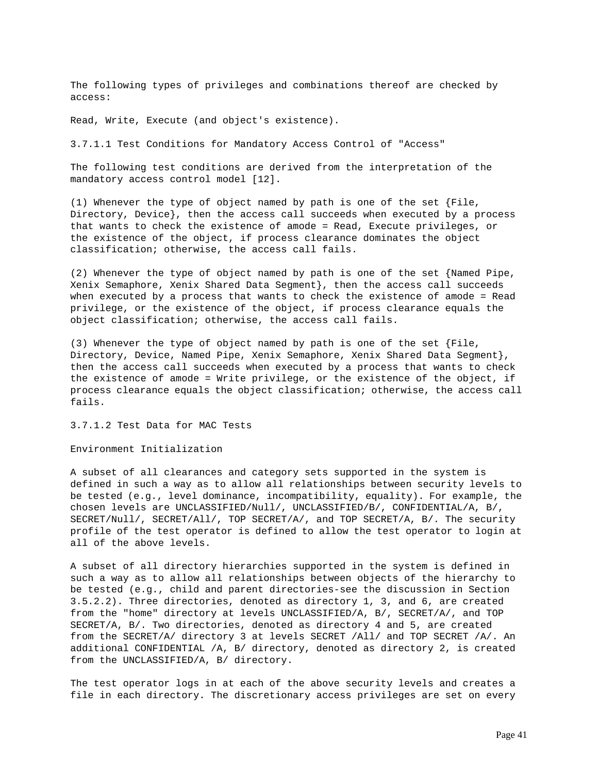The following types of privileges and combinations thereof are checked by access:

Read, Write, Execute (and object's existence).

3.7.1.1 Test Conditions for Mandatory Access Control of "Access"

The following test conditions are derived from the interpretation of the mandatory access control model [12].

(1) Whenever the type of object named by path is one of the set {File, Directory, Device}, then the access call succeeds when executed by a process that wants to check the existence of amode = Read, Execute privileges, or the existence of the object, if process clearance dominates the object classification; otherwise, the access call fails.

(2) Whenever the type of object named by path is one of the set {Named Pipe, Xenix Semaphore, Xenix Shared Data Segment}, then the access call succeeds when executed by a process that wants to check the existence of amode = Read privilege, or the existence of the object, if process clearance equals the object classification; otherwise, the access call fails.

(3) Whenever the type of object named by path is one of the set {File, Directory, Device, Named Pipe, Xenix Semaphore, Xenix Shared Data Segment}, then the access call succeeds when executed by a process that wants to check the existence of amode = Write privilege, or the existence of the object, if process clearance equals the object classification; otherwise, the access call fails.

3.7.1.2 Test Data for MAC Tests

Environment Initialization

A subset of all clearances and category sets supported in the system is defined in such a way as to allow all relationships between security levels to be tested (e.g., level dominance, incompatibility, equality). For example, the chosen levels are UNCLASSIFIED/Null/, UNCLASSIFIED/B/, CONFIDENTIAL/A, B/, SECRET/Null/, SECRET/All/, TOP SECRET/A/, and TOP SECRET/A, B/. The security profile of the test operator is defined to allow the test operator to login at all of the above levels.

A subset of all directory hierarchies supported in the system is defined in such a way as to allow all relationships between objects of the hierarchy to be tested (e.g., child and parent directories-see the discussion in Section 3.5.2.2). Three directories, denoted as directory 1, 3, and 6, are created from the "home" directory at levels UNCLASSIFIED/A, B/, SECRET/A/, and TOP SECRET/A, B/. Two directories, denoted as directory 4 and 5, are created from the SECRET/A/ directory 3 at levels SECRET /All/ and TOP SECRET /A/. An additional CONFIDENTIAL /A, B/ directory, denoted as directory 2, is created from the UNCLASSIFIED/A, B/ directory.

The test operator logs in at each of the above security levels and creates a file in each directory. The discretionary access privileges are set on every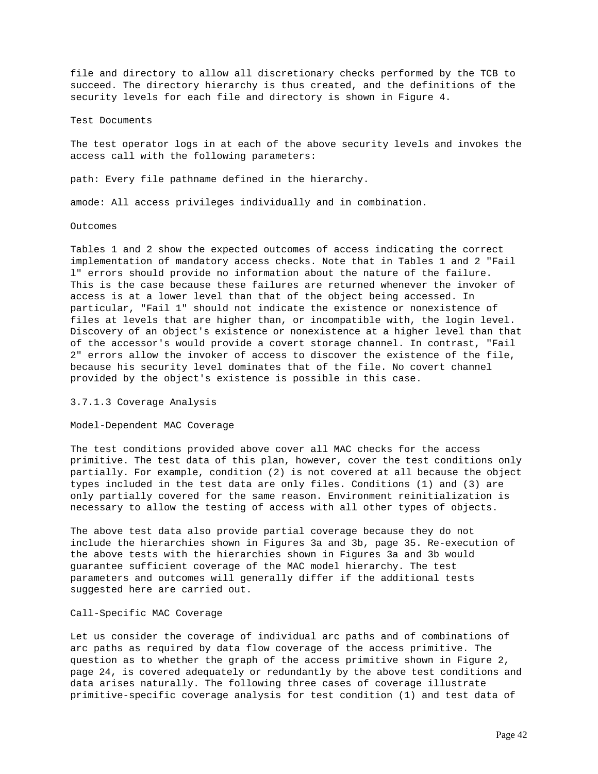file and directory to allow all discretionary checks performed by the TCB to succeed. The directory hierarchy is thus created, and the definitions of the security levels for each file and directory is shown in Figure 4.

Test Documents

The test operator logs in at each of the above security levels and invokes the access call with the following parameters:

path: Every file pathname defined in the hierarchy.

amode: All access privileges individually and in combination.

Outcomes

Tables 1 and 2 show the expected outcomes of access indicating the correct implementation of mandatory access checks. Note that in Tables 1 and 2 "Fail l" errors should provide no information about the nature of the failure. This is the case because these failures are returned whenever the invoker of access is at a lower level than that of the object being accessed. In particular, "Fail 1" should not indicate the existence or nonexistence of files at levels that are higher than, or incompatible with, the login level. Discovery of an object's existence or nonexistence at a higher level than that of the accessor's would provide a covert storage channel. In contrast, "Fail 2" errors allow the invoker of access to discover the existence of the file, because his security level dominates that of the file. No covert channel provided by the object's existence is possible in this case.

3.7.1.3 Coverage Analysis

Model-Dependent MAC Coverage

The test conditions provided above cover all MAC checks for the access primitive. The test data of this plan, however, cover the test conditions only partially. For example, condition (2) is not covered at all because the object types included in the test data are only files. Conditions (1) and (3) are only partially covered for the same reason. Environment reinitialization is necessary to allow the testing of access with all other types of objects.

The above test data also provide partial coverage because they do not include the hierarchies shown in Figures 3a and 3b, page 35. Re-execution of the above tests with the hierarchies shown in Figures 3a and 3b would guarantee sufficient coverage of the MAC model hierarchy. The test parameters and outcomes will generally differ if the additional tests suggested here are carried out.

### Call-Specific MAC Coverage

Let us consider the coverage of individual arc paths and of combinations of arc paths as required by data flow coverage of the access primitive. The question as to whether the graph of the access primitive shown in Figure 2, page 24, is covered adequately or redundantly by the above test conditions and data arises naturally. The following three cases of coverage illustrate primitive-specific coverage analysis for test condition (1) and test data of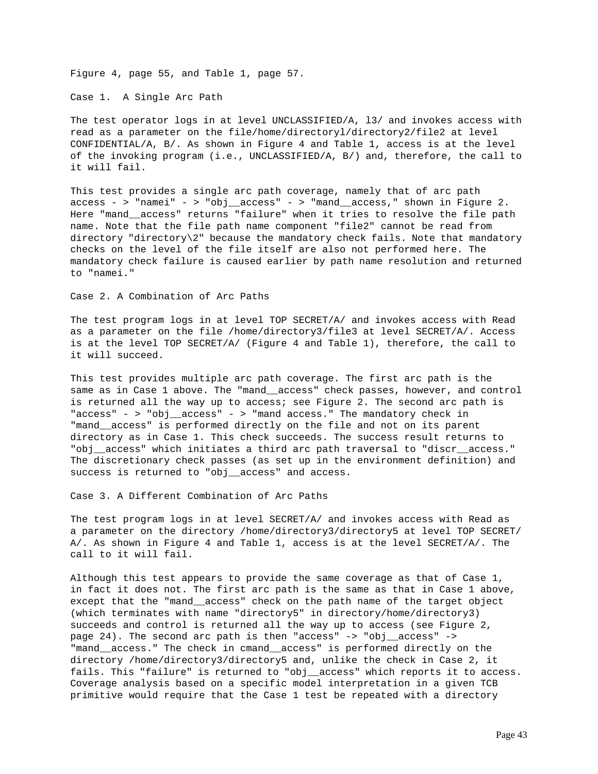Figure 4, page 55, and Table 1, page 57.

Case 1. A Single Arc Path

The test operator logs in at level UNCLASSIFIED/A, l3/ and invokes access with read as a parameter on the file/home/directoryl/directory2/file2 at level CONFIDENTIAL/A, B/. As shown in Figure 4 and Table 1, access is at the level of the invoking program (i.e., UNCLASSIFIED/A, B/) and, therefore, the call to it will fail.

This test provides a single arc path coverage, namely that of arc path access - > "namei" - > "obj\_\_access" - > "mand\_\_access," shown in Figure 2. Here "mand\_\_access" returns "failure" when it tries to resolve the file path name. Note that the file path name component "file2" cannot be read from directory "directory\2" because the mandatory check fails. Note that mandatory checks on the level of the file itself are also not performed here. The mandatory check failure is caused earlier by path name resolution and returned to "namei."

Case 2. A Combination of Arc Paths

The test program logs in at level TOP SECRET/A/ and invokes access with Read as a parameter on the file /home/directory3/file3 at level SECRET/A/. Access is at the level TOP SECRET/A/ (Figure 4 and Table 1), therefore, the call to it will succeed.

This test provides multiple arc path coverage. The first arc path is the same as in Case 1 above. The "mand\_\_access" check passes, however, and control is returned all the way up to access; see Figure 2. The second arc path is "access" - > "obj\_\_access" - > "mand access." The mandatory check in "mand access" is performed directly on the file and not on its parent directory as in Case 1. This check succeeds. The success result returns to "obj\_\_access" which initiates a third arc path traversal to "discr\_\_access." The discretionary check passes (as set up in the environment definition) and success is returned to "obj\_\_access" and access.

Case 3. A Different Combination of Arc Paths

The test program logs in at level SECRET/A/ and invokes access with Read as a parameter on the directory /home/directory3/directory5 at level TOP SECRET/ A/. As shown in Figure 4 and Table 1, access is at the level SECRET/A/. The call to it will fail.

Although this test appears to provide the same coverage as that of Case 1, in fact it does not. The first arc path is the same as that in Case 1 above, except that the "mand\_\_access" check on the path name of the target object (which terminates with name "directory5" in directory/home/directory3) succeeds and control is returned all the way up to access (see Figure 2, page  $24$ ). The second arc path is then "access"  $\rightarrow$  "obj access"  $\rightarrow$ "mand\_\_access." The check in cmand\_\_access" is performed directly on the directory /home/directory3/directory5 and, unlike the check in Case 2, it fails. This "failure" is returned to "obj\_\_access" which reports it to access. Coverage analysis based on a specific model interpretation in a given TCB primitive would require that the Case 1 test be repeated with a directory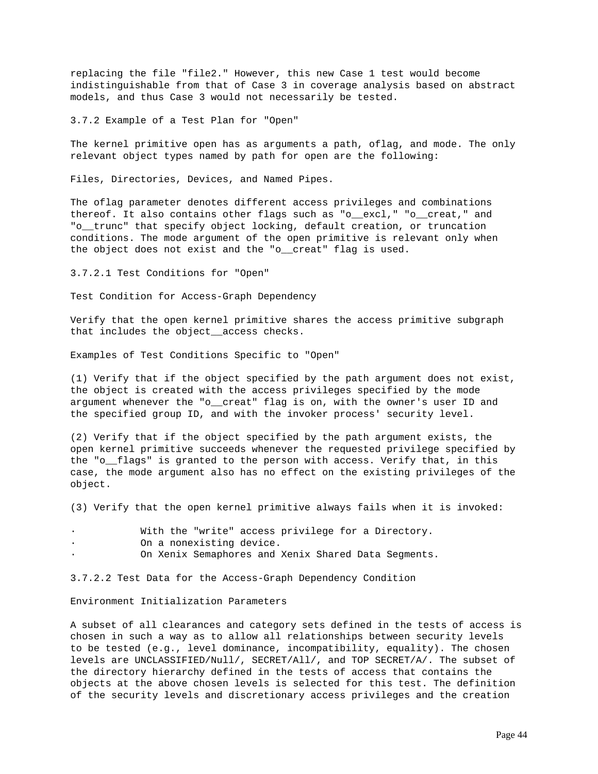replacing the file "file2." However, this new Case 1 test would become indistinguishable from that of Case 3 in coverage analysis based on abstract models, and thus Case 3 would not necessarily be tested.

3.7.2 Example of a Test Plan for "Open"

The kernel primitive open has as arguments a path, oflag, and mode. The only relevant object types named by path for open are the following:

Files, Directories, Devices, and Named Pipes.

The oflag parameter denotes different access privileges and combinations thereof. It also contains other flags such as "o\_\_excl," "o\_\_creat," and "o\_\_trunc" that specify object locking, default creation, or truncation conditions. The mode argument of the open primitive is relevant only when the object does not exist and the "o\_\_creat" flag is used.

3.7.2.1 Test Conditions for "Open"

Test Condition for Access-Graph Dependency

Verify that the open kernel primitive shares the access primitive subgraph that includes the object\_\_access checks.

Examples of Test Conditions Specific to "Open"

(1) Verify that if the object specified by the path argument does not exist, the object is created with the access privileges specified by the mode argument whenever the "o\_\_creat" flag is on, with the owner's user ID and the specified group ID, and with the invoker process' security level.

(2) Verify that if the object specified by the path argument exists, the open kernel primitive succeeds whenever the requested privilege specified by the "o\_\_flags" is granted to the person with access. Verify that, in this case, the mode argument also has no effect on the existing privileges of the object.

(3) Verify that the open kernel primitive always fails when it is invoked:

With the "write" access privilege for a Directory. On a nonexisting device. On Xenix Semaphores and Xenix Shared Data Segments.

3.7.2.2 Test Data for the Access-Graph Dependency Condition

Environment Initialization Parameters

A subset of all clearances and category sets defined in the tests of access is chosen in such a way as to allow all relationships between security levels to be tested (e.g., level dominance, incompatibility, equality). The chosen levels are UNCLASSIFIED/Null/, SECRET/All/, and TOP SECRET/A/. The subset of the directory hierarchy defined in the tests of access that contains the objects at the above chosen levels is selected for this test. The definition of the security levels and discretionary access privileges and the creation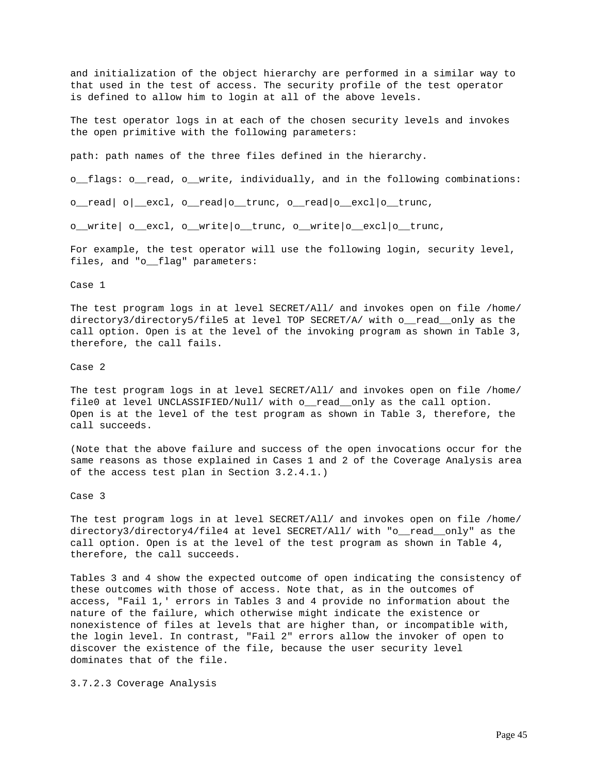and initialization of the object hierarchy are performed in a similar way to that used in the test of access. The security profile of the test operator is defined to allow him to login at all of the above levels.

The test operator logs in at each of the chosen security levels and invokes the open primitive with the following parameters:

path: path names of the three files defined in the hierarchy.

o\_\_flags: o\_\_read, o\_\_write, individually, and in the following combinations:

o\_\_read| o|\_\_excl, o\_\_read|o\_\_trunc, o\_\_read|o\_\_excl|o\_\_trunc,

o\_\_write| o\_\_excl, o\_\_write|o\_\_trunc, o\_\_write|o\_\_excl|o\_\_trunc,

For example, the test operator will use the following login, security level, files, and "o\_\_flag" parameters:

Case 1

The test program logs in at level SECRET/All/ and invokes open on file /home/ directory3/directory5/file5 at level TOP SECRET/A/ with o\_\_read\_\_only as the call option. Open is at the level of the invoking program as shown in Table 3, therefore, the call fails.

Case 2

The test program logs in at level SECRET/All/ and invokes open on file /home/ file0 at level UNCLASSIFIED/Null/ with o\_\_read\_\_only as the call option. Open is at the level of the test program as shown in Table 3, therefore, the call succeeds.

(Note that the above failure and success of the open invocations occur for the same reasons as those explained in Cases 1 and 2 of the Coverage Analysis area of the access test plan in Section 3.2.4.1.)

Case 3

The test program logs in at level SECRET/All/ and invokes open on file /home/ directory3/directory4/file4 at level SECRET/All/ with "o\_\_read\_\_only" as the call option. Open is at the level of the test program as shown in Table 4, therefore, the call succeeds.

Tables 3 and 4 show the expected outcome of open indicating the consistency of these outcomes with those of access. Note that, as in the outcomes of access, "Fail 1,' errors in Tables 3 and 4 provide no information about the nature of the failure, which otherwise might indicate the existence or nonexistence of files at levels that are higher than, or incompatible with, the login level. In contrast, "Fail 2" errors allow the invoker of open to discover the existence of the file, because the user security level dominates that of the file.

3.7.2.3 Coverage Analysis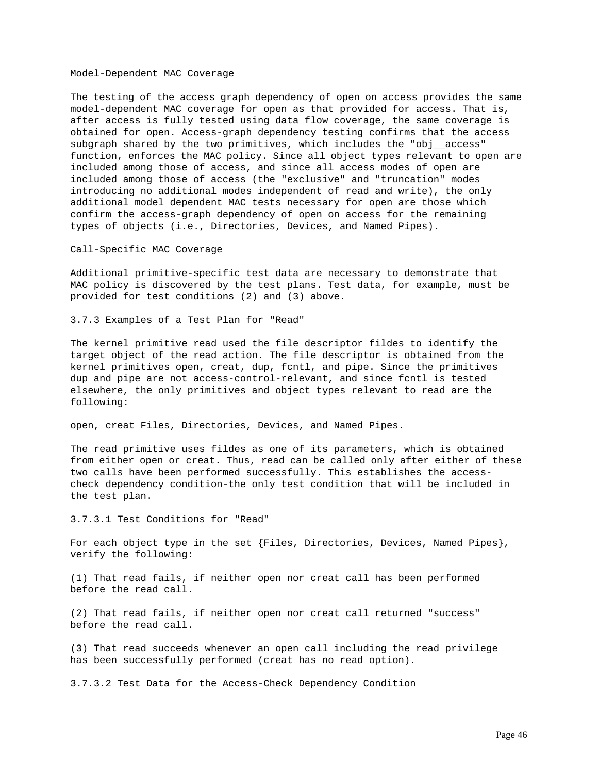#### Model-Dependent MAC Coverage

The testing of the access graph dependency of open on access provides the same model-dependent MAC coverage for open as that provided for access. That is, after access is fully tested using data flow coverage, the same coverage is obtained for open. Access-graph dependency testing confirms that the access subgraph shared by the two primitives, which includes the "obj\_\_access" function, enforces the MAC policy. Since all object types relevant to open are included among those of access, and since all access modes of open are included among those of access (the "exclusive" and "truncation" modes introducing no additional modes independent of read and write), the only additional model dependent MAC tests necessary for open are those which confirm the access-graph dependency of open on access for the remaining types of objects (i.e., Directories, Devices, and Named Pipes).

Call-Specific MAC Coverage

Additional primitive-specific test data are necessary to demonstrate that MAC policy is discovered by the test plans. Test data, for example, must be provided for test conditions (2) and (3) above.

3.7.3 Examples of a Test Plan for "Read"

The kernel primitive read used the file descriptor fildes to identify the target object of the read action. The file descriptor is obtained from the kernel primitives open, creat, dup, fcntl, and pipe. Since the primitives dup and pipe are not access-control-relevant, and since fcntl is tested elsewhere, the only primitives and object types relevant to read are the following:

open, creat Files, Directories, Devices, and Named Pipes.

The read primitive uses fildes as one of its parameters, which is obtained from either open or creat. Thus, read can be called only after either of these two calls have been performed successfully. This establishes the accesscheck dependency condition-the only test condition that will be included in the test plan.

3.7.3.1 Test Conditions for "Read"

For each object type in the set {Files, Directories, Devices, Named Pipes}, verify the following:

(1) That read fails, if neither open nor creat call has been performed before the read call.

(2) That read fails, if neither open nor creat call returned "success" before the read call.

(3) That read succeeds whenever an open call including the read privilege has been successfully performed (creat has no read option).

3.7.3.2 Test Data for the Access-Check Dependency Condition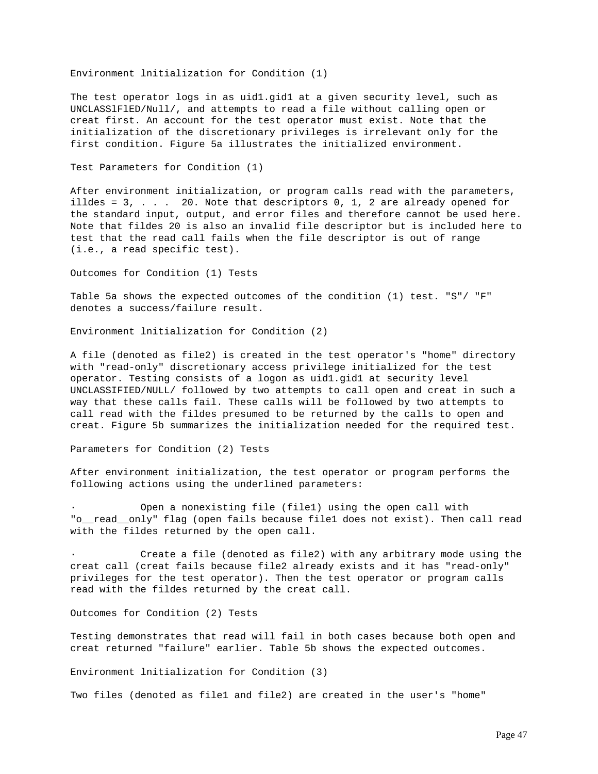Environment lnitialization for Condition (1)

The test operator logs in as uid1.gid1 at a given security level, such as UNCLASSlFlED/Null/, and attempts to read a file without calling open or creat first. An account for the test operator must exist. Note that the initialization of the discretionary privileges is irrelevant only for the first condition. Figure 5a illustrates the initialized environment.

Test Parameters for Condition (1)

After environment initialization, or program calls read with the parameters, illdes =  $3, . . . . 20.$  Note that descriptors  $0, 1, 2$  are already opened for the standard input, output, and error files and therefore cannot be used here. Note that fildes 20 is also an invalid file descriptor but is included here to test that the read call fails when the file descriptor is out of range (i.e., a read specific test).

Outcomes for Condition (1) Tests

Table 5a shows the expected outcomes of the condition (1) test. "S"/ "F" denotes a success/failure result.

Environment lnitialization for Condition (2)

A file (denoted as file2) is created in the test operator's "home" directory with "read-only" discretionary access privilege initialized for the test operator. Testing consists of a logon as uid1.gid1 at security level UNCLASSIFIED/NULL/ followed by two attempts to call open and creat in such a way that these calls fail. These calls will be followed by two attempts to call read with the fildes presumed to be returned by the calls to open and creat. Figure 5b summarizes the initialization needed for the required test.

Parameters for Condition (2) Tests

After environment initialization, the test operator or program performs the following actions using the underlined parameters:

Open a nonexisting file (file1) using the open call with "o\_\_read\_\_only" flag (open fails because file1 does not exist). Then call read with the fildes returned by the open call.

Create a file (denoted as file2) with any arbitrary mode using the creat call (creat fails because file2 already exists and it has "read-only" privileges for the test operator). Then the test operator or program calls read with the fildes returned by the creat call.

Outcomes for Condition (2) Tests

Testing demonstrates that read will fail in both cases because both open and creat returned "failure" earlier. Table 5b shows the expected outcomes.

Environment lnitialization for Condition (3)

Two files (denoted as file1 and file2) are created in the user's "home"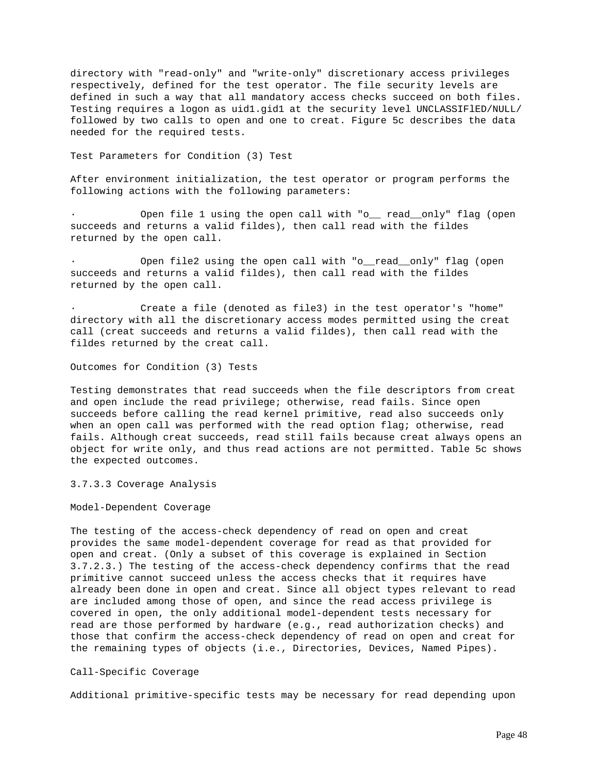directory with "read-only" and "write-only" discretionary access privileges respectively, defined for the test operator. The file security levels are defined in such a way that all mandatory access checks succeed on both files. Testing requires a logon as uid1.gid1 at the security level UNCLASSIFlED/NULL/ followed by two calls to open and one to creat. Figure 5c describes the data needed for the required tests.

Test Parameters for Condition (3) Test

After environment initialization, the test operator or program performs the following actions with the following parameters:

Open file 1 using the open call with "o\_\_ read\_\_only" flag (open succeeds and returns a valid fildes), then call read with the fildes returned by the open call.

Open file2 using the open call with "o\_read\_only" flag (open succeeds and returns a valid fildes), then call read with the fildes returned by the open call.

Create a file (denoted as file3) in the test operator's "home" directory with all the discretionary access modes permitted using the creat call (creat succeeds and returns a valid fildes), then call read with the fildes returned by the creat call.

Outcomes for Condition (3) Tests

Testing demonstrates that read succeeds when the file descriptors from creat and open include the read privilege; otherwise, read fails. Since open succeeds before calling the read kernel primitive, read also succeeds only when an open call was performed with the read option flag; otherwise, read fails. Although creat succeeds, read still fails because creat always opens an object for write only, and thus read actions are not permitted. Table 5c shows the expected outcomes.

3.7.3.3 Coverage Analysis

Model-Dependent Coverage

The testing of the access-check dependency of read on open and creat provides the same model-dependent coverage for read as that provided for open and creat. (Only a subset of this coverage is explained in Section 3.7.2.3.) The testing of the access-check dependency confirms that the read primitive cannot succeed unless the access checks that it requires have already been done in open and creat. Since all object types relevant to read are included among those of open, and since the read access privilege is covered in open, the only additional model-dependent tests necessary for read are those performed by hardware (e.g., read authorization checks) and those that confirm the access-check dependency of read on open and creat for the remaining types of objects (i.e., Directories, Devices, Named Pipes).

Call-Specific Coverage

Additional primitive-specific tests may be necessary for read depending upon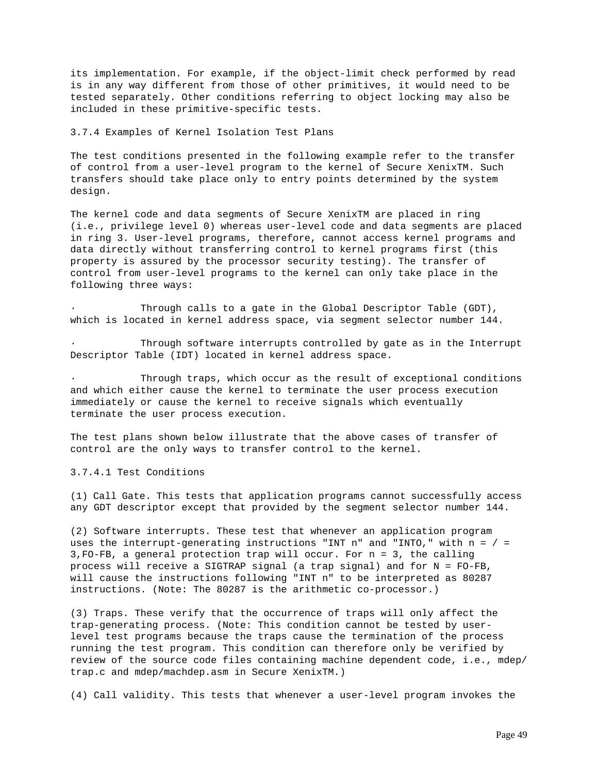its implementation. For example, if the object-limit check performed by read is in any way different from those of other primitives, it would need to be tested separately. Other conditions referring to object locking may also be included in these primitive-specific tests.

# 3.7.4 Examples of Kernel Isolation Test Plans

The test conditions presented in the following example refer to the transfer of control from a user-level program to the kernel of Secure XenixTM. Such transfers should take place only to entry points determined by the system design.

The kernel code and data segments of Secure XenixTM are placed in ring (i.e., privilege level 0) whereas user-level code and data segments are placed in ring 3. User-level programs, therefore, cannot access kernel programs and data directly without transferring control to kernel programs first (this property is assured by the processor security testing). The transfer of control from user-level programs to the kernel can only take place in the following three ways:

Through calls to a gate in the Global Descriptor Table (GDT), which is located in kernel address space, via segment selector number 144.

Through software interrupts controlled by gate as in the Interrupt Descriptor Table (IDT) located in kernel address space.

Through traps, which occur as the result of exceptional conditions and which either cause the kernel to terminate the user process execution immediately or cause the kernel to receive signals which eventually terminate the user process execution.

The test plans shown below illustrate that the above cases of transfer of control are the only ways to transfer control to the kernel.

3.7.4.1 Test Conditions

(1) Call Gate. This tests that application programs cannot successfully access any GDT descriptor except that provided by the segment selector number 144.

(2) Software interrupts. These test that whenever an application program uses the interrupt-generating instructions "INT  $n$ " and "INTO," with  $n = / =$ 3,FO-FB, a general protection trap will occur. For n = 3, the calling process will receive a SIGTRAP signal (a trap signal) and for N = FO-FB, will cause the instructions following "INT n" to be interpreted as 80287 instructions. (Note: The 80287 is the arithmetic co-processor.)

(3) Traps. These verify that the occurrence of traps will only affect the trap-generating process. (Note: This condition cannot be tested by userlevel test programs because the traps cause the termination of the process running the test program. This condition can therefore only be verified by review of the source code files containing machine dependent code, i.e., mdep/ trap.c and mdep/machdep.asm in Secure XenixTM.)

(4) Call validity. This tests that whenever a user-level program invokes the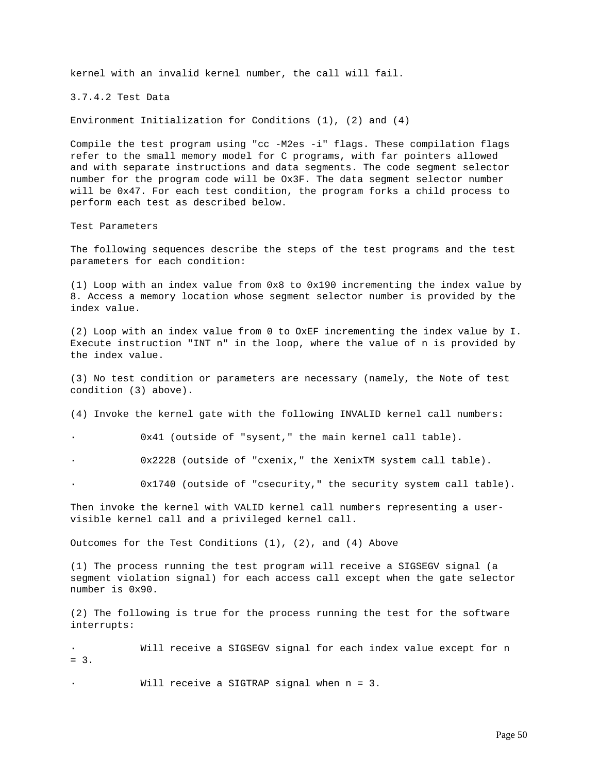kernel with an invalid kernel number, the call will fail.

3.7.4.2 Test Data

Environment Initialization for Conditions (1), (2) and (4)

Compile the test program using "cc -M2es -i" flags. These compilation flags refer to the small memory model for C programs, with far pointers allowed and with separate instructions and data segments. The code segment selector number for the program code will be Ox3F. The data segment selector number will be 0x47. For each test condition, the program forks a child process to perform each test as described below.

Test Parameters

The following sequences describe the steps of the test programs and the test parameters for each condition:

(1) Loop with an index value from 0x8 to 0x190 incrementing the index value by 8. Access a memory location whose segment selector number is provided by the index value.

(2) Loop with an index value from 0 to OxEF incrementing the index value by I. Execute instruction "INT n" in the loop, where the value of n is provided by the index value.

(3) No test condition or parameters are necessary (namely, the Note of test condition (3) above).

(4) Invoke the kernel gate with the following INVALID kernel call numbers:

0x41 (outside of "sysent," the main kernel call table).

· 0x2228 (outside of "cxenix," the XenixTM system call table).

0x1740 (outside of "csecurity," the security system call table).

Then invoke the kernel with VALID kernel call numbers representing a uservisible kernel call and a privileged kernel call.

Outcomes for the Test Conditions (1), (2), and (4) Above

(1) The process running the test program will receive a SIGSEGV signal (a segment violation signal) for each access call except when the gate selector number is 0x90.

(2) The following is true for the process running the test for the software interrupts:

Will receive a SIGSEGV signal for each index value except for n  $= 3.$ 

Will receive a SIGTRAP signal when  $n = 3$ .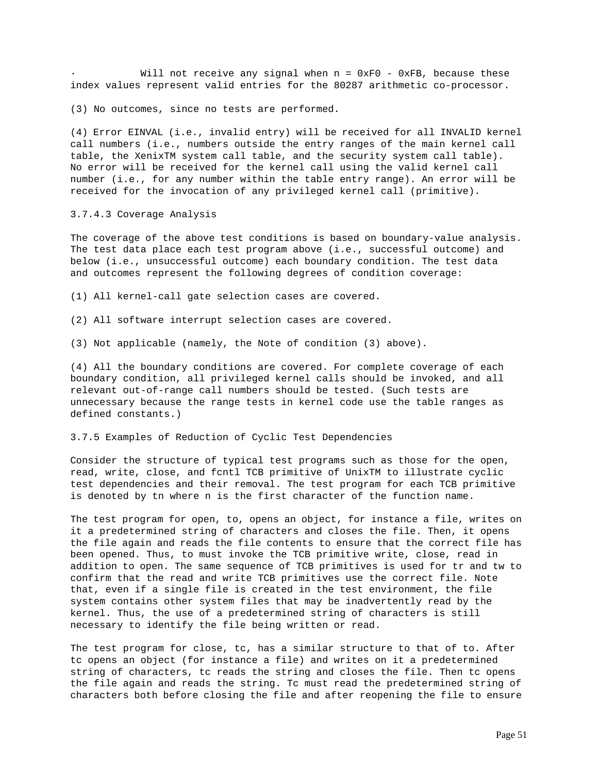Will not receive any signal when  $n = 0xF0 - 0xFB$ , because these index values represent valid entries for the 80287 arithmetic co-processor.

(3) No outcomes, since no tests are performed.

(4) Error EINVAL (i.e., invalid entry) will be received for all INVALID kernel call numbers (i.e., numbers outside the entry ranges of the main kernel call table, the XenixTM system call table, and the security system call table). No error will be received for the kernel call using the valid kernel call number (i.e., for any number within the table entry range). An error will be received for the invocation of any privileged kernel call (primitive).

3.7.4.3 Coverage Analysis

The coverage of the above test conditions is based on boundary-value analysis. The test data place each test program above (i.e., successful outcome) and below (i.e., unsuccessful outcome) each boundary condition. The test data and outcomes represent the following degrees of condition coverage:

(1) All kernel-call gate selection cases are covered.

(2) All software interrupt selection cases are covered.

(3) Not applicable (namely, the Note of condition (3) above).

(4) All the boundary conditions are covered. For complete coverage of each boundary condition, all privileged kernel calls should be invoked, and all relevant out-of-range call numbers should be tested. (Such tests are unnecessary because the range tests in kernel code use the table ranges as defined constants.)

3.7.5 Examples of Reduction of Cyclic Test Dependencies

Consider the structure of typical test programs such as those for the open, read, write, close, and fcntl TCB primitive of UnixTM to illustrate cyclic test dependencies and their removal. The test program for each TCB primitive is denoted by tn where n is the first character of the function name.

The test program for open, to, opens an object, for instance a file, writes on it a predetermined string of characters and closes the file. Then, it opens the file again and reads the file contents to ensure that the correct file has been opened. Thus, to must invoke the TCB primitive write, close, read in addition to open. The same sequence of TCB primitives is used for tr and tw to confirm that the read and write TCB primitives use the correct file. Note that, even if a single file is created in the test environment, the file system contains other system files that may be inadvertently read by the kernel. Thus, the use of a predetermined string of characters is still necessary to identify the file being written or read.

The test program for close, tc, has a similar structure to that of to. After tc opens an object (for instance a file) and writes on it a predetermined string of characters, tc reads the string and closes the file. Then tc opens the file again and reads the string. Tc must read the predetermined string of characters both before closing the file and after reopening the file to ensure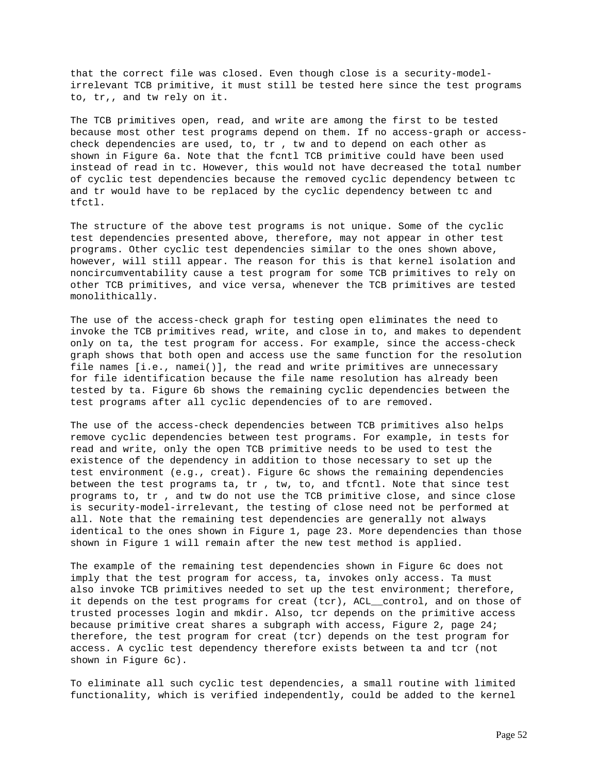that the correct file was closed. Even though close is a security-modelirrelevant TCB primitive, it must still be tested here since the test programs to, tr,, and tw rely on it.

The TCB primitives open, read, and write are among the first to be tested because most other test programs depend on them. If no access-graph or accesscheck dependencies are used, to, tr , tw and to depend on each other as shown in Figure 6a. Note that the fcntl TCB primitive could have been used instead of read in tc. However, this would not have decreased the total number of cyclic test dependencies because the removed cyclic dependency between tc and tr would have to be replaced by the cyclic dependency between tc and tfctl.

The structure of the above test programs is not unique. Some of the cyclic test dependencies presented above, therefore, may not appear in other test programs. Other cyclic test dependencies similar to the ones shown above, however, will still appear. The reason for this is that kernel isolation and noncircumventability cause a test program for some TCB primitives to rely on other TCB primitives, and vice versa, whenever the TCB primitives are tested monolithically.

The use of the access-check graph for testing open eliminates the need to invoke the TCB primitives read, write, and close in to, and makes to dependent only on ta, the test program for access. For example, since the access-check graph shows that both open and access use the same function for the resolution file names [i.e., namei()], the read and write primitives are unnecessary for file identification because the file name resolution has already been tested by ta. Figure 6b shows the remaining cyclic dependencies between the test programs after all cyclic dependencies of to are removed.

The use of the access-check dependencies between TCB primitives also helps remove cyclic dependencies between test programs. For example, in tests for read and write, only the open TCB primitive needs to be used to test the existence of the dependency in addition to those necessary to set up the test environment (e.g., creat). Figure 6c shows the remaining dependencies between the test programs ta, tr , tw, to, and tfcntl. Note that since test programs to, tr , and tw do not use the TCB primitive close, and since close is security-model-irrelevant, the testing of close need not be performed at all. Note that the remaining test dependencies are generally not always identical to the ones shown in Figure 1, page 23. More dependencies than those shown in Figure 1 will remain after the new test method is applied.

The example of the remaining test dependencies shown in Figure 6c does not imply that the test program for access, ta, invokes only access. Ta must also invoke TCB primitives needed to set up the test environment; therefore, it depends on the test programs for creat (tcr), ACL\_\_control, and on those of trusted processes login and mkdir. Also, tcr depends on the primitive access because primitive creat shares a subgraph with access, Figure 2, page 24; therefore, the test program for creat (tcr) depends on the test program for access. A cyclic test dependency therefore exists between ta and tcr (not shown in Figure 6c).

To eliminate all such cyclic test dependencies, a small routine with limited functionality, which is verified independently, could be added to the kernel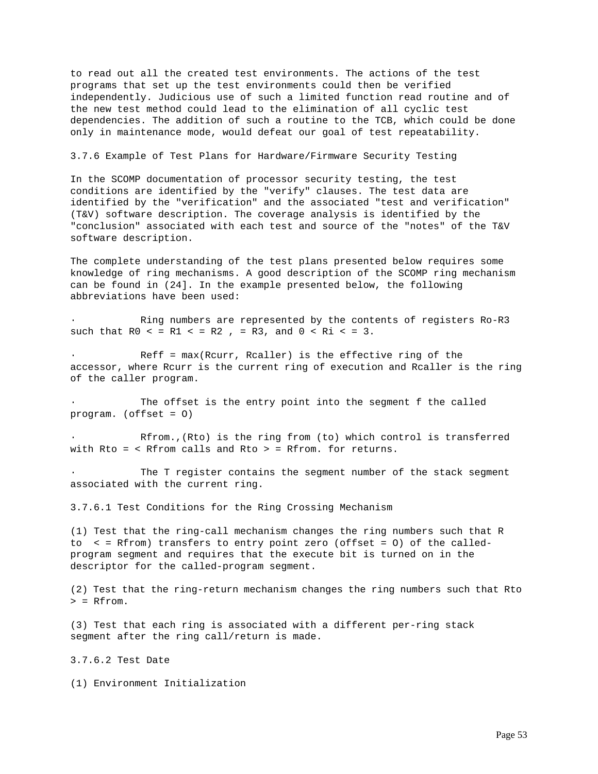to read out all the created test environments. The actions of the test programs that set up the test environments could then be verified independently. Judicious use of such a limited function read routine and of the new test method could lead to the elimination of all cyclic test dependencies. The addition of such a routine to the TCB, which could be done only in maintenance mode, would defeat our goal of test repeatability.

3.7.6 Example of Test Plans for Hardware/Firmware Security Testing

In the SCOMP documentation of processor security testing, the test conditions are identified by the "verify" clauses. The test data are identified by the "verification" and the associated "test and verification" (T&V) software description. The coverage analysis is identified by the "conclusion" associated with each test and source of the "notes" of the T&V software description.

The complete understanding of the test plans presented below requires some knowledge of ring mechanisms. A good description of the SCOMP ring mechanism can be found in (24]. In the example presented below, the following abbreviations have been used:

Ring numbers are represented by the contents of registers Ro-R3 such that  $R0 < = R1 < = R2$ ,  $= R3$ , and  $0 < R1 < = 3$ .

 $Ref f = max(Rcurr, Realler)$  is the effective ring of the accessor, where Rcurr is the current ring of execution and Rcaller is the ring of the caller program.

The offset is the entry point into the segment f the called program. (offset = O)

Rfrom.,(Rto) is the ring from (to) which control is transferred with Rto = < Rfrom calls and Rto > = Rfrom. for returns.

The T register contains the segment number of the stack segment associated with the current ring.

3.7.6.1 Test Conditions for the Ring Crossing Mechanism

(1) Test that the ring-call mechanism changes the ring numbers such that R to < = Rfrom) transfers to entry point zero (offset = O) of the calledprogram segment and requires that the execute bit is turned on in the descriptor for the called-program segment.

(2) Test that the ring-return mechanism changes the ring numbers such that Rto > = Rfrom.

(3) Test that each ring is associated with a different per-ring stack segment after the ring call/return is made.

3.7.6.2 Test Date

(1) Environment Initialization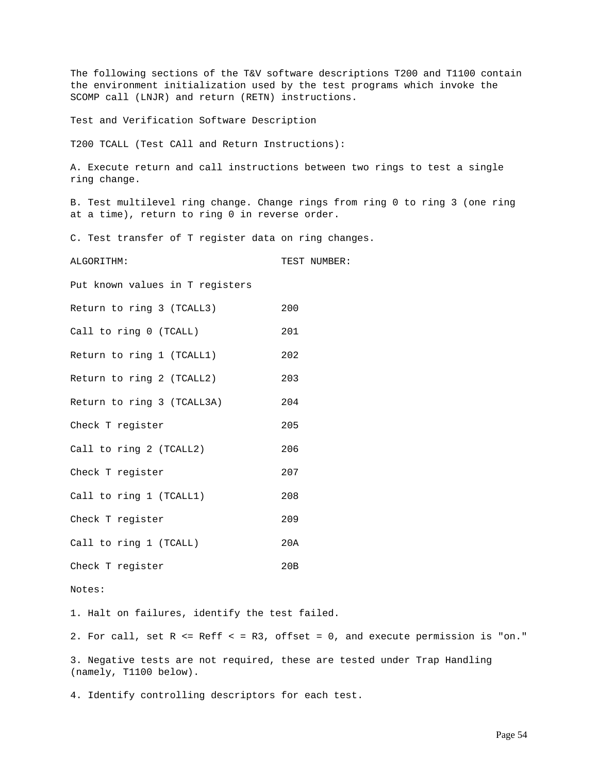The following sections of the T&V software descriptions T200 and T1100 contain the environment initialization used by the test programs which invoke the SCOMP call (LNJR) and return (RETN) instructions.

Test and Verification Software Description

T200 TCALL (Test CAll and Return Instructions):

A. Execute return and call instructions between two rings to test a single ring change.

B. Test multilevel ring change. Change rings from ring 0 to ring 3 (one ring at a time), return to ring 0 in reverse order.

C. Test transfer of T register data on ring changes.

ALGORITHM: TEST NUMBER:

Put known values in T registers

|  |  | Return to ring 3 (TCALL3) | 200 |
|--|--|---------------------------|-----|
|  |  |                           |     |

Call to ring 0 (TCALL) 201

Return to ring 1 (TCALL1) 202 Return to ring 2 (TCALL2) 203

Return to ring 3 (TCALL3A) 204

Check T register 205

Call to ring 2 (TCALL2) 206

Check T register 207

Call to ring 1 (TCALL1) 208

Check T register 209

Call to ring 1 (TCALL) 20A Check T register 20B

Notes:

1. Halt on failures, identify the test failed.

2. For call, set R <= Reff < = R3, offset = 0, and execute permission is "on."

3. Negative tests are not required, these are tested under Trap Handling (namely, T1100 below).

4. Identify controlling descriptors for each test.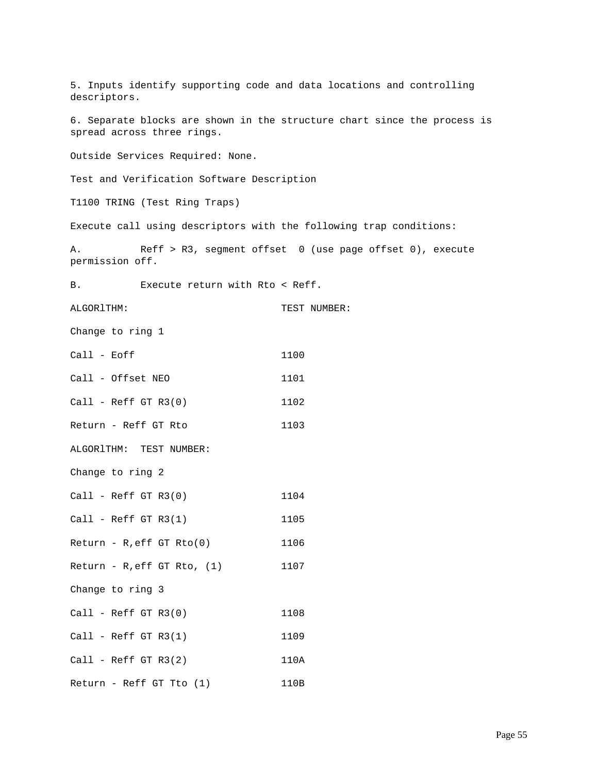5. Inputs identify supporting code and data locations and controlling descriptors. 6. Separate blocks are shown in the structure chart since the process is spread across three rings. Outside Services Required: None. Test and Verification Software Description T1100 TRING (Test Ring Traps) Execute call using descriptors with the following trap conditions: A. Reff > R3, segment offset 0 (use page offset 0), execute permission off. B. Execute return with Rto < Reff. ALGORITHM: TEST NUMBER: Change to ring 1 Call - Eoff 1100 Call - Offset NEO 1101 Call - Reff GT R3(0) 1102 Return - Reff GT Rto 1103 ALGORlTHM: TEST NUMBER: Change to ring 2 Call - Reff GT R3(0) 1104 Call - Reff GT R3(1) 1105  $Return - R, eff GT Rto(0)$  1106  $Return - R, eff GT Rto, (1)$  1107 Change to ring 3 Call - Reff GT R3(0) 1108 Call - Reff GT R3(1) 1109  $Call - Reff GT R3(2)$  110A Return - Reff GT Tto (1) 110B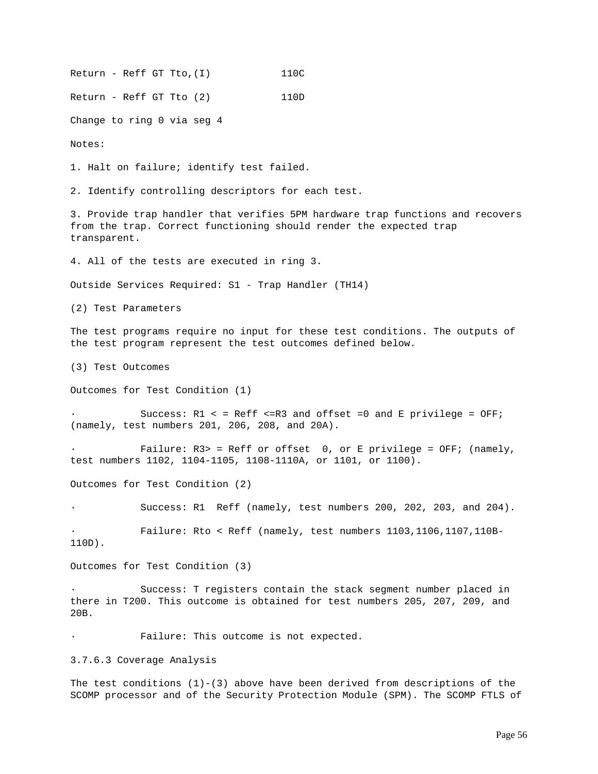Return - Reff GT Tto, (I) 110C Return - Reff GT Tto (2) 110D Change to ring 0 via seg 4 Notes: 1. Halt on failure; identify test failed. 2. Identify controlling descriptors for each test. 3. Provide trap handler that verifies 5PM hardware trap functions and recovers from the trap. Correct functioning should render the expected trap transparent. 4. All of the tests are executed in ring 3. Outside Services Required: S1 - Trap Handler (TH14) (2) Test Parameters The test programs require no input for these test conditions. The outputs of the test program represent the test outcomes defined below. (3) Test Outcomes Outcomes for Test Condition (1) Success:  $R1 < = Reff < = R3$  and offset =0 and E privilege = OFF; (namely, test numbers 201, 206, 208, and 20A). Failure:  $R3>$  = Reff or offset 0, or E privilege = OFF; (namely, test numbers 1102, 1104-1105, 1108-1110A, or 1101, or 1100). Outcomes for Test Condition (2) Success: R1 Reff (namely, test numbers 200, 202, 203, and 204). · Failure: Rto < Reff (namely, test numbers 1103,1106,1107,110B-110D). Outcomes for Test Condition (3) Success: T registers contain the stack segment number placed in there in T200. This outcome is obtained for test numbers 205, 207, 209, and 20B. Failure: This outcome is not expected. 3.7.6.3 Coverage Analysis The test conditions  $(1)-(3)$  above have been derived from descriptions of the

SCOMP processor and of the Security Protection Module (SPM). The SCOMP FTLS of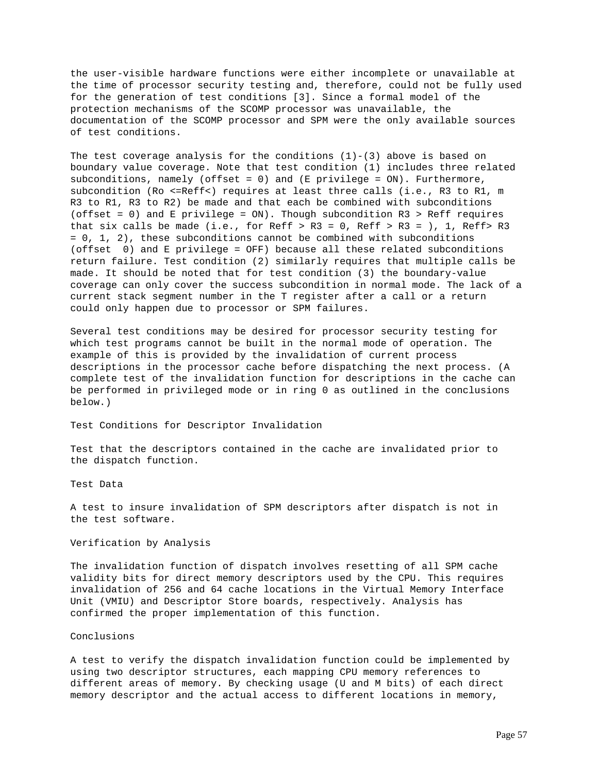the user-visible hardware functions were either incomplete or unavailable at the time of processor security testing and, therefore, could not be fully used for the generation of test conditions [3]. Since a formal model of the protection mechanisms of the SCOMP processor was unavailable, the documentation of the SCOMP processor and SPM were the only available sources of test conditions.

The test coverage analysis for the conditions  $(1)-(3)$  above is based on boundary value coverage. Note that test condition (1) includes three related subconditions, namely (offset = 0) and (E privilege = ON). Furthermore, subcondition (Ro <=Reff<) requires at least three calls (i.e., R3 to R1, m R3 to R1, R3 to R2) be made and that each be combined with subconditions (offset = 0) and E privilege = ON). Though subcondition R3 > Reff requires that six calls be made (i.e., for Reff > R3 = 0, Reff > R3 = ), 1, Reff > R3 = 0, 1, 2), these subconditions cannot be combined with subconditions (offset 0) and E privilege = OFF) because all these related subconditions return failure. Test condition (2) similarly requires that multiple calls be made. It should be noted that for test condition (3) the boundary-value coverage can only cover the success subcondition in normal mode. The lack of a current stack segment number in the T register after a call or a return could only happen due to processor or SPM failures.

Several test conditions may be desired for processor security testing for which test programs cannot be built in the normal mode of operation. The example of this is provided by the invalidation of current process descriptions in the processor cache before dispatching the next process. (A complete test of the invalidation function for descriptions in the cache can be performed in privileged mode or in ring 0 as outlined in the conclusions below.)

Test Conditions for Descriptor Invalidation

Test that the descriptors contained in the cache are invalidated prior to the dispatch function.

Test Data

A test to insure invalidation of SPM descriptors after dispatch is not in the test software.

# Verification by Analysis

The invalidation function of dispatch involves resetting of all SPM cache validity bits for direct memory descriptors used by the CPU. This requires invalidation of 256 and 64 cache locations in the Virtual Memory Interface Unit (VMIU) and Descriptor Store boards, respectively. Analysis has confirmed the proper implementation of this function.

#### Conclusions

A test to verify the dispatch invalidation function could be implemented by using two descriptor structures, each mapping CPU memory references to different areas of memory. By checking usage (U and M bits) of each direct memory descriptor and the actual access to different locations in memory,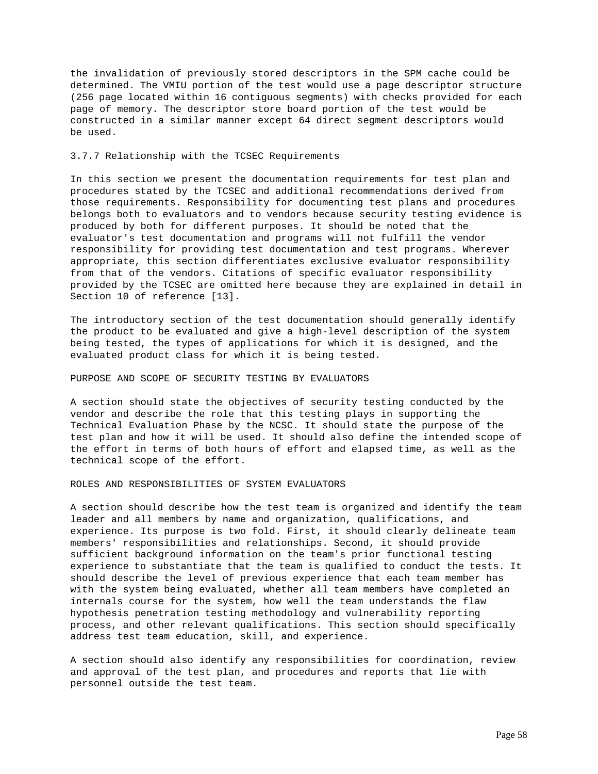the invalidation of previously stored descriptors in the SPM cache could be determined. The VMIU portion of the test would use a page descriptor structure (256 page located within 16 contiguous segments) with checks provided for each page of memory. The descriptor store board portion of the test would be constructed in a similar manner except 64 direct segment descriptors would be used.

# 3.7.7 Relationship with the TCSEC Requirements

In this section we present the documentation requirements for test plan and procedures stated by the TCSEC and additional recommendations derived from those requirements. Responsibility for documenting test plans and procedures belongs both to evaluators and to vendors because security testing evidence is produced by both for different purposes. It should be noted that the evaluator's test documentation and programs will not fulfill the vendor responsibility for providing test documentation and test programs. Wherever appropriate, this section differentiates exclusive evaluator responsibility from that of the vendors. Citations of specific evaluator responsibility provided by the TCSEC are omitted here because they are explained in detail in Section 10 of reference [13].

The introductory section of the test documentation should generally identify the product to be evaluated and give a high-level description of the system being tested, the types of applications for which it is designed, and the evaluated product class for which it is being tested.

#### PURPOSE AND SCOPE OF SECURITY TESTING BY EVALUATORS

A section should state the objectives of security testing conducted by the vendor and describe the role that this testing plays in supporting the Technical Evaluation Phase by the NCSC. It should state the purpose of the test plan and how it will be used. It should also define the intended scope of the effort in terms of both hours of effort and elapsed time, as well as the technical scope of the effort.

# ROLES AND RESPONSIBILITIES OF SYSTEM EVALUATORS

A section should describe how the test team is organized and identify the team leader and all members by name and organization, qualifications, and experience. Its purpose is two fold. First, it should clearly delineate team members' responsibilities and relationships. Second, it should provide sufficient background information on the team's prior functional testing experience to substantiate that the team is qualified to conduct the tests. It should describe the level of previous experience that each team member has with the system being evaluated, whether all team members have completed an internals course for the system, how well the team understands the flaw hypothesis penetration testing methodology and vulnerability reporting process, and other relevant qualifications. This section should specifically address test team education, skill, and experience.

A section should also identify any responsibilities for coordination, review and approval of the test plan, and procedures and reports that lie with personnel outside the test team.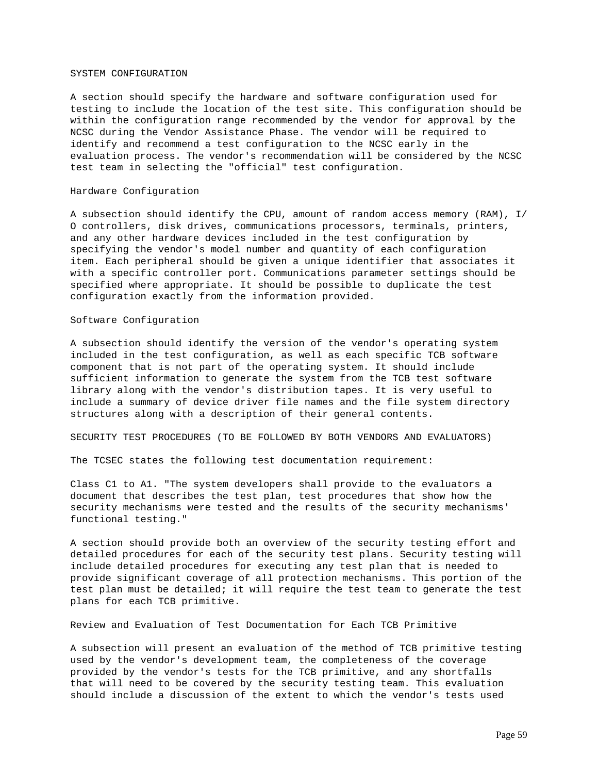#### SYSTEM CONFIGURATION

A section should specify the hardware and software configuration used for testing to include the location of the test site. This configuration should be within the configuration range recommended by the vendor for approval by the NCSC during the Vendor Assistance Phase. The vendor will be required to identify and recommend a test configuration to the NCSC early in the evaluation process. The vendor's recommendation will be considered by the NCSC test team in selecting the "official" test configuration.

### Hardware Configuration

A subsection should identify the CPU, amount of random access memory (RAM), I/ O controllers, disk drives, communications processors, terminals, printers, and any other hardware devices included in the test configuration by specifying the vendor's model number and quantity of each configuration item. Each peripheral should be given a unique identifier that associates it with a specific controller port. Communications parameter settings should be specified where appropriate. It should be possible to duplicate the test configuration exactly from the information provided.

# Software Configuration

A subsection should identify the version of the vendor's operating system included in the test configuration, as well as each specific TCB software component that is not part of the operating system. It should include sufficient information to generate the system from the TCB test software library along with the vendor's distribution tapes. It is very useful to include a summary of device driver file names and the file system directory structures along with a description of their general contents.

SECURITY TEST PROCEDURES (TO BE FOLLOWED BY BOTH VENDORS AND EVALUATORS)

The TCSEC states the following test documentation requirement:

Class C1 to A1. "The system developers shall provide to the evaluators a document that describes the test plan, test procedures that show how the security mechanisms were tested and the results of the security mechanisms' functional testing."

A section should provide both an overview of the security testing effort and detailed procedures for each of the security test plans. Security testing will include detailed procedures for executing any test plan that is needed to provide significant coverage of all protection mechanisms. This portion of the test plan must be detailed; it will require the test team to generate the test plans for each TCB primitive.

Review and Evaluation of Test Documentation for Each TCB Primitive

A subsection will present an evaluation of the method of TCB primitive testing used by the vendor's development team, the completeness of the coverage provided by the vendor's tests for the TCB primitive, and any shortfalls that will need to be covered by the security testing team. This evaluation should include a discussion of the extent to which the vendor's tests used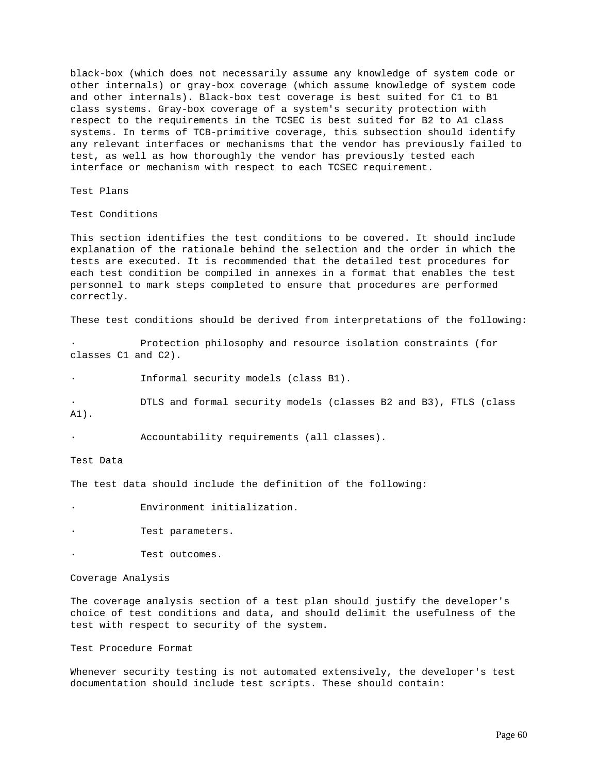black-box (which does not necessarily assume any knowledge of system code or other internals) or gray-box coverage (which assume knowledge of system code and other internals). Black-box test coverage is best suited for C1 to B1 class systems. Gray-box coverage of a system's security protection with respect to the requirements in the TCSEC is best suited for B2 to A1 class systems. In terms of TCB-primitive coverage, this subsection should identify any relevant interfaces or mechanisms that the vendor has previously failed to test, as well as how thoroughly the vendor has previously tested each interface or mechanism with respect to each TCSEC requirement.

Test Plans

Test Conditions

This section identifies the test conditions to be covered. It should include explanation of the rationale behind the selection and the order in which the tests are executed. It is recommended that the detailed test procedures for each test condition be compiled in annexes in a format that enables the test personnel to mark steps completed to ensure that procedures are performed correctly.

These test conditions should be derived from interpretations of the following:

Protection philosophy and resource isolation constraints (for classes C1 and C2).

Informal security models (class B1).

· DTLS and formal security models (classes B2 and B3), FTLS (class

A1).

Accountability requirements (all classes).

Test Data

The test data should include the definition of the following:

Environment initialization.

Test parameters.

Test outcomes.

Coverage Analysis

The coverage analysis section of a test plan should justify the developer's choice of test conditions and data, and should delimit the usefulness of the test with respect to security of the system.

Test Procedure Format

Whenever security testing is not automated extensively, the developer's test documentation should include test scripts. These should contain: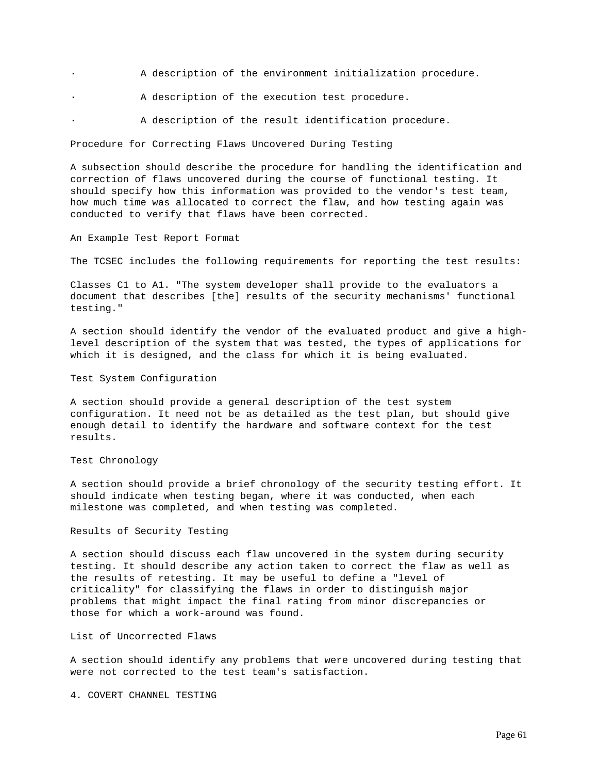- · A description of the environment initialization procedure.
- · A description of the execution test procedure.
	- A description of the result identification procedure.

Procedure for Correcting Flaws Uncovered During Testing

A subsection should describe the procedure for handling the identification and correction of flaws uncovered during the course of functional testing. It should specify how this information was provided to the vendor's test team, how much time was allocated to correct the flaw, and how testing again was conducted to verify that flaws have been corrected.

An Example Test Report Format

The TCSEC includes the following requirements for reporting the test results:

Classes C1 to A1. "The system developer shall provide to the evaluators a document that describes [the] results of the security mechanisms' functional testing."

A section should identify the vendor of the evaluated product and give a highlevel description of the system that was tested, the types of applications for which it is designed, and the class for which it is being evaluated.

Test System Configuration

A section should provide a general description of the test system configuration. It need not be as detailed as the test plan, but should give enough detail to identify the hardware and software context for the test results.

Test Chronology

A section should provide a brief chronology of the security testing effort. It should indicate when testing began, where it was conducted, when each milestone was completed, and when testing was completed.

Results of Security Testing

A section should discuss each flaw uncovered in the system during security testing. It should describe any action taken to correct the flaw as well as the results of retesting. It may be useful to define a "level of criticality" for classifying the flaws in order to distinguish major problems that might impact the final rating from minor discrepancies or those for which a work-around was found.

List of Uncorrected Flaws

A section should identify any problems that were uncovered during testing that were not corrected to the test team's satisfaction.

4. COVERT CHANNEL TESTING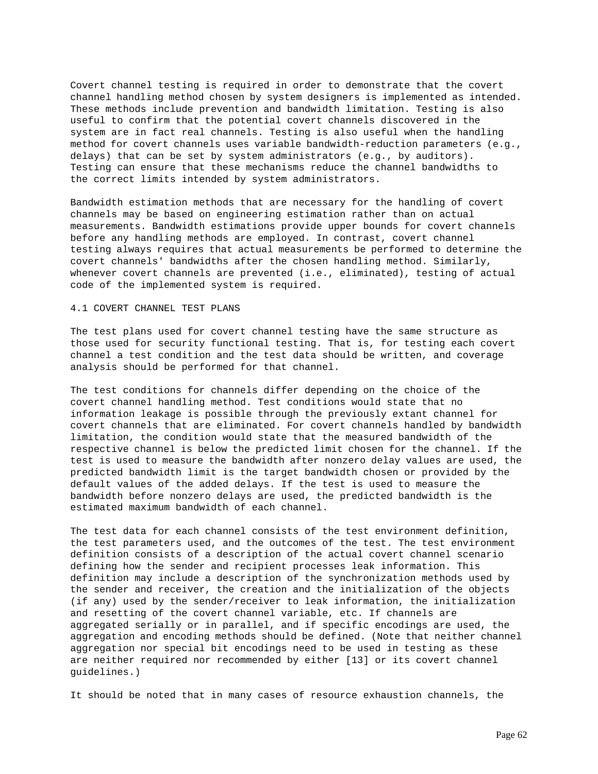Covert channel testing is required in order to demonstrate that the covert channel handling method chosen by system designers is implemented as intended. These methods include prevention and bandwidth limitation. Testing is also useful to confirm that the potential covert channels discovered in the system are in fact real channels. Testing is also useful when the handling method for covert channels uses variable bandwidth-reduction parameters (e.g., delays) that can be set by system administrators (e.g., by auditors). Testing can ensure that these mechanisms reduce the channel bandwidths to the correct limits intended by system administrators.

Bandwidth estimation methods that are necessary for the handling of covert channels may be based on engineering estimation rather than on actual measurements. Bandwidth estimations provide upper bounds for covert channels before any handling methods are employed. In contrast, covert channel testing always requires that actual measurements be performed to determine the covert channels' bandwidths after the chosen handling method. Similarly, whenever covert channels are prevented (i.e., eliminated), testing of actual code of the implemented system is required.

### 4.1 COVERT CHANNEL TEST PLANS

The test plans used for covert channel testing have the same structure as those used for security functional testing. That is, for testing each covert channel a test condition and the test data should be written, and coverage analysis should be performed for that channel.

The test conditions for channels differ depending on the choice of the covert channel handling method. Test conditions would state that no information leakage is possible through the previously extant channel for covert channels that are eliminated. For covert channels handled by bandwidth limitation, the condition would state that the measured bandwidth of the respective channel is below the predicted limit chosen for the channel. If the test is used to measure the bandwidth after nonzero delay values are used, the predicted bandwidth limit is the target bandwidth chosen or provided by the default values of the added delays. If the test is used to measure the bandwidth before nonzero delays are used, the predicted bandwidth is the estimated maximum bandwidth of each channel.

The test data for each channel consists of the test environment definition, the test parameters used, and the outcomes of the test. The test environment definition consists of a description of the actual covert channel scenario defining how the sender and recipient processes leak information. This definition may include a description of the synchronization methods used by the sender and receiver, the creation and the initialization of the objects (if any) used by the sender/receiver to leak information, the initialization and resetting of the covert channel variable, etc. If channels are aggregated serially or in parallel, and if specific encodings are used, the aggregation and encoding methods should be defined. (Note that neither channel aggregation nor special bit encodings need to be used in testing as these are neither required nor recommended by either [13] or its covert channel guidelines.)

It should be noted that in many cases of resource exhaustion channels, the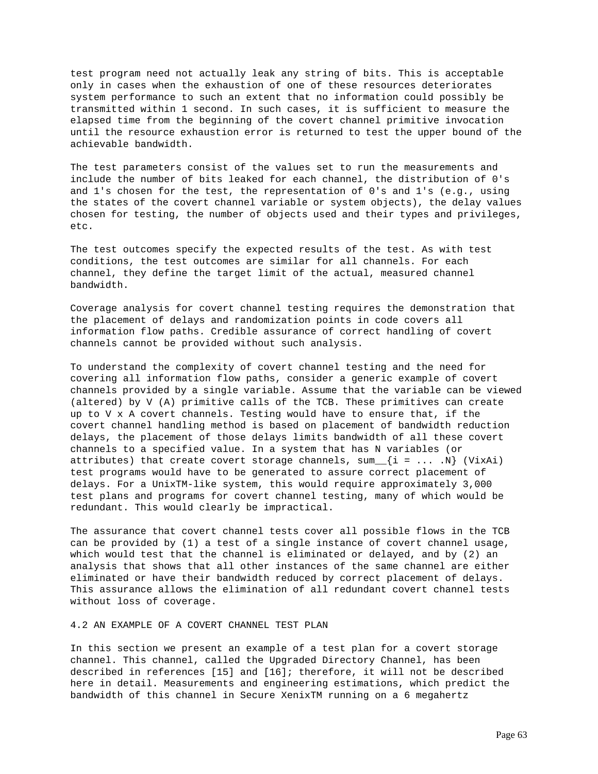test program need not actually leak any string of bits. This is acceptable only in cases when the exhaustion of one of these resources deteriorates system performance to such an extent that no information could possibly be transmitted within 1 second. In such cases, it is sufficient to measure the elapsed time from the beginning of the covert channel primitive invocation until the resource exhaustion error is returned to test the upper bound of the achievable bandwidth.

The test parameters consist of the values set to run the measurements and include the number of bits leaked for each channel, the distribution of 0's and 1's chosen for the test, the representation of 0's and 1's (e.g., using the states of the covert channel variable or system objects), the delay values chosen for testing, the number of objects used and their types and privileges, etc.

The test outcomes specify the expected results of the test. As with test conditions, the test outcomes are similar for all channels. For each channel, they define the target limit of the actual, measured channel bandwidth.

Coverage analysis for covert channel testing requires the demonstration that the placement of delays and randomization points in code covers all information flow paths. Credible assurance of correct handling of covert channels cannot be provided without such analysis.

To understand the complexity of covert channel testing and the need for covering all information flow paths, consider a generic example of covert channels provided by a single variable. Assume that the variable can be viewed (altered) by V (A) primitive calls of the TCB. These primitives can create up to V x A covert channels. Testing would have to ensure that, if the covert channel handling method is based on placement of bandwidth reduction delays, the placement of those delays limits bandwidth of all these covert channels to a specified value. In a system that has N variables (or attributes) that create covert storage channels,  $sum_{i} i = ... N$  (VixAi) test programs would have to be generated to assure correct placement of delays. For a UnixTM-like system, this would require approximately 3,000 test plans and programs for covert channel testing, many of which would be redundant. This would clearly be impractical.

The assurance that covert channel tests cover all possible flows in the TCB can be provided by (1) a test of a single instance of covert channel usage, which would test that the channel is eliminated or delayed, and by (2) an analysis that shows that all other instances of the same channel are either eliminated or have their bandwidth reduced by correct placement of delays. This assurance allows the elimination of all redundant covert channel tests without loss of coverage.

4.2 AN EXAMPLE OF A COVERT CHANNEL TEST PLAN

In this section we present an example of a test plan for a covert storage channel. This channel, called the Upgraded Directory Channel, has been described in references [15] and [16]; therefore, it will not be described here in detail. Measurements and engineering estimations, which predict the bandwidth of this channel in Secure XenixTM running on a 6 megahertz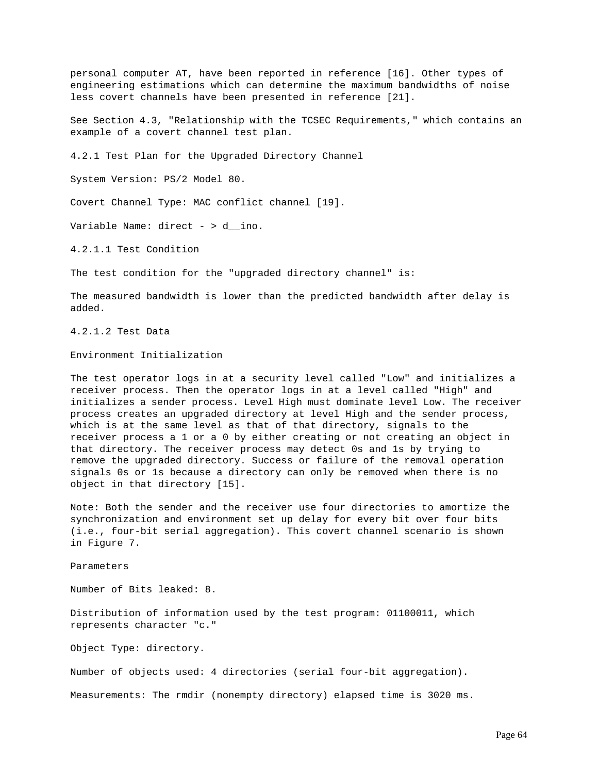personal computer AT, have been reported in reference [16]. Other types of engineering estimations which can determine the maximum bandwidths of noise less covert channels have been presented in reference [21].

See Section 4.3, "Relationship with the TCSEC Requirements," which contains an example of a covert channel test plan.

4.2.1 Test Plan for the Upgraded Directory Channel

System Version: PS/2 Model 80.

Covert Channel Type: MAC conflict channel [19].

Variable Name: direct - > d\_\_ino.

4.2.1.1 Test Condition

The test condition for the "upgraded directory channel" is:

The measured bandwidth is lower than the predicted bandwidth after delay is added.

4.2.1.2 Test Data

Environment Initialization

The test operator logs in at a security level called "Low" and initializes a receiver process. Then the operator logs in at a level called "High" and initializes a sender process. Level High must dominate level Low. The receiver process creates an upgraded directory at level High and the sender process, which is at the same level as that of that directory, signals to the receiver process a 1 or a 0 by either creating or not creating an object in that directory. The receiver process may detect 0s and 1s by trying to remove the upgraded directory. Success or failure of the removal operation signals 0s or 1s because a directory can only be removed when there is no object in that directory [15].

Note: Both the sender and the receiver use four directories to amortize the synchronization and environment set up delay for every bit over four bits (i.e., four-bit serial aggregation). This covert channel scenario is shown in Figure 7.

Parameters

Number of Bits leaked: 8.

Distribution of information used by the test program: 01100011, which represents character "c."

Object Type: directory.

Number of objects used: 4 directories (serial four-bit aggregation).

Measurements: The rmdir (nonempty directory) elapsed time is 3020 ms.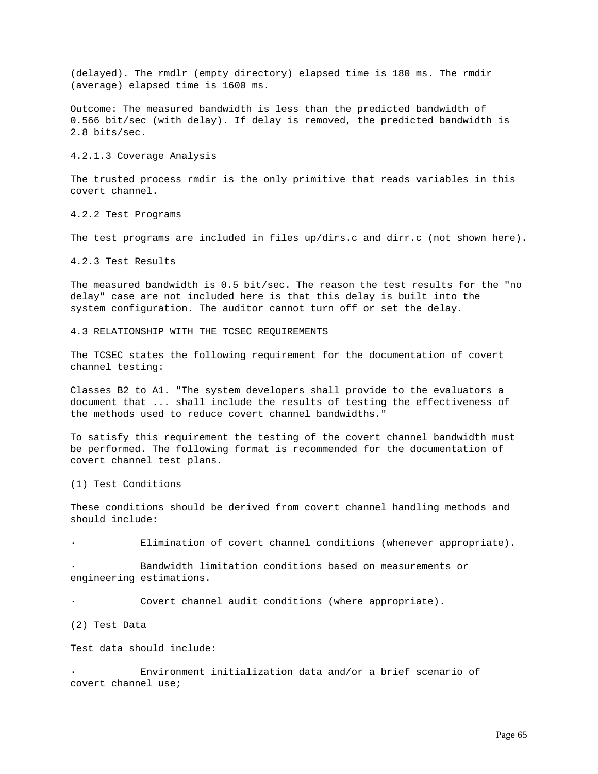(delayed). The rmdlr (empty directory) elapsed time is 180 ms. The rmdir (average) elapsed time is 1600 ms.

Outcome: The measured bandwidth is less than the predicted bandwidth of 0.566 bit/sec (with delay). If delay is removed, the predicted bandwidth is 2.8 bits/sec.

4.2.1.3 Coverage Analysis

The trusted process rmdir is the only primitive that reads variables in this covert channel.

4.2.2 Test Programs

The test programs are included in files up/dirs.c and dirr.c (not shown here).

4.2.3 Test Results

The measured bandwidth is 0.5 bit/sec. The reason the test results for the "no delay" case are not included here is that this delay is built into the system configuration. The auditor cannot turn off or set the delay.

4.3 RELATIONSHIP WITH THE TCSEC REQUIREMENTS

The TCSEC states the following requirement for the documentation of covert channel testing:

Classes B2 to A1. "The system developers shall provide to the evaluators a document that ... shall include the results of testing the effectiveness of the methods used to reduce covert channel bandwidths."

To satisfy this requirement the testing of the covert channel bandwidth must be performed. The following format is recommended for the documentation of covert channel test plans.

(1) Test Conditions

These conditions should be derived from covert channel handling methods and should include:

Elimination of covert channel conditions (whenever appropriate).

Bandwidth limitation conditions based on measurements or engineering estimations.

Covert channel audit conditions (where appropriate).

(2) Test Data

Test data should include:

Environment initialization data and/or a brief scenario of covert channel use;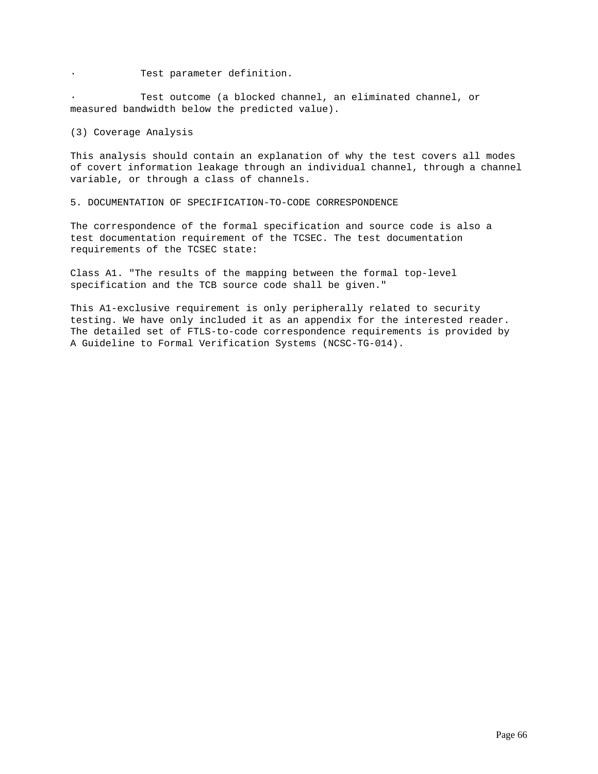· Test parameter definition.

Test outcome (a blocked channel, an eliminated channel, or measured bandwidth below the predicted value).

(3) Coverage Analysis

This analysis should contain an explanation of why the test covers all modes of covert information leakage through an individual channel, through a channel variable, or through a class of channels.

5. DOCUMENTATION OF SPECIFICATION-TO-CODE CORRESPONDENCE

The correspondence of the formal specification and source code is also a test documentation requirement of the TCSEC. The test documentation requirements of the TCSEC state:

Class A1. "The results of the mapping between the formal top-level specification and the TCB source code shall be given."

This A1-exclusive requirement is only peripherally related to security testing. We have only included it as an appendix for the interested reader. The detailed set of FTLS-to-code correspondence requirements is provided by A Guideline to Formal Verification Systems (NCSC-TG-014).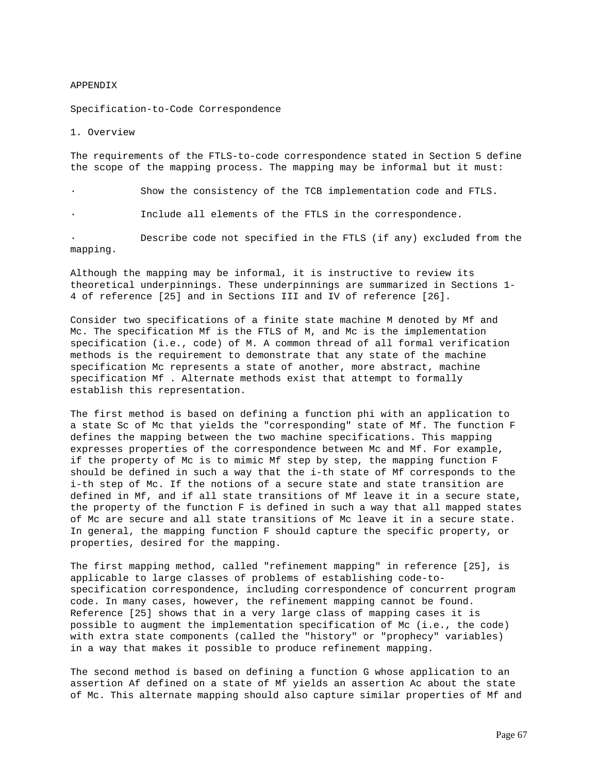#### APPENDIX

Specification-to-Code Correspondence

1. Overview

The requirements of the FTLS-to-code correspondence stated in Section 5 define the scope of the mapping process. The mapping may be informal but it must:

Show the consistency of the TCB implementation code and FTLS.

Include all elements of the FTLS in the correspondence.

Describe code not specified in the FTLS (if any) excluded from the mapping.

Although the mapping may be informal, it is instructive to review its theoretical underpinnings. These underpinnings are summarized in Sections 1- 4 of reference [25] and in Sections III and IV of reference [26].

Consider two specifications of a finite state machine M denoted by Mf and Mc. The specification Mf is the FTLS of M, and Mc is the implementation specification (i.e., code) of M. A common thread of all formal verification methods is the requirement to demonstrate that any state of the machine specification Mc represents a state of another, more abstract, machine specification Mf . Alternate methods exist that attempt to formally establish this representation.

The first method is based on defining a function phi with an application to a state Sc of Mc that yields the "corresponding" state of Mf. The function F defines the mapping between the two machine specifications. This mapping expresses properties of the correspondence between Mc and Mf. For example, if the property of Mc is to mimic Mf step by step, the mapping function F should be defined in such a way that the i-th state of Mf corresponds to the i-th step of Mc. If the notions of a secure state and state transition are defined in Mf, and if all state transitions of Mf leave it in a secure state, the property of the function F is defined in such a way that all mapped states of Mc are secure and all state transitions of Mc leave it in a secure state. In general, the mapping function F should capture the specific property, or properties, desired for the mapping.

The first mapping method, called "refinement mapping" in reference [25], is applicable to large classes of problems of establishing code-tospecification correspondence, including correspondence of concurrent program code. In many cases, however, the refinement mapping cannot be found. Reference [25] shows that in a very large class of mapping cases it is possible to augment the implementation specification of Mc (i.e., the code) with extra state components (called the "history" or "prophecy" variables) in a way that makes it possible to produce refinement mapping.

The second method is based on defining a function G whose application to an assertion Af defined on a state of Mf yields an assertion Ac about the state of Mc. This alternate mapping should also capture similar properties of Mf and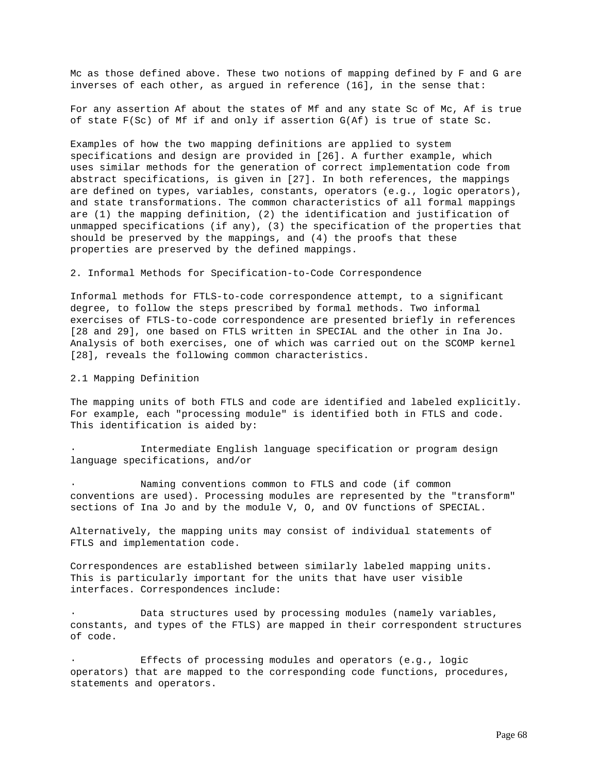Mc as those defined above. These two notions of mapping defined by F and G are inverses of each other, as argued in reference (16], in the sense that:

For any assertion Af about the states of Mf and any state Sc of Mc, Af is true of state F(Sc) of Mf if and only if assertion G(Af) is true of state Sc.

Examples of how the two mapping definitions are applied to system specifications and design are provided in [26]. A further example, which uses similar methods for the generation of correct implementation code from abstract specifications, is given in [27]. In both references, the mappings are defined on types, variables, constants, operators (e.g., logic operators), and state transformations. The common characteristics of all formal mappings are (1) the mapping definition, (2) the identification and justification of unmapped specifications (if any), (3) the specification of the properties that should be preserved by the mappings, and (4) the proofs that these properties are preserved by the defined mappings.

# 2. Informal Methods for Specification-to-Code Correspondence

Informal methods for FTLS-to-code correspondence attempt, to a significant degree, to follow the steps prescribed by formal methods. Two informal exercises of FTLS-to-code correspondence are presented briefly in references [28 and 29], one based on FTLS written in SPECIAL and the other in Ina Jo. Analysis of both exercises, one of which was carried out on the SCOMP kernel [28], reveals the following common characteristics.

#### 2.1 Mapping Definition

The mapping units of both FTLS and code are identified and labeled explicitly. For example, each "processing module" is identified both in FTLS and code. This identification is aided by:

Intermediate English language specification or program design language specifications, and/or

Naming conventions common to FTLS and code (if common conventions are used). Processing modules are represented by the "transform" sections of Ina Jo and by the module V, O, and OV functions of SPECIAL.

Alternatively, the mapping units may consist of individual statements of FTLS and implementation code.

Correspondences are established between similarly labeled mapping units. This is particularly important for the units that have user visible interfaces. Correspondences include:

Data structures used by processing modules (namely variables, constants, and types of the FTLS) are mapped in their correspondent structures of code.

Effects of processing modules and operators (e.g., logic operators) that are mapped to the corresponding code functions, procedures, statements and operators.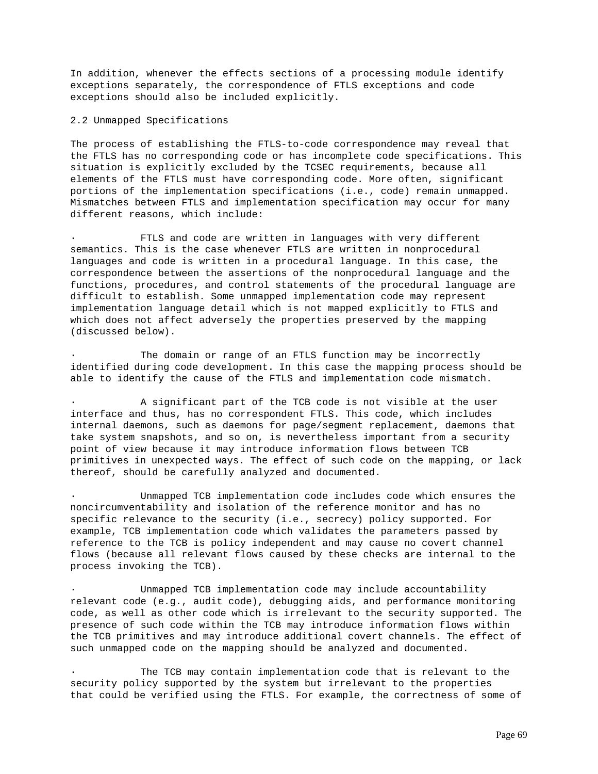In addition, whenever the effects sections of a processing module identify exceptions separately, the correspondence of FTLS exceptions and code exceptions should also be included explicitly.

### 2.2 Unmapped Specifications

The process of establishing the FTLS-to-code correspondence may reveal that the FTLS has no corresponding code or has incomplete code specifications. This situation is explicitly excluded by the TCSEC requirements, because all elements of the FTLS must have corresponding code. More often, significant portions of the implementation specifications (i.e., code) remain unmapped. Mismatches between FTLS and implementation specification may occur for many different reasons, which include:

FTLS and code are written in languages with very different semantics. This is the case whenever FTLS are written in nonprocedural languages and code is written in a procedural language. In this case, the correspondence between the assertions of the nonprocedural language and the functions, procedures, and control statements of the procedural language are difficult to establish. Some unmapped implementation code may represent implementation language detail which is not mapped explicitly to FTLS and which does not affect adversely the properties preserved by the mapping (discussed below).

The domain or range of an FTLS function may be incorrectly identified during code development. In this case the mapping process should be able to identify the cause of the FTLS and implementation code mismatch.

· A significant part of the TCB code is not visible at the user interface and thus, has no correspondent FTLS. This code, which includes internal daemons, such as daemons for page/segment replacement, daemons that take system snapshots, and so on, is nevertheless important from a security point of view because it may introduce information flows between TCB primitives in unexpected ways. The effect of such code on the mapping, or lack thereof, should be carefully analyzed and documented.

· Unmapped TCB implementation code includes code which ensures the noncircumventability and isolation of the reference monitor and has no specific relevance to the security (i.e., secrecy) policy supported. For example, TCB implementation code which validates the parameters passed by reference to the TCB is policy independent and may cause no covert channel flows (because all relevant flows caused by these checks are internal to the process invoking the TCB).

Unmapped TCB implementation code may include accountability relevant code (e.g., audit code), debugging aids, and performance monitoring code, as well as other code which is irrelevant to the security supported. The presence of such code within the TCB may introduce information flows within the TCB primitives and may introduce additional covert channels. The effect of such unmapped code on the mapping should be analyzed and documented.

The TCB may contain implementation code that is relevant to the security policy supported by the system but irrelevant to the properties that could be verified using the FTLS. For example, the correctness of some of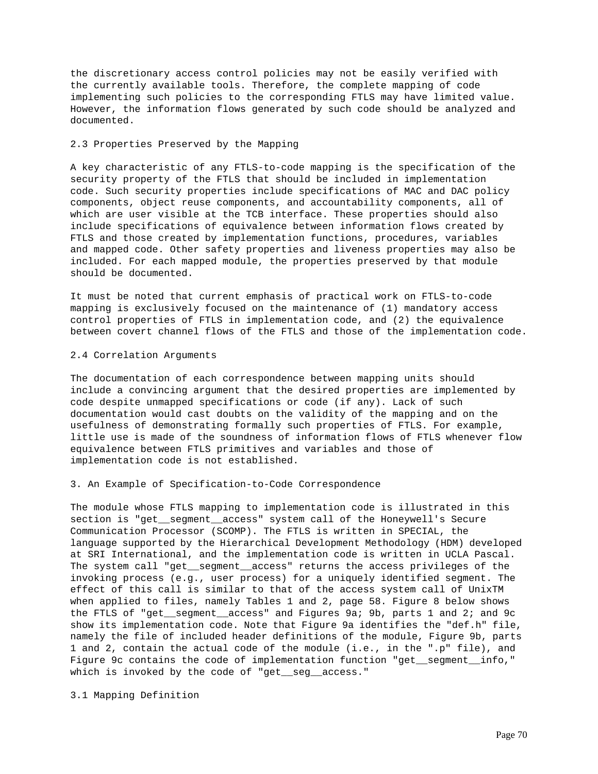the discretionary access control policies may not be easily verified with the currently available tools. Therefore, the complete mapping of code implementing such policies to the corresponding FTLS may have limited value. However, the information flows generated by such code should be analyzed and documented.

# 2.3 Properties Preserved by the Mapping

A key characteristic of any FTLS-to-code mapping is the specification of the security property of the FTLS that should be included in implementation code. Such security properties include specifications of MAC and DAC policy components, object reuse components, and accountability components, all of which are user visible at the TCB interface. These properties should also include specifications of equivalence between information flows created by FTLS and those created by implementation functions, procedures, variables and mapped code. Other safety properties and liveness properties may also be included. For each mapped module, the properties preserved by that module should be documented.

It must be noted that current emphasis of practical work on FTLS-to-code mapping is exclusively focused on the maintenance of (1) mandatory access control properties of FTLS in implementation code, and (2) the equivalence between covert channel flows of the FTLS and those of the implementation code.

### 2.4 Correlation Arguments

The documentation of each correspondence between mapping units should include a convincing argument that the desired properties are implemented by code despite unmapped specifications or code (if any). Lack of such documentation would cast doubts on the validity of the mapping and on the usefulness of demonstrating formally such properties of FTLS. For example, little use is made of the soundness of information flows of FTLS whenever flow equivalence between FTLS primitives and variables and those of implementation code is not established.

## 3. An Example of Specification-to-Code Correspondence

The module whose FTLS mapping to implementation code is illustrated in this section is "get\_\_segment\_\_access" system call of the Honeywell's Secure Communication Processor (SCOMP). The FTLS is written in SPECIAL, the language supported by the Hierarchical Development Methodology (HDM) developed at SRI International, and the implementation code is written in UCLA Pascal. The system call "get\_\_segment\_\_access" returns the access privileges of the invoking process (e.g., user process) for a uniquely identified segment. The effect of this call is similar to that of the access system call of UnixTM when applied to files, namely Tables 1 and 2, page 58. Figure 8 below shows the FTLS of "get\_\_segment\_\_access" and Figures 9a; 9b, parts 1 and 2; and 9c show its implementation code. Note that Figure 9a identifies the "def.h" file, namely the file of included header definitions of the module, Figure 9b, parts 1 and 2, contain the actual code of the module (i.e., in the ".p" file), and Figure 9c contains the code of implementation function "get\_\_segment\_\_info," which is invoked by the code of "get\_seg\_access."

3.1 Mapping Definition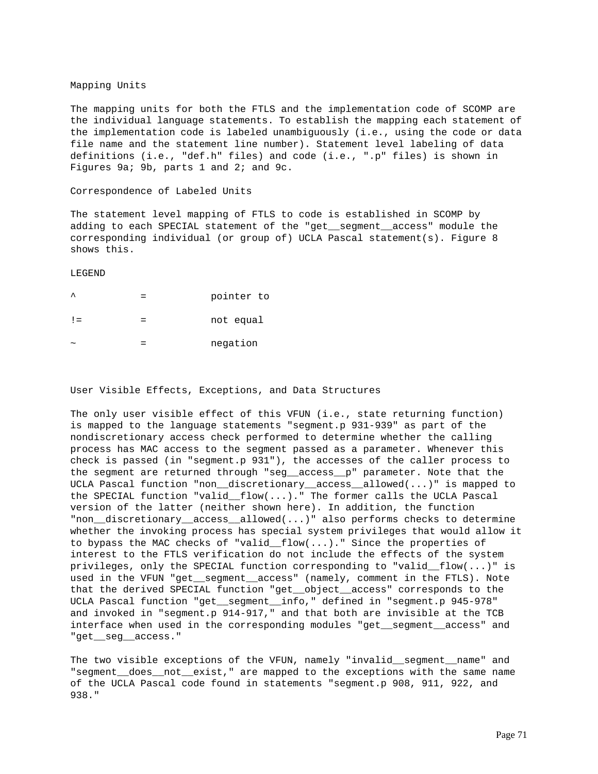# Mapping Units

The mapping units for both the FTLS and the implementation code of SCOMP are the individual language statements. To establish the mapping each statement of the implementation code is labeled unambiguously (i.e., using the code or data file name and the statement line number). Statement level labeling of data definitions (i.e., "def.h" files) and code (i.e., ".p" files) is shown in Figures 9a; 9b, parts 1 and 2; and 9c.

#### Correspondence of Labeled Units

The statement level mapping of FTLS to code is established in SCOMP by adding to each SPECIAL statement of the "get\_\_segment\_\_access" module the corresponding individual (or group of) UCLA Pascal statement(s). Figure 8 shows this.

LEGEND

| $\lambda$             | pointer to |
|-----------------------|------------|
| $\perp$               | not equal  |
| $\tilde{\phantom{a}}$ | negation   |

# User Visible Effects, Exceptions, and Data Structures

The only user visible effect of this VFUN (i.e., state returning function) is mapped to the language statements "segment.p 931-939" as part of the nondiscretionary access check performed to determine whether the calling process has MAC access to the segment passed as a parameter. Whenever this check is passed (in "segment.p 931"), the accesses of the caller process to the segment are returned through "seg\_\_access\_\_p" parameter. Note that the UCLA Pascal function "non\_\_discretionary\_\_access\_\_allowed(...)" is mapped to the SPECIAL function "valid\_\_flow(...)." The former calls the UCLA Pascal version of the latter (neither shown here). In addition, the function "non\_\_discretionary\_\_access\_\_allowed(...)" also performs checks to determine whether the invoking process has special system privileges that would allow it to bypass the MAC checks of "valid\_\_flow(...)." Since the properties of interest to the FTLS verification do not include the effects of the system privileges, only the SPECIAL function corresponding to "valid\_\_flow(...)" is used in the VFUN "get\_\_segment\_\_access" (namely, comment in the FTLS). Note that the derived SPECIAL function "get\_\_object\_\_access" corresponds to the UCLA Pascal function "get\_\_segment\_\_info," defined in "segment.p 945-978" and invoked in "segment.p 914-917," and that both are invisible at the TCB interface when used in the corresponding modules "get\_\_segment\_\_access" and "get\_\_seg\_\_access."

The two visible exceptions of the VFUN, namely "invalid\_\_segment\_\_name" and "segment\_\_does\_\_not\_\_exist," are mapped to the exceptions with the same name of the UCLA Pascal code found in statements "segment.p 908, 911, 922, and 938."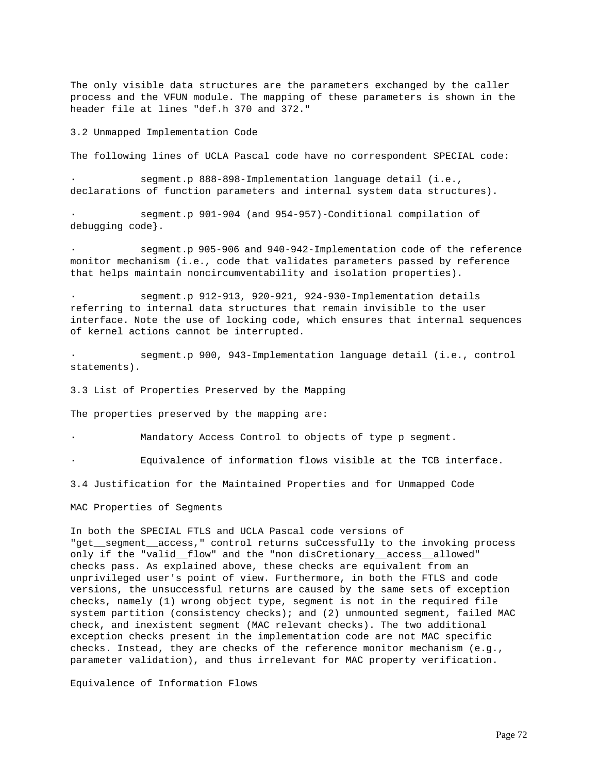The only visible data structures are the parameters exchanged by the caller process and the VFUN module. The mapping of these parameters is shown in the header file at lines "def.h 370 and 372."

3.2 Unmapped Implementation Code

The following lines of UCLA Pascal code have no correspondent SPECIAL code:

segment.p 888-898-Implementation language detail (i.e., declarations of function parameters and internal system data structures).

segment.p 901-904 (and 954-957)-Conditional compilation of debugging code}.

segment.p 905-906 and 940-942-Implementation code of the reference monitor mechanism (i.e., code that validates parameters passed by reference that helps maintain noncircumventability and isolation properties).

segment.p 912-913, 920-921, 924-930-Implementation details referring to internal data structures that remain invisible to the user interface. Note the use of locking code, which ensures that internal sequences of kernel actions cannot be interrupted.

segment.p 900, 943-Implementation language detail (i.e., control statements).

3.3 List of Properties Preserved by the Mapping

The properties preserved by the mapping are:

Mandatory Access Control to objects of type p segment.

Equivalence of information flows visible at the TCB interface.

3.4 Justification for the Maintained Properties and for Unmapped Code

MAC Properties of Segments

In both the SPECIAL FTLS and UCLA Pascal code versions of "get\_\_segment\_\_access," control returns suCcessfully to the invoking process only if the "valid flow" and the "non disCretionary access allowed" checks pass. As explained above, these checks are equivalent from an unprivileged user's point of view. Furthermore, in both the FTLS and code versions, the unsuccessful returns are caused by the same sets of exception checks, namely (1) wrong object type, segment is not in the required file system partition (consistency checks); and (2) unmounted segment, failed MAC check, and inexistent segment (MAC relevant checks). The two additional exception checks present in the implementation code are not MAC specific checks. Instead, they are checks of the reference monitor mechanism (e.g., parameter validation), and thus irrelevant for MAC property verification.

Equivalence of Information Flows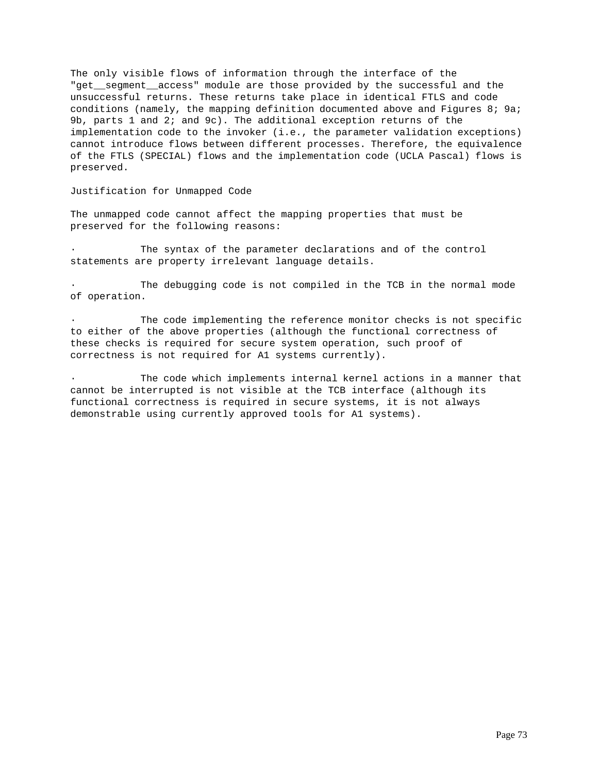The only visible flows of information through the interface of the "get\_\_segment\_\_access" module are those provided by the successful and the unsuccessful returns. These returns take place in identical FTLS and code conditions (namely, the mapping definition documented above and Figures 8; 9a; 9b, parts 1 and 2; and 9c). The additional exception returns of the implementation code to the invoker (i.e., the parameter validation exceptions) cannot introduce flows between different processes. Therefore, the equivalence of the FTLS (SPECIAL) flows and the implementation code (UCLA Pascal) flows is preserved.

Justification for Unmapped Code

The unmapped code cannot affect the mapping properties that must be preserved for the following reasons:

The syntax of the parameter declarations and of the control statements are property irrelevant language details.

The debugging code is not compiled in the TCB in the normal mode of operation.

The code implementing the reference monitor checks is not specific to either of the above properties (although the functional correctness of these checks is required for secure system operation, such proof of correctness is not required for A1 systems currently).

The code which implements internal kernel actions in a manner that cannot be interrupted is not visible at the TCB interface (although its functional correctness is required in secure systems, it is not always demonstrable using currently approved tools for A1 systems).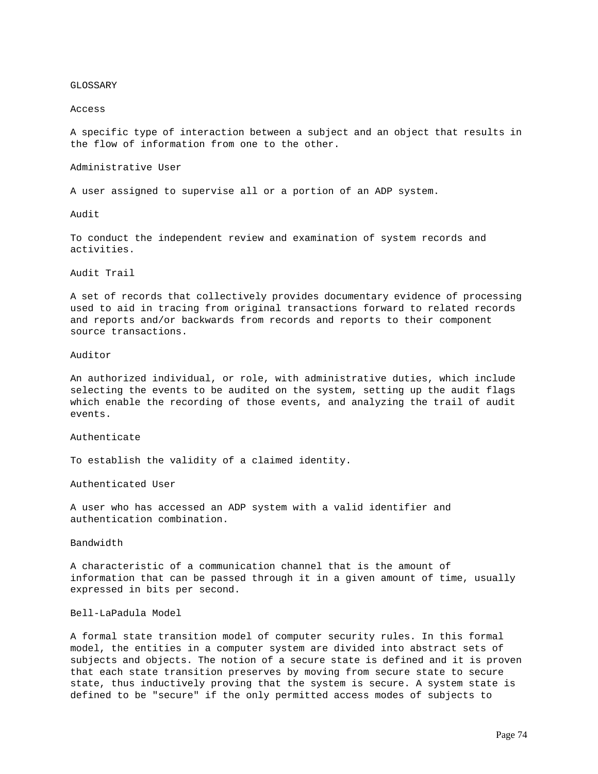## GLOSSARY

#### Access

A specific type of interaction between a subject and an object that results in the flow of information from one to the other.

Administrative User

A user assigned to supervise all or a portion of an ADP system.

Audit

To conduct the independent review and examination of system records and activities.

Audit Trail

A set of records that collectively provides documentary evidence of processing used to aid in tracing from original transactions forward to related records and reports and/or backwards from records and reports to their component source transactions.

#### Auditor

An authorized individual, or role, with administrative duties, which include selecting the events to be audited on the system, setting up the audit flags which enable the recording of those events, and analyzing the trail of audit events.

Authenticate

To establish the validity of a claimed identity.

Authenticated User

A user who has accessed an ADP system with a valid identifier and authentication combination.

Bandwidth

A characteristic of a communication channel that is the amount of information that can be passed through it in a given amount of time, usually expressed in bits per second.

#### Bell-LaPadula Model

A formal state transition model of computer security rules. In this formal model, the entities in a computer system are divided into abstract sets of subjects and objects. The notion of a secure state is defined and it is proven that each state transition preserves by moving from secure state to secure state, thus inductively proving that the system is secure. A system state is defined to be "secure" if the only permitted access modes of subjects to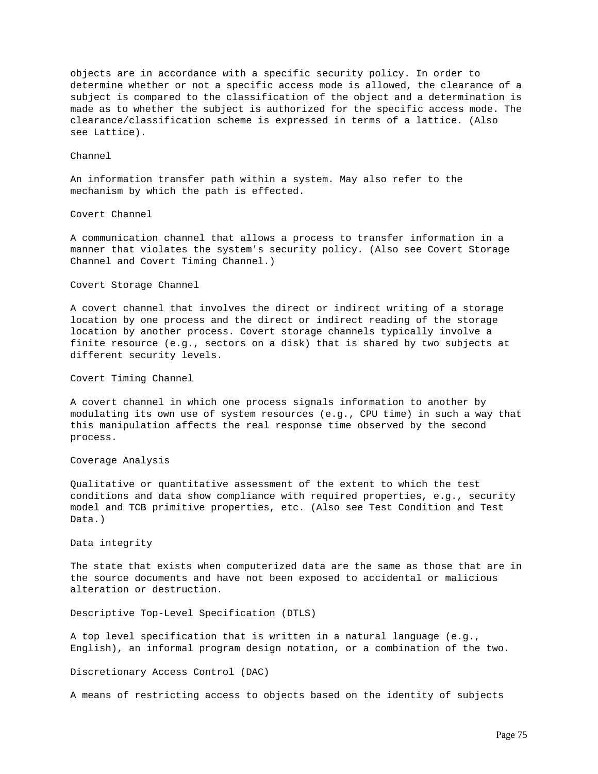objects are in accordance with a specific security policy. In order to determine whether or not a specific access mode is allowed, the clearance of a subject is compared to the classification of the object and a determination is made as to whether the subject is authorized for the specific access mode. The clearance/classification scheme is expressed in terms of a lattice. (Also see Lattice).

# Channel

An information transfer path within a system. May also refer to the mechanism by which the path is effected.

#### Covert Channel

A communication channel that allows a process to transfer information in a manner that violates the system's security policy. (Also see Covert Storage Channel and Covert Timing Channel.)

#### Covert Storage Channel

A covert channel that involves the direct or indirect writing of a storage location by one process and the direct or indirect reading of the storage location by another process. Covert storage channels typically involve a finite resource (e.g., sectors on a disk) that is shared by two subjects at different security levels.

Covert Timing Channel

A covert channel in which one process signals information to another by modulating its own use of system resources (e.g., CPU time) in such a way that this manipulation affects the real response time observed by the second process.

# Coverage Analysis

Qualitative or quantitative assessment of the extent to which the test conditions and data show compliance with required properties, e.g., security model and TCB primitive properties, etc. (Also see Test Condition and Test Data.)

# Data integrity

The state that exists when computerized data are the same as those that are in the source documents and have not been exposed to accidental or malicious alteration or destruction.

Descriptive Top-Level Specification (DTLS)

A top level specification that is written in a natural language (e.g., English), an informal program design notation, or a combination of the two.

#### Discretionary Access Control (DAC)

A means of restricting access to objects based on the identity of subjects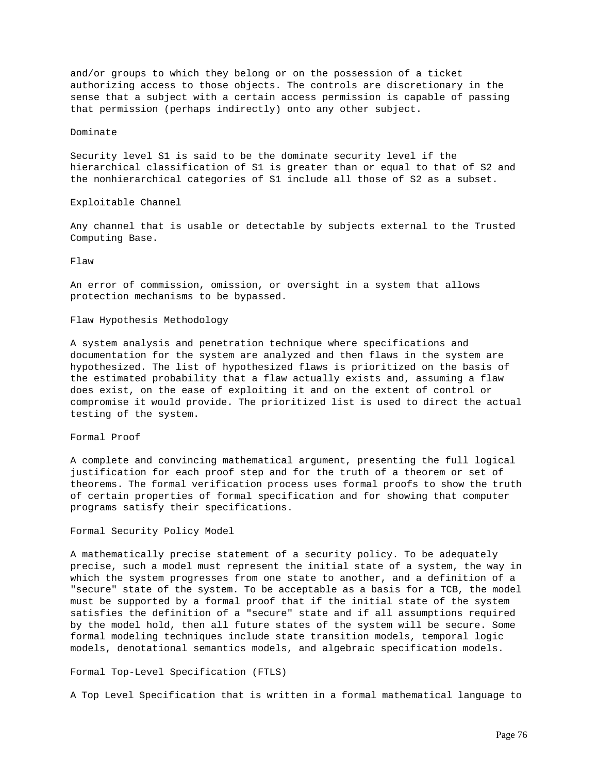and/or groups to which they belong or on the possession of a ticket authorizing access to those objects. The controls are discretionary in the sense that a subject with a certain access permission is capable of passing that permission (perhaps indirectly) onto any other subject.

# Dominate

Security level S1 is said to be the dominate security level if the hierarchical classification of S1 is greater than or equal to that of S2 and the nonhierarchical categories of S1 include all those of S2 as a subset.

Exploitable Channel

Any channel that is usable or detectable by subjects external to the Trusted Computing Base.

Flaw

An error of commission, omission, or oversight in a system that allows protection mechanisms to be bypassed.

# Flaw Hypothesis Methodology

A system analysis and penetration technique where specifications and documentation for the system are analyzed and then flaws in the system are hypothesized. The list of hypothesized flaws is prioritized on the basis of the estimated probability that a flaw actually exists and, assuming a flaw does exist, on the ease of exploiting it and on the extent of control or compromise it would provide. The prioritized list is used to direct the actual testing of the system.

Formal Proof

A complete and convincing mathematical argument, presenting the full logical justification for each proof step and for the truth of a theorem or set of theorems. The formal verification process uses formal proofs to show the truth of certain properties of formal specification and for showing that computer programs satisfy their specifications.

Formal Security Policy Model

A mathematically precise statement of a security policy. To be adequately precise, such a model must represent the initial state of a system, the way in which the system progresses from one state to another, and a definition of a "secure" state of the system. To be acceptable as a basis for a TCB, the model must be supported by a formal proof that if the initial state of the system satisfies the definition of a "secure" state and if all assumptions required by the model hold, then all future states of the system will be secure. Some formal modeling techniques include state transition models, temporal logic models, denotational semantics models, and algebraic specification models.

Formal Top-Level Specification (FTLS)

A Top Level Specification that is written in a formal mathematical language to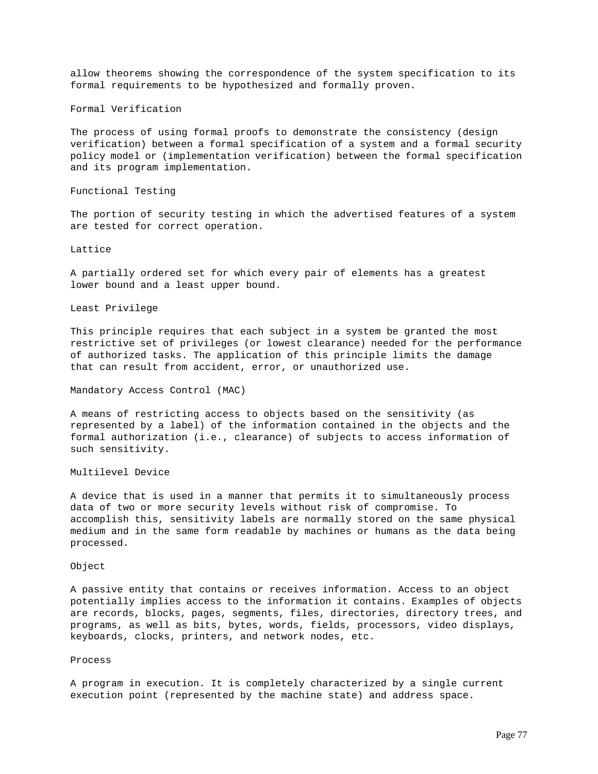allow theorems showing the correspondence of the system specification to its formal requirements to be hypothesized and formally proven.

Formal Verification

The process of using formal proofs to demonstrate the consistency (design verification) between a formal specification of a system and a formal security policy model or (implementation verification) between the formal specification and its program implementation.

Functional Testing

The portion of security testing in which the advertised features of a system are tested for correct operation.

Lattice

A partially ordered set for which every pair of elements has a greatest lower bound and a least upper bound.

Least Privilege

This principle requires that each subject in a system be granted the most restrictive set of privileges (or lowest clearance) needed for the performance of authorized tasks. The application of this principle limits the damage that can result from accident, error, or unauthorized use.

Mandatory Access Control (MAC)

A means of restricting access to objects based on the sensitivity (as represented by a label) of the information contained in the objects and the formal authorization (i.e., clearance) of subjects to access information of such sensitivity.

Multilevel Device

A device that is used in a manner that permits it to simultaneously process data of two or more security levels without risk of compromise. To accomplish this, sensitivity labels are normally stored on the same physical medium and in the same form readable by machines or humans as the data being processed.

Object

A passive entity that contains or receives information. Access to an object potentially implies access to the information it contains. Examples of objects are records, blocks, pages, segments, files, directories, directory trees, and programs, as well as bits, bytes, words, fields, processors, video displays, keyboards, clocks, printers, and network nodes, etc.

Process

A program in execution. It is completely characterized by a single current execution point (represented by the machine state) and address space.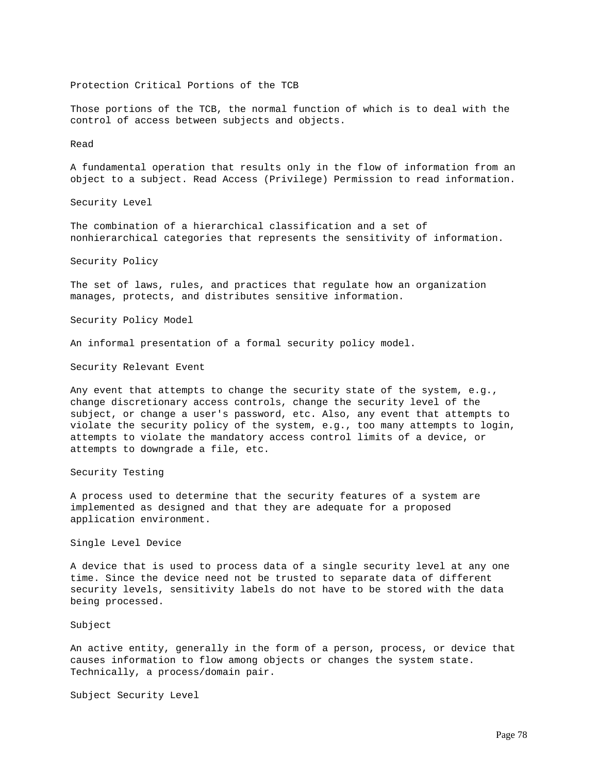Protection Critical Portions of the TCB

Those portions of the TCB, the normal function of which is to deal with the control of access between subjects and objects.

## Read

A fundamental operation that results only in the flow of information from an object to a subject. Read Access (Privilege) Permission to read information.

Security Level

The combination of a hierarchical classification and a set of nonhierarchical categories that represents the sensitivity of information.

Security Policy

The set of laws, rules, and practices that regulate how an organization manages, protects, and distributes sensitive information.

Security Policy Model

An informal presentation of a formal security policy model.

Security Relevant Event

Any event that attempts to change the security state of the system, e.g., change discretionary access controls, change the security level of the subject, or change a user's password, etc. Also, any event that attempts to violate the security policy of the system, e.g., too many attempts to login, attempts to violate the mandatory access control limits of a device, or attempts to downgrade a file, etc.

Security Testing

A process used to determine that the security features of a system are implemented as designed and that they are adequate for a proposed application environment.

Single Level Device

A device that is used to process data of a single security level at any one time. Since the device need not be trusted to separate data of different security levels, sensitivity labels do not have to be stored with the data being processed.

Subject

An active entity, generally in the form of a person, process, or device that causes information to flow among objects or changes the system state. Technically, a process/domain pair.

Subject Security Level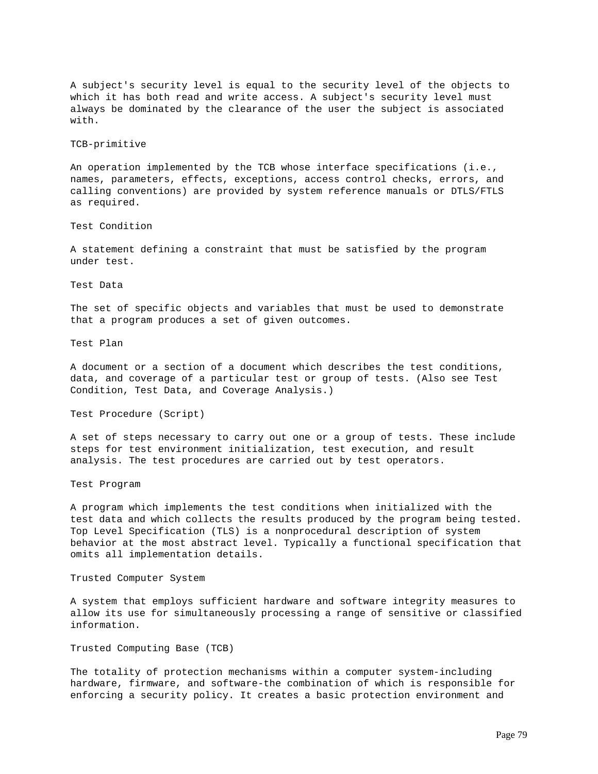A subject's security level is equal to the security level of the objects to which it has both read and write access. A subject's security level must always be dominated by the clearance of the user the subject is associated with.

## TCB-primitive

An operation implemented by the TCB whose interface specifications (i.e., names, parameters, effects, exceptions, access control checks, errors, and calling conventions) are provided by system reference manuals or DTLS/FTLS as required.

#### Test Condition

A statement defining a constraint that must be satisfied by the program under test.

# Test Data

The set of specific objects and variables that must be used to demonstrate that a program produces a set of given outcomes.

# Test Plan

A document or a section of a document which describes the test conditions, data, and coverage of a particular test or group of tests. (Also see Test Condition, Test Data, and Coverage Analysis.)

Test Procedure (Script)

A set of steps necessary to carry out one or a group of tests. These include steps for test environment initialization, test execution, and result analysis. The test procedures are carried out by test operators.

Test Program

A program which implements the test conditions when initialized with the test data and which collects the results produced by the program being tested. Top Level Specification (TLS) is a nonprocedural description of system behavior at the most abstract level. Typically a functional specification that omits all implementation details.

#### Trusted Computer System

A system that employs sufficient hardware and software integrity measures to allow its use for simultaneously processing a range of sensitive or classified information.

## Trusted Computing Base (TCB)

The totality of protection mechanisms within a computer system-including hardware, firmware, and software-the combination of which is responsible for enforcing a security policy. It creates a basic protection environment and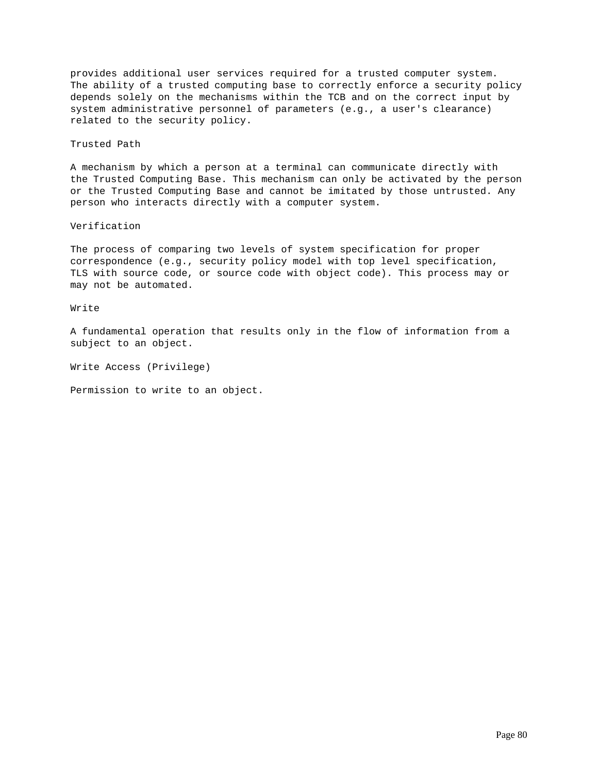provides additional user services required for a trusted computer system. The ability of a trusted computing base to correctly enforce a security policy depends solely on the mechanisms within the TCB and on the correct input by system administrative personnel of parameters (e.g., a user's clearance) related to the security policy.

#### Trusted Path

A mechanism by which a person at a terminal can communicate directly with the Trusted Computing Base. This mechanism can only be activated by the person or the Trusted Computing Base and cannot be imitated by those untrusted. Any person who interacts directly with a computer system.

# Verification

The process of comparing two levels of system specification for proper correspondence (e.g., security policy model with top level specification, TLS with source code, or source code with object code). This process may or may not be automated.

### Write

A fundamental operation that results only in the flow of information from a subject to an object.

Write Access (Privilege)

Permission to write to an object.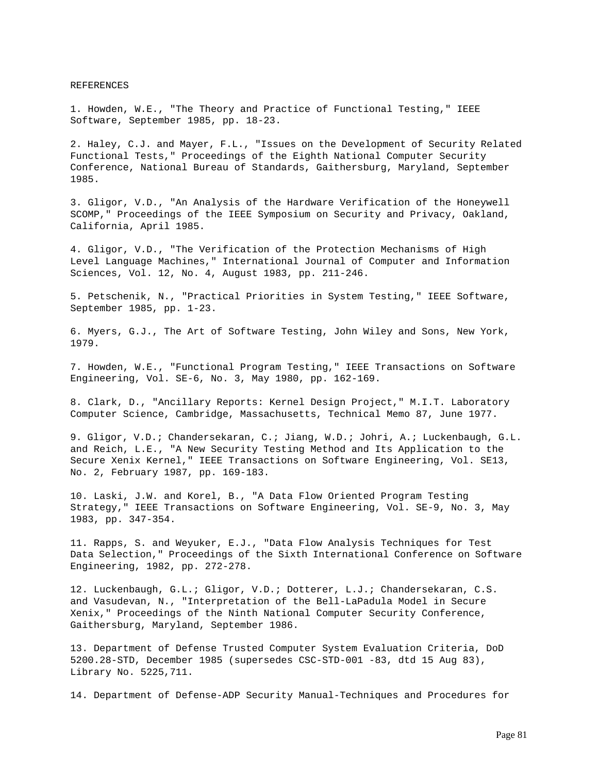REFERENCES

1. Howden, W.E., "The Theory and Practice of Functional Testing," IEEE Software, September 1985, pp. 18-23.

2. Haley, C.J. and Mayer, F.L., "Issues on the Development of Security Related Functional Tests," Proceedings of the Eighth National Computer Security Conference, National Bureau of Standards, Gaithersburg, Maryland, September 1985.

3. Gligor, V.D., "An Analysis of the Hardware Verification of the Honeywell SCOMP," Proceedings of the IEEE Symposium on Security and Privacy, Oakland, California, April 1985.

4. Gligor, V.D., "The Verification of the Protection Mechanisms of High Level Language Machines," International Journal of Computer and Information Sciences, Vol. 12, No. 4, August 1983, pp. 211-246.

5. Petschenik, N., "Practical Priorities in System Testing," IEEE Software, September 1985, pp. 1-23.

6. Myers, G.J., The Art of Software Testing, John Wiley and Sons, New York, 1979.

7. Howden, W.E., "Functional Program Testing," IEEE Transactions on Software Engineering, Vol. SE-6, No. 3, May 1980, pp. 162-169.

8. Clark, D., "Ancillary Reports: Kernel Design Project," M.I.T. Laboratory Computer Science, Cambridge, Massachusetts, Technical Memo 87, June 1977.

9. Gligor, V.D.; Chandersekaran, C.; Jiang, W.D.; Johri, A.; Luckenbaugh, G.L. and Reich, L.E., "A New Security Testing Method and Its Application to the Secure Xenix Kernel," IEEE Transactions on Software Engineering, Vol. SE13, No. 2, February 1987, pp. 169-183.

10. Laski, J.W. and Korel, B., "A Data Flow Oriented Program Testing Strategy," IEEE Transactions on Software Engineering, Vol. SE-9, No. 3, May 1983, pp. 347-354.

11. Rapps, S. and Weyuker, E.J., "Data Flow Analysis Techniques for Test Data Selection," Proceedings of the Sixth International Conference on Software Engineering, 1982, pp. 272-278.

12. Luckenbaugh, G.L.; Gligor, V.D.; Dotterer, L.J.; Chandersekaran, C.S. and Vasudevan, N., "Interpretation of the Bell-LaPadula Model in Secure Xenix," Proceedings of the Ninth National Computer Security Conference, Gaithersburg, Maryland, September 1986.

13. Department of Defense Trusted Computer System Evaluation Criteria, DoD 5200.28-STD, December 1985 (supersedes CSC-STD-001 -83, dtd 15 Aug 83), Library No. 5225,711.

14. Department of Defense-ADP Security Manual-Techniques and Procedures for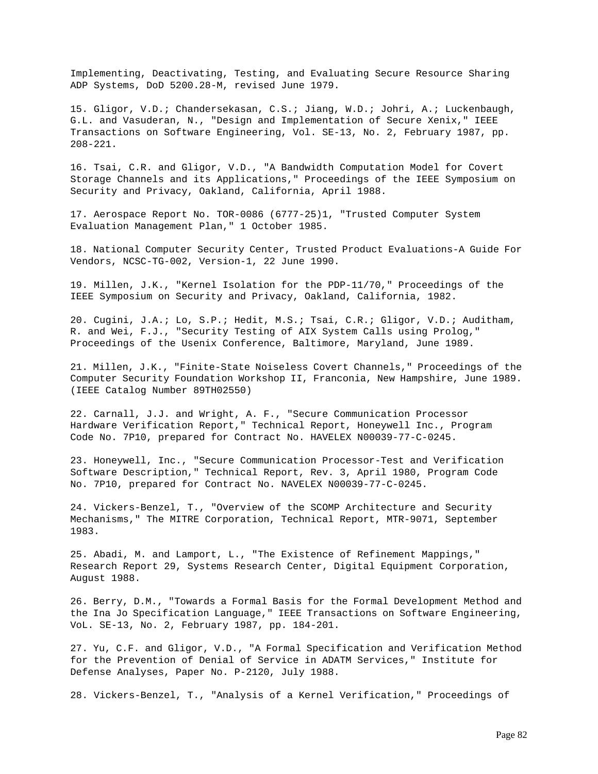Implementing, Deactivating, Testing, and Evaluating Secure Resource Sharing ADP Systems, DoD 5200.28-M, revised June 1979.

15. Gligor, V.D.; Chandersekasan, C.S.; Jiang, W.D.; Johri, A.; Luckenbaugh, G.L. and Vasuderan, N., "Design and Implementation of Secure Xenix," IEEE Transactions on Software Engineering, Vol. SE-13, No. 2, February 1987, pp. 208-221.

16. Tsai, C.R. and Gligor, V.D., "A Bandwidth Computation Model for Covert Storage Channels and its Applications," Proceedings of the IEEE Symposium on Security and Privacy, Oakland, California, April 1988.

17. Aerospace Report No. TOR-0086 (6777-25)1, "Trusted Computer System Evaluation Management Plan," 1 October 1985.

18. National Computer Security Center, Trusted Product Evaluations-A Guide For Vendors, NCSC-TG-002, Version-1, 22 June 1990.

19. Millen, J.K., "Kernel Isolation for the PDP-11/70," Proceedings of the IEEE Symposium on Security and Privacy, Oakland, California, 1982.

20. Cugini, J.A.; Lo, S.P.; Hedit, M.S.; Tsai, C.R.; Gligor, V.D.; Auditham, R. and Wei, F.J., "Security Testing of AIX System Calls using Prolog," Proceedings of the Usenix Conference, Baltimore, Maryland, June 1989.

21. Millen, J.K., "Finite-State Noiseless Covert Channels," Proceedings of the Computer Security Foundation Workshop II, Franconia, New Hampshire, June 1989. (IEEE Catalog Number 89TH02550)

22. Carnall, J.J. and Wright, A. F., "Secure Communication Processor Hardware Verification Report," Technical Report, Honeywell Inc., Program Code No. 7P10, prepared for Contract No. HAVELEX N00039-77-C-0245.

23. Honeywell, Inc., "Secure Communication Processor-Test and Verification Software Description," Technical Report, Rev. 3, April 1980, Program Code No. 7P10, prepared for Contract No. NAVELEX N00039-77-C-0245.

24. Vickers-Benzel, T., "Overview of the SCOMP Architecture and Security Mechanisms," The MITRE Corporation, Technical Report, MTR-9071, September 1983.

25. Abadi, M. and Lamport, L., "The Existence of Refinement Mappings," Research Report 29, Systems Research Center, Digital Equipment Corporation, August 1988.

26. Berry, D.M., "Towards a Formal Basis for the Formal Development Method and the Ina Jo Specification Language," IEEE Transactions on Software Engineering, VoL. SE-13, No. 2, February 1987, pp. 184-201.

27. Yu, C.F. and Gligor, V.D., "A Formal Specification and Verification Method for the Prevention of Denial of Service in ADATM Services," Institute for Defense Analyses, Paper No. P-2120, July 1988.

28. Vickers-Benzel, T., "Analysis of a Kernel Verification," Proceedings of